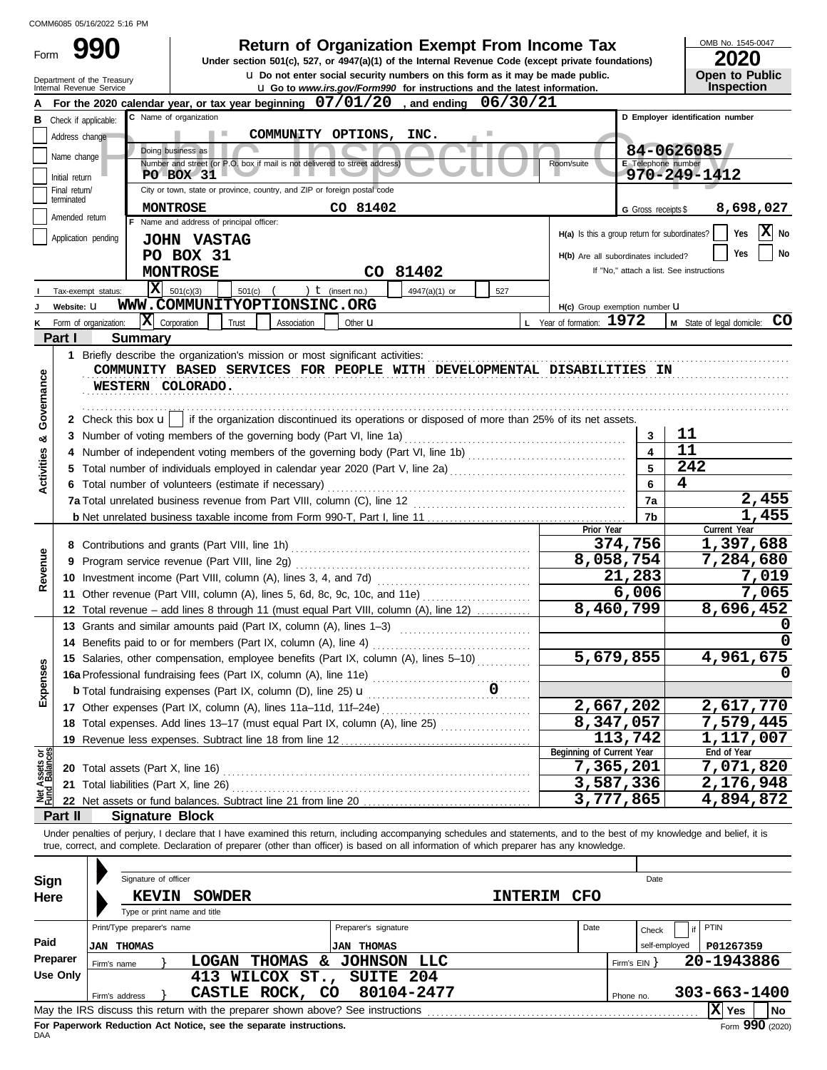|                                |                             | COMM6085 05/16/2022 5:16 PM                                                 |                                                             |            |                                                                            |                      |                                                                                                                                                                         |                   |                                               |                         |                                                                                                                                                                            |
|--------------------------------|-----------------------------|-----------------------------------------------------------------------------|-------------------------------------------------------------|------------|----------------------------------------------------------------------------|----------------------|-------------------------------------------------------------------------------------------------------------------------------------------------------------------------|-------------------|-----------------------------------------------|-------------------------|----------------------------------------------------------------------------------------------------------------------------------------------------------------------------|
| Form                           |                             | 990                                                                         |                                                             |            |                                                                            |                      | <b>Return of Organization Exempt From Income Tax</b>                                                                                                                    |                   |                                               |                         | OMB No. 1545-0047                                                                                                                                                          |
|                                |                             |                                                                             |                                                             |            |                                                                            |                      | Under section 501(c), 527, or 4947(a)(1) of the Internal Revenue Code (except private foundations)                                                                      |                   |                                               |                         | 2020                                                                                                                                                                       |
|                                |                             | Department of the Treasury<br>Internal Revenue Service                      |                                                             |            |                                                                            |                      | <b>u</b> Do not enter social security numbers on this form as it may be made public.<br><b>u</b> Go to www.irs.gov/Form990 for instructions and the latest information. |                   |                                               |                         | <b>Open to Public</b><br>Inspection                                                                                                                                        |
|                                |                             |                                                                             |                                                             |            |                                                                            |                      | For the 2020 calendar year, or tax year beginning $07/01/20$ , and ending                                                                                               | 06/30/21          |                                               |                         |                                                                                                                                                                            |
| в                              |                             | Check if applicable:                                                        | C Name of organization                                      |            |                                                                            |                      |                                                                                                                                                                         |                   |                                               |                         | D Employer identification number                                                                                                                                           |
|                                | Address change              |                                                                             |                                                             |            | COMMUNITY OPTIONS, INC.                                                    |                      |                                                                                                                                                                         |                   |                                               |                         |                                                                                                                                                                            |
|                                |                             |                                                                             | Doing business as                                           |            |                                                                            |                      |                                                                                                                                                                         |                   |                                               |                         | 84-0626085                                                                                                                                                                 |
|                                | Name change                 |                                                                             |                                                             |            | Number and street (or P.O. box if mail is not delivered to street address) |                      |                                                                                                                                                                         |                   | Room/suite                                    | E Telephone number      |                                                                                                                                                                            |
|                                | Initial return              |                                                                             | <b>PO BOX 31</b>                                            |            |                                                                            |                      |                                                                                                                                                                         |                   |                                               |                         | 970-249-1412                                                                                                                                                               |
|                                | Final return/<br>terminated |                                                                             |                                                             |            | City or town, state or province, country, and ZIP or foreign postal code   |                      |                                                                                                                                                                         |                   |                                               |                         |                                                                                                                                                                            |
|                                | Amended return              |                                                                             | <b>MONTROSE</b><br>F Name and address of principal officer: |            |                                                                            | CO 81402             |                                                                                                                                                                         |                   |                                               | G Gross receipts \$     | 8,698,027                                                                                                                                                                  |
|                                |                             | Application pending                                                         | <b>JOHN VASTAG</b>                                          |            |                                                                            |                      |                                                                                                                                                                         |                   | H(a) Is this a group return for subordinates? |                         | X No<br>Yes                                                                                                                                                                |
|                                |                             |                                                                             | PO BOX 31                                                   |            |                                                                            |                      |                                                                                                                                                                         |                   | H(b) Are all subordinates included?           |                         | No<br>Yes                                                                                                                                                                  |
|                                |                             |                                                                             | <b>MONTROSE</b>                                             |            |                                                                            |                      | CO 81402                                                                                                                                                                |                   |                                               |                         | If "No," attach a list. See instructions                                                                                                                                   |
|                                |                             | Tax-exempt status:                                                          | $ \mathbf{X} $ 501(c)(3)                                    | $501(c)$ ( |                                                                            | ) $t$ (insert no.)   | 4947(a)(1) or                                                                                                                                                           | 527               |                                               |                         |                                                                                                                                                                            |
|                                | Website: U                  |                                                                             |                                                             |            | WWW.COMMUNITYOPTIONSINC.ORG                                                |                      |                                                                                                                                                                         |                   | H(c) Group exemption number U                 |                         |                                                                                                                                                                            |
|                                |                             | Form of organization:                                                       | $ \mathbf{X} $ Corporation                                  | Trust      | Association                                                                | Other $\mathbf u$    |                                                                                                                                                                         |                   | L Year of formation: 1972                     |                         | CO.<br>M State of legal domicile:                                                                                                                                          |
|                                | Part I                      | <b>Summary</b>                                                              |                                                             |            |                                                                            |                      |                                                                                                                                                                         |                   |                                               |                         |                                                                                                                                                                            |
|                                |                             |                                                                             |                                                             |            |                                                                            |                      |                                                                                                                                                                         |                   |                                               |                         |                                                                                                                                                                            |
|                                |                             |                                                                             |                                                             |            |                                                                            |                      | COMMUNITY BASED SERVICES FOR PEOPLE WITH DEVELOPMENTAL DISABILITIES IN                                                                                                  |                   |                                               |                         |                                                                                                                                                                            |
|                                |                             | WESTERN COLORADO.                                                           |                                                             |            |                                                                            |                      |                                                                                                                                                                         |                   |                                               |                         |                                                                                                                                                                            |
|                                |                             |                                                                             |                                                             |            |                                                                            |                      |                                                                                                                                                                         |                   |                                               |                         |                                                                                                                                                                            |
| Governance                     |                             |                                                                             |                                                             |            |                                                                            |                      | 2 Check this box $\mathbf{u}$   if the organization discontinued its operations or disposed of more than 25% of its net assets.                                         |                   |                                               |                         |                                                                                                                                                                            |
|                                |                             |                                                                             |                                                             |            |                                                                            |                      |                                                                                                                                                                         |                   |                                               | 3                       | 11                                                                                                                                                                         |
| න්                             |                             |                                                                             |                                                             |            |                                                                            |                      |                                                                                                                                                                         |                   |                                               | $\overline{\mathbf{A}}$ | 11                                                                                                                                                                         |
|                                |                             |                                                                             |                                                             |            |                                                                            |                      |                                                                                                                                                                         |                   |                                               | 5                       | 242                                                                                                                                                                        |
| <b>Activities</b>              |                             |                                                                             |                                                             |            | 6                                                                          | 4                    |                                                                                                                                                                         |                   |                                               |                         |                                                                                                                                                                            |
|                                |                             | 6 Total number of volunteers (estimate if necessary)                        |                                                             |            |                                                                            |                      |                                                                                                                                                                         |                   |                                               | 7a                      | 2,455                                                                                                                                                                      |
|                                |                             |                                                                             |                                                             |            |                                                                            |                      |                                                                                                                                                                         |                   |                                               | 7 <sub>b</sub>          | 1,455                                                                                                                                                                      |
|                                |                             |                                                                             |                                                             |            |                                                                            |                      |                                                                                                                                                                         |                   | Prior Year                                    |                         | Current Year                                                                                                                                                               |
|                                |                             |                                                                             |                                                             |            |                                                                            |                      |                                                                                                                                                                         |                   |                                               | 374,756                 | 1,397,688                                                                                                                                                                  |
|                                |                             |                                                                             |                                                             |            |                                                                            |                      |                                                                                                                                                                         |                   |                                               | 8,058,754               | 7,284,680                                                                                                                                                                  |
| Revenue                        |                             |                                                                             |                                                             |            |                                                                            |                      |                                                                                                                                                                         |                   |                                               | 21,283                  | 7,019                                                                                                                                                                      |
|                                |                             |                                                                             |                                                             |            |                                                                            |                      | 11 Other revenue (Part VIII, column (A), lines 5, 6d, 8c, 9c, 10c, and 11e)                                                                                             |                   |                                               | 6,006                   | 7,065                                                                                                                                                                      |
|                                |                             |                                                                             |                                                             |            |                                                                            |                      | 12 Total revenue - add lines 8 through 11 (must equal Part VIII, column (A), line 12)                                                                                   |                   |                                               | 8,460,799               | 8,696,452                                                                                                                                                                  |
|                                |                             | 13 Grants and similar amounts paid (Part IX, column (A), lines 1-3)         |                                                             |            |                                                                            |                      |                                                                                                                                                                         |                   |                                               |                         |                                                                                                                                                                            |
|                                |                             | 14 Benefits paid to or for members (Part IX, column (A), line 4)            |                                                             |            |                                                                            |                      |                                                                                                                                                                         |                   |                                               |                         | 0                                                                                                                                                                          |
|                                |                             |                                                                             |                                                             |            |                                                                            |                      | 15 Salaries, other compensation, employee benefits (Part IX, column (A), lines 5-10)                                                                                    |                   |                                               | 5,679,855               | 4,961,675                                                                                                                                                                  |
| Expenses                       |                             |                                                                             |                                                             |            |                                                                            |                      | 15 Salaries, Juliet Componenting fees (Part IX, column (A), line 11e)<br>16a Professional fundraising fees (Part IX, column (A), line 11e)                              |                   |                                               |                         |                                                                                                                                                                            |
|                                |                             | <b>b</b> Total fundraising expenses (Part IX, column (D), line 25) <b>u</b> |                                                             |            |                                                                            |                      |                                                                                                                                                                         | , , , , , , , , , |                                               |                         |                                                                                                                                                                            |
|                                |                             |                                                                             |                                                             |            |                                                                            |                      |                                                                                                                                                                         |                   |                                               | 2,667,202               | 2,617,770                                                                                                                                                                  |
|                                |                             |                                                                             |                                                             |            |                                                                            |                      | 18 Total expenses. Add lines 13-17 (must equal Part IX, column (A), line 25)                                                                                            |                   |                                               | 8,347,057               | 7,579,445                                                                                                                                                                  |
|                                |                             |                                                                             |                                                             |            |                                                                            |                      |                                                                                                                                                                         |                   |                                               | 113,742                 | $\overline{1,117,007}$                                                                                                                                                     |
| Net Assets or<br>Fund Balances |                             |                                                                             |                                                             |            |                                                                            |                      |                                                                                                                                                                         |                   | Beginning of Current Year                     |                         | End of Year                                                                                                                                                                |
|                                |                             | <b>20</b> Total assets (Part X, line 16)                                    |                                                             |            |                                                                            |                      |                                                                                                                                                                         |                   |                                               | 7,365,201               | 7,071,820                                                                                                                                                                  |
|                                |                             | 21 Total liabilities (Part X, line 26)                                      |                                                             |            |                                                                            |                      |                                                                                                                                                                         |                   |                                               | 3,587,336               | 2,176,948                                                                                                                                                                  |
|                                |                             |                                                                             |                                                             |            |                                                                            |                      |                                                                                                                                                                         |                   |                                               | 3,777,865               | 4,894,872                                                                                                                                                                  |
|                                | Part II                     |                                                                             | <b>Signature Block</b>                                      |            |                                                                            |                      |                                                                                                                                                                         |                   |                                               |                         |                                                                                                                                                                            |
|                                |                             |                                                                             |                                                             |            |                                                                            |                      | true, correct, and complete. Declaration of preparer (other than officer) is based on all information of which preparer has any knowledge.                              |                   |                                               |                         | Under penalties of perjury, I declare that I have examined this return, including accompanying schedules and statements, and to the best of my knowledge and belief, it is |
|                                |                             |                                                                             |                                                             |            |                                                                            |                      |                                                                                                                                                                         |                   |                                               |                         |                                                                                                                                                                            |
|                                |                             |                                                                             |                                                             |            |                                                                            |                      |                                                                                                                                                                         |                   |                                               |                         |                                                                                                                                                                            |
| Sign                           |                             | Signature of officer                                                        |                                                             |            |                                                                            |                      |                                                                                                                                                                         |                   |                                               | Date                    |                                                                                                                                                                            |
| Here                           |                             |                                                                             | <b>KEVIN SOWDER</b>                                         |            |                                                                            |                      |                                                                                                                                                                         | <b>INTERIM</b>    | <b>CFO</b>                                    |                         |                                                                                                                                                                            |
|                                |                             |                                                                             | Type or print name and title                                |            |                                                                            |                      |                                                                                                                                                                         |                   |                                               |                         |                                                                                                                                                                            |
|                                |                             | Print/Type preparer's name                                                  |                                                             |            |                                                                            | Preparer's signature |                                                                                                                                                                         |                   | Date                                          | Check                   | PTIN                                                                                                                                                                       |
| Paid                           |                             | <b>JAN THOMAS</b>                                                           |                                                             |            |                                                                            | <b>JAN THOMAS</b>    |                                                                                                                                                                         |                   |                                               | self-employed           | P01267359                                                                                                                                                                  |
|                                | Preparer                    | Firm's name                                                                 |                                                             |            | LOGAN THOMAS & JOHNSON LLC                                                 |                      |                                                                                                                                                                         |                   |                                               | Firm's $EIN$ }          | 20-1943886                                                                                                                                                                 |
|                                | <b>Use Only</b>             |                                                                             |                                                             |            | 413 WILCOX ST., SUITE 204                                                  |                      |                                                                                                                                                                         |                   |                                               |                         |                                                                                                                                                                            |
|                                |                             | Firm's address                                                              |                                                             |            | CASTLE ROCK, CO                                                            |                      | 80104-2477                                                                                                                                                              |                   |                                               | Phone no.               | 303-663-1400                                                                                                                                                               |
|                                |                             |                                                                             |                                                             |            |                                                                            |                      |                                                                                                                                                                         |                   |                                               |                         | $ X $ Yes<br>No                                                                                                                                                            |

| Sign     |     |                            | Signature of officer         |               |                                                                   |                                                                                 |                |            |              |               |                   |                                |
|----------|-----|----------------------------|------------------------------|---------------|-------------------------------------------------------------------|---------------------------------------------------------------------------------|----------------|------------|--------------|---------------|-------------------|--------------------------------|
| Here     |     |                            | <b>KEVIN</b>                 | <b>SOWDER</b> |                                                                   |                                                                                 | <b>INTERIM</b> | <b>CFO</b> |              |               |                   |                                |
|          |     |                            | Type or print name and title |               |                                                                   |                                                                                 |                |            |              |               |                   |                                |
|          |     | Print/Type preparer's name |                              |               |                                                                   | Preparer's signature                                                            |                | Date       |              | Check         | PTIN              |                                |
| Paid     | JAN | <b>THOMAS</b>              |                              |               |                                                                   | THOMAS<br>JAN                                                                   |                |            |              | self-employed | P01267359         |                                |
| Preparer |     | Firm's name                |                              | LOGAN         | <b>THOMAS</b><br>δz                                               | <b>JOHNSON</b><br>LLC                                                           |                |            | Firm's EIN Y |               | 20-1943886        |                                |
| Use Only |     |                            |                              |               | 413 WILCOX ST.,                                                   | SUITE 204                                                                       |                |            |              |               |                   |                                |
|          |     | Firm's address             |                              |               | CASTLE ROCK,                                                      | 80104-2477<br>CO.                                                               |                |            | Phone no.    |               | 303-663-1400      |                                |
|          |     |                            |                              |               |                                                                   | May the IRS discuss this return with the preparer shown above? See instructions |                |            |              |               | Ixl<br><b>Yes</b> | No                             |
|          |     |                            |                              |               | For Paperwork Poduction Act Notice, see the separate instructions |                                                                                 |                |            |              |               |                   | $F_{\text{max}}$ 000 $(0.000)$ |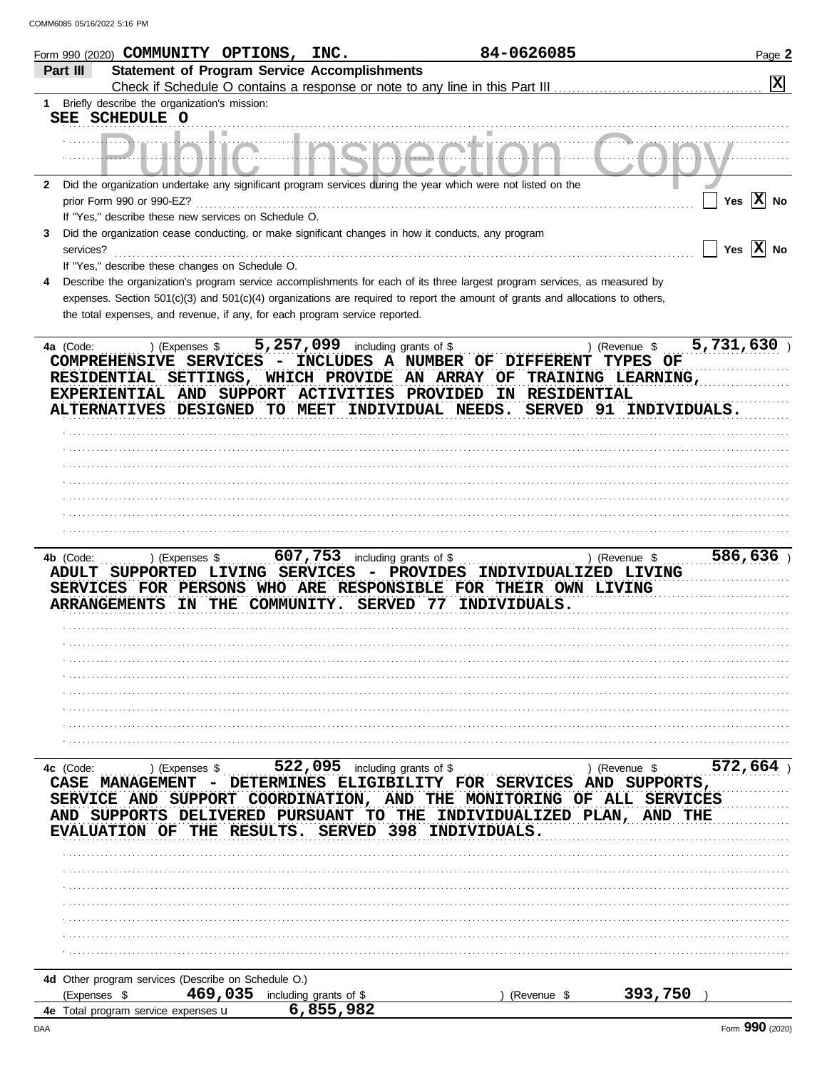|    |              | Form 990 (2020) <b>COMMUNITY OPTIONS, INC.</b>                                                                 |                |                                |               |                                         |                                | 84-0626085           |                                                                                                                                                                                  |     | Page 2                |
|----|--------------|----------------------------------------------------------------------------------------------------------------|----------------|--------------------------------|---------------|-----------------------------------------|--------------------------------|----------------------|----------------------------------------------------------------------------------------------------------------------------------------------------------------------------------|-----|-----------------------|
|    | Part III     | <b>Statement of Program Service Accomplishments</b>                                                            |                |                                |               |                                         |                                |                      |                                                                                                                                                                                  |     |                       |
|    |              |                                                                                                                |                |                                |               |                                         |                                |                      |                                                                                                                                                                                  |     | $ \mathbf{x} $        |
| 1. |              | Briefly describe the organization's mission:<br>SEE SCHEDULE O                                                 |                |                                |               |                                         |                                |                      |                                                                                                                                                                                  |     |                       |
|    |              |                                                                                                                |                |                                |               |                                         |                                |                      |                                                                                                                                                                                  |     |                       |
|    |              | 2 Did the organization undertake any significant program services during the year which were not listed on the |                |                                |               |                                         |                                |                      |                                                                                                                                                                                  |     |                       |
|    |              | prior Form 990 or 990-EZ?                                                                                      |                |                                |               |                                         |                                |                      |                                                                                                                                                                                  |     | Yes $ X $ No          |
|    |              | If "Yes," describe these new services on Schedule O.                                                           |                |                                |               |                                         |                                |                      |                                                                                                                                                                                  |     |                       |
| 3  |              | Did the organization cease conducting, or make significant changes in how it conducts, any program             |                |                                |               |                                         |                                |                      |                                                                                                                                                                                  |     |                       |
|    | services?    |                                                                                                                |                |                                |               |                                         |                                |                      |                                                                                                                                                                                  |     | Yes $ \mathbf{X} $ No |
|    |              | If "Yes," describe these changes on Schedule O.                                                                |                |                                |               |                                         |                                |                      | Describe the organization's program service accomplishments for each of its three largest program services, as measured by                                                       |     |                       |
|    |              |                                                                                                                |                |                                |               |                                         |                                |                      | expenses. Section 501(c)(3) and 501(c)(4) organizations are required to report the amount of grants and allocations to others,                                                   |     |                       |
|    |              | the total expenses, and revenue, if any, for each program service reported.                                    |                |                                |               |                                         |                                |                      |                                                                                                                                                                                  |     |                       |
|    |              |                                                                                                                |                |                                |               |                                         |                                |                      |                                                                                                                                                                                  |     |                       |
|    | 4a (Code:    | COMPREHENSIVE SERVICES -<br>EXPERIENTIAL AND SUPPORT ACTIVITIES PROVIDED                                       | ) (Expenses \$ |                                |               | 5, 257, 099 including grants of \$      | INCLUDES A NUMBER OF DIFFERENT | IN RESIDENTIAL       | ) (Revenue \$<br><b>TYPES OF</b><br>RESIDENTIAL SETTINGS, WHICH PROVIDE AN ARRAY OF TRAINING LEARNING,<br>ALTERNATIVES DESIGNED TO MEET INDIVIDUAL NEEDS. SERVED 91 INDIVIDUALS. |     | 5,731,630             |
|    |              |                                                                                                                |                |                                |               |                                         |                                |                      |                                                                                                                                                                                  |     |                       |
|    |              |                                                                                                                |                |                                |               |                                         |                                |                      |                                                                                                                                                                                  |     |                       |
|    |              |                                                                                                                |                |                                |               |                                         |                                |                      |                                                                                                                                                                                  |     |                       |
|    |              |                                                                                                                |                |                                |               |                                         |                                |                      |                                                                                                                                                                                  |     |                       |
|    |              |                                                                                                                |                |                                |               |                                         |                                |                      |                                                                                                                                                                                  |     |                       |
|    |              |                                                                                                                |                |                                |               |                                         |                                |                      |                                                                                                                                                                                  |     |                       |
|    | 4b (Code:    | SERVICES FOR PERSONS WHO ARE RESPONSIBLE FOR THEIR OWN LIVING<br>ARRANGEMENTS IN THE COMMUNITY. SERVED         | ) (Expenses \$ |                                |               | 607,753 including grants of \$          | - 77                           | INDIVIDUALS.         | ) (Revenue \$<br>ADULT SUPPORTED LIVING SERVICES - PROVIDES INDIVIDUALIZED LIVING                                                                                                |     | 586,636               |
|    |              |                                                                                                                |                |                                |               |                                         |                                |                      |                                                                                                                                                                                  |     |                       |
|    | 4c (Code:    | <b>CASE MANAGEMENT</b><br>AND SUPPORTS DELIVERED PURSUANT TO THE<br><b>EVALUATION OF</b>                       | ) (Expenses \$ | THE RESULTS.                   | <b>SERVED</b> | 522,095 including grants of \$<br>- 398 | INDIVIDUALS.                   | INDIVIDUALIZED PLAN, | ) (Revenue \$<br>DETERMINES ELIGIBILITY FOR SERVICES AND SUPPORTS,<br>SERVICE AND SUPPORT COORDINATION, AND THE MONITORING OF ALL SERVICES<br>AND                                | THE | 572,664               |
|    |              |                                                                                                                |                |                                |               |                                         |                                |                      |                                                                                                                                                                                  |     |                       |
|    |              |                                                                                                                |                |                                |               |                                         |                                |                      |                                                                                                                                                                                  |     |                       |
|    |              |                                                                                                                |                |                                |               |                                         |                                |                      |                                                                                                                                                                                  |     |                       |
|    |              |                                                                                                                |                |                                |               |                                         |                                |                      |                                                                                                                                                                                  |     |                       |
|    |              |                                                                                                                |                |                                |               |                                         |                                |                      |                                                                                                                                                                                  |     |                       |
|    |              |                                                                                                                |                |                                |               |                                         |                                |                      |                                                                                                                                                                                  |     |                       |
|    |              |                                                                                                                |                |                                |               |                                         |                                |                      |                                                                                                                                                                                  |     |                       |
|    | (Expenses \$ | 4d Other program services (Describe on Schedule O.)                                                            |                | 469,035 including grants of \$ |               |                                         |                                | (Revenue \$          | 393,750                                                                                                                                                                          |     |                       |
|    |              | 4e Total program service expenses u                                                                            |                |                                | 6,855,982     |                                         |                                |                      |                                                                                                                                                                                  |     |                       |
|    |              |                                                                                                                |                |                                |               |                                         |                                |                      |                                                                                                                                                                                  |     |                       |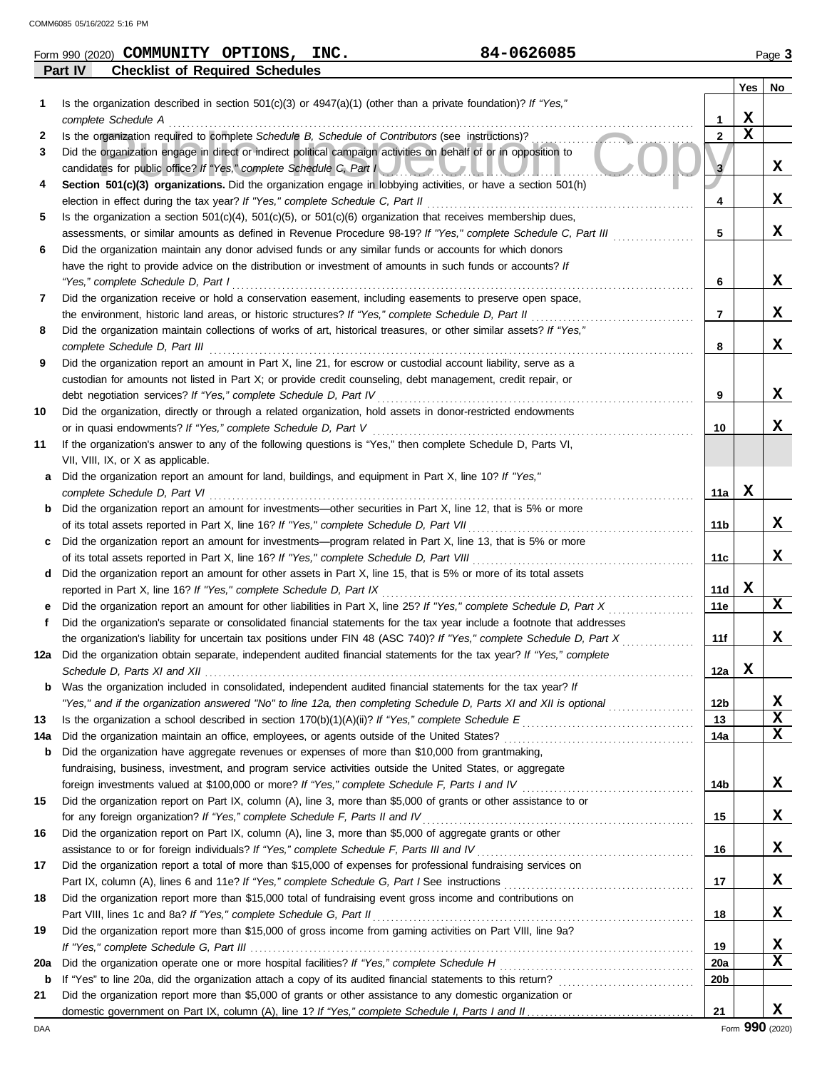|     | 84-0626085<br>Form 990 (2020) COMMUNITY OPTIONS, INC.                                                                                                                                                         |              |             | Page 3           |
|-----|---------------------------------------------------------------------------------------------------------------------------------------------------------------------------------------------------------------|--------------|-------------|------------------|
|     | <b>Checklist of Required Schedules</b><br>Part IV                                                                                                                                                             |              |             |                  |
|     |                                                                                                                                                                                                               |              | Yes         | No               |
| 1   | Is the organization described in section $501(c)(3)$ or $4947(a)(1)$ (other than a private foundation)? If "Yes,"<br>complete Schedule A                                                                      | 1            | х           |                  |
| 2   | Is the organization required to complete Schedule B, Schedule of Contributors (see instructions)?                                                                                                             | $\mathbf{2}$ | $\mathbf x$ |                  |
| 3   | Did the organization engage in direct or indirect political campaign activities on behalf of or in opposition to                                                                                              |              |             |                  |
|     | candidates for public office? If "Yes," complete Schedule C, Part I                                                                                                                                           | 3            |             | x                |
| 4   | Section 501(c)(3) organizations. Did the organization engage in lobbying activities, or have a section 501(h)                                                                                                 |              |             |                  |
|     |                                                                                                                                                                                                               | 4            |             | x                |
| 5   | Is the organization a section $501(c)(4)$ , $501(c)(5)$ , or $501(c)(6)$ organization that receives membership dues,                                                                                          |              |             |                  |
|     | assessments, or similar amounts as defined in Revenue Procedure 98-19? If "Yes," complete Schedule C, Part III                                                                                                | 5            |             | x                |
| 6   | Did the organization maintain any donor advised funds or any similar funds or accounts for which donors                                                                                                       |              |             |                  |
|     | have the right to provide advice on the distribution or investment of amounts in such funds or accounts? If                                                                                                   |              |             |                  |
|     | "Yes," complete Schedule D, Part I                                                                                                                                                                            | 6            |             | x                |
| 7   | Did the organization receive or hold a conservation easement, including easements to preserve open space,                                                                                                     |              |             |                  |
|     | the environment, historic land areas, or historic structures? If "Yes," complete Schedule D, Part II                                                                                                          | 7            |             | x                |
| 8   | Did the organization maintain collections of works of art, historical treasures, or other similar assets? If "Yes,"                                                                                           |              |             |                  |
|     | complete Schedule D, Part III                                                                                                                                                                                 | 8            |             | x                |
| 9   | Did the organization report an amount in Part X, line 21, for escrow or custodial account liability, serve as a                                                                                               |              |             |                  |
|     | custodian for amounts not listed in Part X; or provide credit counseling, debt management, credit repair, or                                                                                                  |              |             |                  |
|     | debt negotiation services? If "Yes," complete Schedule D, Part IV                                                                                                                                             | 9            |             | x                |
| 10  | Did the organization, directly or through a related organization, hold assets in donor-restricted endowments                                                                                                  |              |             |                  |
|     |                                                                                                                                                                                                               | 10           |             | x                |
| 11  | If the organization's answer to any of the following questions is "Yes," then complete Schedule D, Parts VI,                                                                                                  |              |             |                  |
|     | VII, VIII, IX, or X as applicable.                                                                                                                                                                            |              |             |                  |
| a   | Did the organization report an amount for land, buildings, and equipment in Part X, line 10? If "Yes,"                                                                                                        |              |             |                  |
|     | complete Schedule D, Part VI                                                                                                                                                                                  | 11a l        | х           |                  |
| b   | Did the organization report an amount for investments—other securities in Part X, line 12, that is 5% or more                                                                                                 |              |             |                  |
|     |                                                                                                                                                                                                               | 11b          |             | x                |
| c   | Did the organization report an amount for investments—program related in Part X, line 13, that is 5% or more                                                                                                  |              |             |                  |
|     |                                                                                                                                                                                                               | 11c          |             | x                |
| d   | Did the organization report an amount for other assets in Part X, line 15, that is 5% or more of its total assets                                                                                             |              |             |                  |
|     | reported in Part X, line 16? If "Yes," complete Schedule D, Part IX                                                                                                                                           | 11d          | x           | $\mathbf{x}$     |
| е   | Did the organization report an amount for other liabilities in Part X, line 25? If "Yes," complete Schedule D, Part X                                                                                         | 11e          |             |                  |
|     | Did the organization's separate or consolidated financial statements for the tax year include a footnote that addresses                                                                                       |              |             |                  |
|     | the organization's liability for uncertain tax positions under FIN 48 (ASC 740)? If "Yes," complete Schedule D, Part X                                                                                        | 11f          |             | X                |
| 12a | Did the organization obtain separate, independent audited financial statements for the tax year? If "Yes," complete                                                                                           |              | X           |                  |
|     |                                                                                                                                                                                                               | 12a          |             |                  |
| b   | Was the organization included in consolidated, independent audited financial statements for the tax year? If                                                                                                  |              |             |                  |
|     | "Yes," and if the organization answered "No" to line 12a, then completing Schedule D, Parts XI and XII is optional                                                                                            | 12b          |             | X<br>$\mathbf x$ |
| 13  |                                                                                                                                                                                                               | 13           |             | X                |
| 14a |                                                                                                                                                                                                               | 14a          |             |                  |
| b   | Did the organization have aggregate revenues or expenses of more than \$10,000 from grantmaking,<br>fundraising, business, investment, and program service activities outside the United States, or aggregate |              |             |                  |
|     |                                                                                                                                                                                                               |              |             | x                |
|     |                                                                                                                                                                                                               | 14b          |             |                  |
| 15  | Did the organization report on Part IX, column (A), line 3, more than \$5,000 of grants or other assistance to or                                                                                             | 15           |             | X                |
|     | for any foreign organization? If "Yes," complete Schedule F, Parts II and IV                                                                                                                                  |              |             |                  |
| 16  | Did the organization report on Part IX, column (A), line 3, more than \$5,000 of aggregate grants or other<br>assistance to or for foreign individuals? If "Yes," complete Schedule F, Parts III and IV       | 16           |             | x                |
| 17  | Did the organization report a total of more than \$15,000 of expenses for professional fundraising services on                                                                                                |              |             |                  |
|     |                                                                                                                                                                                                               | 17           |             | x                |
| 18  | Did the organization report more than \$15,000 total of fundraising event gross income and contributions on                                                                                                   |              |             |                  |
|     |                                                                                                                                                                                                               | 18           |             | x                |
|     |                                                                                                                                                                                                               |              |             |                  |

**X X**

**21**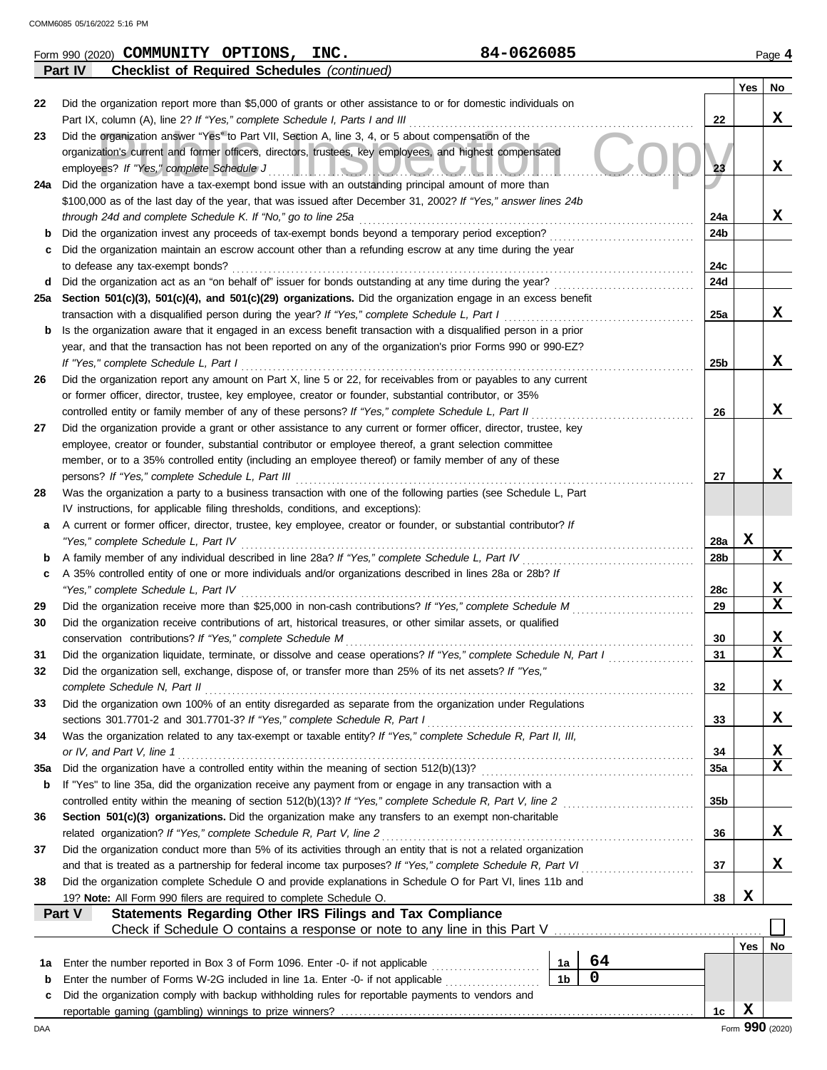|     | 84-0626085<br>Form 990 (2020) COMMUNITY OPTIONS, INC.                                                                                                                                                             |                |    |                 |             | Page 4                  |
|-----|-------------------------------------------------------------------------------------------------------------------------------------------------------------------------------------------------------------------|----------------|----|-----------------|-------------|-------------------------|
|     | Part IV<br><b>Checklist of Required Schedules (continued)</b>                                                                                                                                                     |                |    |                 |             |                         |
|     |                                                                                                                                                                                                                   |                |    |                 | Yes         | No                      |
| 22  | Did the organization report more than \$5,000 of grants or other assistance to or for domestic individuals on                                                                                                     |                |    |                 |             |                         |
|     | Part IX, column (A), line 2? If "Yes," complete Schedule I, Parts I and III                                                                                                                                       |                |    | 22              |             | x                       |
| 23  | Did the organization answer "Yes" to Part VII, Section A, line 3, 4, or 5 about compensation of the                                                                                                               |                |    |                 |             |                         |
|     | organization's current and former officers, directors, trustees, key employees, and highest compensated                                                                                                           |                |    |                 |             |                         |
|     | employees? If "Yes," complete Schedule J<br><u>LIQIQQQAMI</u>                                                                                                                                                     |                |    | 23              |             | X                       |
|     | 24a Did the organization have a tax-exempt bond issue with an outstanding principal amount of more than                                                                                                           |                |    |                 |             |                         |
|     | \$100,000 as of the last day of the year, that was issued after December 31, 2002? If "Yes," answer lines 24b                                                                                                     |                |    |                 |             |                         |
|     | through 24d and complete Schedule K. If "No," go to line 25a                                                                                                                                                      |                |    | 24a             |             | x                       |
| b   | Did the organization invest any proceeds of tax-exempt bonds beyond a temporary period exception?                                                                                                                 |                |    | 24b             |             |                         |
| c   | Did the organization maintain an escrow account other than a refunding escrow at any time during the year                                                                                                         |                |    |                 |             |                         |
|     | to defease any tax-exempt bonds?                                                                                                                                                                                  |                |    | 24c             |             |                         |
|     | d Did the organization act as an "on behalf of" issuer for bonds outstanding at any time during the year?                                                                                                         |                |    | 24d             |             |                         |
|     | 25a Section 501(c)(3), 501(c)(4), and 501(c)(29) organizations. Did the organization engage in an excess benefit                                                                                                  |                |    | 25a             |             | x                       |
|     | transaction with a disqualified person during the year? If "Yes," complete Schedule L, Part I<br>Is the organization aware that it engaged in an excess benefit transaction with a disqualified person in a prior |                |    |                 |             |                         |
| b   | year, and that the transaction has not been reported on any of the organization's prior Forms 990 or 990-EZ?                                                                                                      |                |    |                 |             |                         |
|     | If "Yes," complete Schedule L, Part I                                                                                                                                                                             |                |    | 25b             |             | X                       |
| 26  | Did the organization report any amount on Part X, line 5 or 22, for receivables from or payables to any current                                                                                                   |                |    |                 |             |                         |
|     | or former officer, director, trustee, key employee, creator or founder, substantial contributor, or 35%                                                                                                           |                |    |                 |             |                         |
|     | controlled entity or family member of any of these persons? If "Yes," complete Schedule L, Part II                                                                                                                |                |    | 26              |             | X                       |
| 27  | Did the organization provide a grant or other assistance to any current or former officer, director, trustee, key                                                                                                 |                |    |                 |             |                         |
|     | employee, creator or founder, substantial contributor or employee thereof, a grant selection committee                                                                                                            |                |    |                 |             |                         |
|     | member, or to a 35% controlled entity (including an employee thereof) or family member of any of these                                                                                                            |                |    |                 |             |                         |
|     | persons? If "Yes," complete Schedule L, Part III                                                                                                                                                                  |                |    | 27              |             | X                       |
| 28  | Was the organization a party to a business transaction with one of the following parties (see Schedule L, Part                                                                                                    |                |    |                 |             |                         |
|     | IV instructions, for applicable filing thresholds, conditions, and exceptions):                                                                                                                                   |                |    |                 |             |                         |
| а   | A current or former officer, director, trustee, key employee, creator or founder, or substantial contributor? If                                                                                                  |                |    |                 |             |                         |
|     | "Yes," complete Schedule L, Part IV                                                                                                                                                                               |                |    | 28a             | $\mathbf x$ |                         |
| b   | A family member of any individual described in line 28a? If "Yes," complete Schedule L, Part IV                                                                                                                   |                |    | 28b             |             | $\mathbf x$             |
| c   | A 35% controlled entity of one or more individuals and/or organizations described in lines 28a or 28b? If                                                                                                         |                |    |                 |             |                         |
|     | "Yes," complete Schedule L, Part IV                                                                                                                                                                               |                |    | 28c             |             | X                       |
| 29  | Did the organization receive more than \$25,000 in non-cash contributions? If "Yes," complete Schedule M                                                                                                          |                |    | 29              |             | $\mathbf x$             |
| 30  | Did the organization receive contributions of art, historical treasures, or other similar assets, or qualified                                                                                                    |                |    |                 |             |                         |
|     | conservation contributions? If "Yes," complete Schedule M                                                                                                                                                         |                |    | 30              |             | X                       |
| 31  | Did the organization liquidate, terminate, or dissolve and cease operations? If "Yes," complete Schedule N, Part I                                                                                                |                |    | 31              |             | $\overline{\textbf{X}}$ |
| 32  | Did the organization sell, exchange, dispose of, or transfer more than 25% of its net assets? If "Yes,"                                                                                                           |                |    |                 |             |                         |
|     | complete Schedule N, Part II                                                                                                                                                                                      |                |    | 32              |             | X                       |
| 33  | Did the organization own 100% of an entity disregarded as separate from the organization under Regulations                                                                                                        |                |    |                 |             |                         |
|     | sections 301.7701-2 and 301.7701-3? If "Yes," complete Schedule R, Part I                                                                                                                                         |                |    | 33              |             | X                       |
| 34  | Was the organization related to any tax-exempt or taxable entity? If "Yes," complete Schedule R, Part II, III,                                                                                                    |                |    |                 |             |                         |
|     | or IV, and Part V, line 1                                                                                                                                                                                         |                |    | 34              |             | х                       |
| 35a | Did the organization have a controlled entity within the meaning of section 512(b)(13)?                                                                                                                           |                |    | 35a             |             | $\mathbf x$             |
| b   | If "Yes" to line 35a, did the organization receive any payment from or engage in any transaction with a                                                                                                           |                |    |                 |             |                         |
|     | controlled entity within the meaning of section 512(b)(13)? If "Yes," complete Schedule R, Part V, line 2                                                                                                         |                |    | 35 <sub>b</sub> |             |                         |
| 36  | Section 501(c)(3) organizations. Did the organization make any transfers to an exempt non-charitable                                                                                                              |                |    |                 |             |                         |
|     | related organization? If "Yes," complete Schedule R, Part V, line 2                                                                                                                                               |                |    | 36              |             | X                       |
| 37  | Did the organization conduct more than 5% of its activities through an entity that is not a related organization                                                                                                  |                |    |                 |             |                         |
|     | and that is treated as a partnership for federal income tax purposes? If "Yes," complete Schedule R, Part VI                                                                                                      |                |    | 37              |             | X                       |
| 38  | Did the organization complete Schedule O and provide explanations in Schedule O for Part VI, lines 11b and                                                                                                        |                |    |                 |             |                         |
|     | 19? Note: All Form 990 filers are required to complete Schedule O.                                                                                                                                                |                |    | 38              | X           |                         |
|     | Part V<br>Statements Regarding Other IRS Filings and Tax Compliance                                                                                                                                               |                |    |                 |             |                         |
|     |                                                                                                                                                                                                                   |                |    |                 |             |                         |
|     |                                                                                                                                                                                                                   |                |    |                 | Yes         | No                      |
| 1a  | Enter the number reported in Box 3 of Form 1096. Enter -0- if not applicable                                                                                                                                      | 1a             | 64 |                 |             |                         |
| b   | Enter the number of Forms W-2G included in line 1a. Enter -0- if not applicable                                                                                                                                   | 1 <sub>b</sub> | 0  |                 |             |                         |
| c   | Did the organization comply with backup withholding rules for reportable payments to vendors and                                                                                                                  |                |    |                 |             |                         |
|     |                                                                                                                                                                                                                   |                |    | 1c              | X           |                         |
| DAA |                                                                                                                                                                                                                   |                |    |                 |             | Form 990 (2020)         |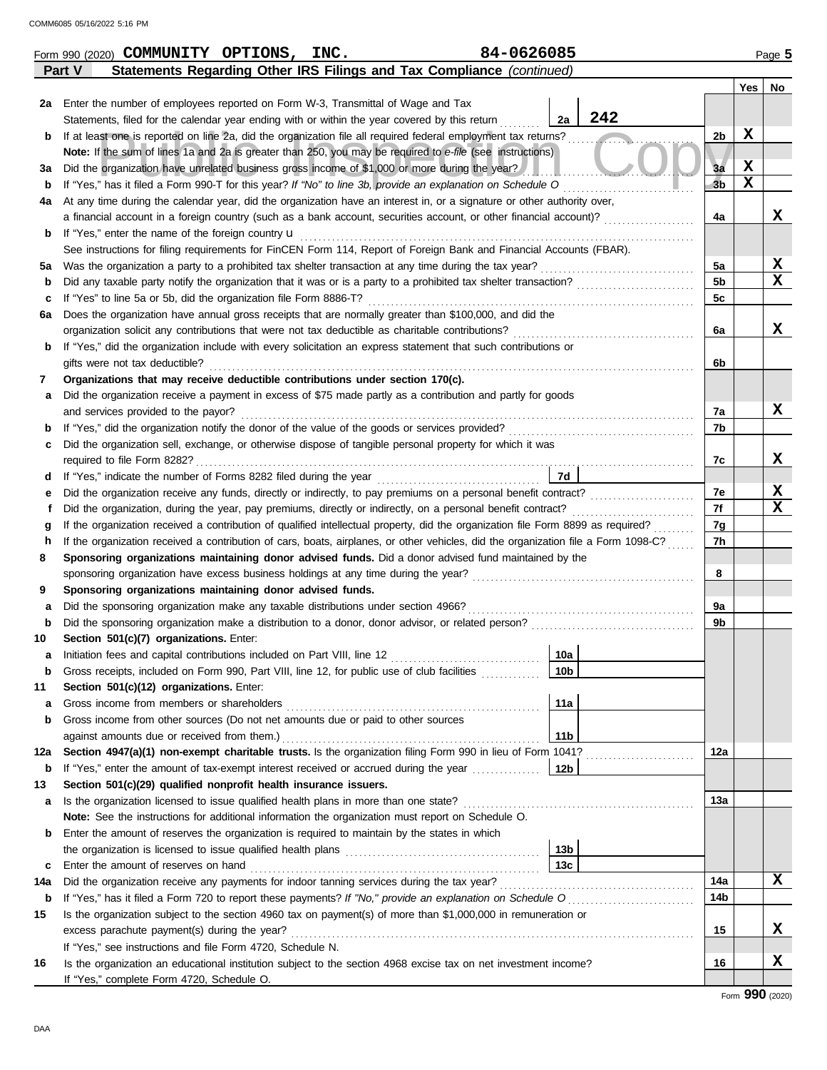|             | Statements Regarding Other IRS Filings and Tax Compliance (continued)<br>Part V                                                                                                                                    |                |     |                              |
|-------------|--------------------------------------------------------------------------------------------------------------------------------------------------------------------------------------------------------------------|----------------|-----|------------------------------|
|             |                                                                                                                                                                                                                    |                | Yes | No                           |
| 2a          | Enter the number of employees reported on Form W-3, Transmittal of Wage and Tax                                                                                                                                    |                |     |                              |
|             | 242<br>2a<br>Statements, filed for the calendar year ending with or within the year covered by this return                                                                                                         |                |     |                              |
| b           | If at least one is reported on line 2a, did the organization file all required federal employment tax returns?                                                                                                     | 2b             | X   |                              |
|             | Note: If the sum of lines 1a and 2a is greater than 250, you may be required to e-file (see instructions)                                                                                                          |                |     |                              |
| за          | Did the organization have unrelated business gross income of \$1,000 or more during the year?                                                                                                                      | 3a             | x   |                              |
| $\mathbf b$ | If "Yes," has it filed a Form 990-T for this year? If "No" to line 3b, provide an explanation on Schedule O                                                                                                        | 3 <sub>b</sub> | X   |                              |
| 4a          | At any time during the calendar year, did the organization have an interest in, or a signature or other authority over,                                                                                            |                |     |                              |
|             | a financial account in a foreign country (such as a bank account, securities account, or other financial account)?                                                                                                 | 4a             |     | x                            |
| b           | If "Yes," enter the name of the foreign country u                                                                                                                                                                  |                |     |                              |
|             | See instructions for filing requirements for FinCEN Form 114, Report of Foreign Bank and Financial Accounts (FBAR).                                                                                                |                |     |                              |
| 5а          | Was the organization a party to a prohibited tax shelter transaction at any time during the tax year?                                                                                                              | 5а             |     | х<br>$\overline{\mathbf{x}}$ |
| $\mathbf b$ |                                                                                                                                                                                                                    | 5 <sub>b</sub> |     |                              |
| c           | If "Yes" to line 5a or 5b, did the organization file Form 8886-T?                                                                                                                                                  | 5c             |     |                              |
| 6а          | Does the organization have annual gross receipts that are normally greater than \$100,000, and did the                                                                                                             |                |     | x                            |
|             | organization solicit any contributions that were not tax deductible as charitable contributions?<br>If "Yes," did the organization include with every solicitation an express statement that such contributions or | 6a             |     |                              |
| b           |                                                                                                                                                                                                                    |                |     |                              |
|             | gifts were not tax deductible?<br>Organizations that may receive deductible contributions under section 170(c).                                                                                                    | 6b             |     |                              |
| 7           | Did the organization receive a payment in excess of \$75 made partly as a contribution and partly for goods                                                                                                        |                |     |                              |
| а           | and services provided to the payor?                                                                                                                                                                                | 7a             |     | x                            |
| $\mathbf b$ |                                                                                                                                                                                                                    | 7b             |     |                              |
| c           | Did the organization sell, exchange, or otherwise dispose of tangible personal property for which it was                                                                                                           |                |     |                              |
|             | required to file Form 8282?                                                                                                                                                                                        | 7c             |     | x                            |
| d           | 7d                                                                                                                                                                                                                 |                |     |                              |
| е           | Did the organization receive any funds, directly or indirectly, to pay premiums on a personal benefit contract?                                                                                                    | 7e             |     | X                            |
| f           | Did the organization, during the year, pay premiums, directly or indirectly, on a personal benefit contract?                                                                                                       | 7f             |     | $\overline{\mathbf{x}}$      |
| g           | If the organization received a contribution of qualified intellectual property, did the organization file Form 8899 as required?                                                                                   | 7g             |     |                              |
| h           | If the organization received a contribution of cars, boats, airplanes, or other vehicles, did the organization file a Form 1098-C?                                                                                 | 7h             |     |                              |
| 8           | Sponsoring organizations maintaining donor advised funds. Did a donor advised fund maintained by the                                                                                                               |                |     |                              |
|             | sponsoring organization have excess business holdings at any time during the year?                                                                                                                                 | 8              |     |                              |
| 9           | Sponsoring organizations maintaining donor advised funds.                                                                                                                                                          |                |     |                              |
| a           | Did the sponsoring organization make any taxable distributions under section 4966?                                                                                                                                 | 9a             |     |                              |
| $\mathbf b$ |                                                                                                                                                                                                                    | 9b             |     |                              |
| 10          | Section 501(c)(7) organizations. Enter:                                                                                                                                                                            |                |     |                              |
| а           | 10a                                                                                                                                                                                                                |                |     |                              |
|             | 10 <sub>b</sub><br>Gross receipts, included on Form 990, Part VIII, line 12, for public use of club facilities                                                                                                     |                |     |                              |
| 11          | Section 501(c)(12) organizations. Enter:                                                                                                                                                                           |                |     |                              |
| а           | Gross income from members or shareholders<br>11a                                                                                                                                                                   |                |     |                              |
| $\mathbf b$ | Gross income from other sources (Do not net amounts due or paid to other sources                                                                                                                                   |                |     |                              |
|             | 11 <sub>b</sub><br>against amounts due or received from them.)                                                                                                                                                     |                |     |                              |
| 12a         | Section 4947(a)(1) non-exempt charitable trusts. Is the organization filing Form 990 in lieu of Form 1041?                                                                                                         | 12a            |     |                              |
| b           | If "Yes," enter the amount of tax-exempt interest received or accrued during the year<br>12b                                                                                                                       |                |     |                              |
| 13          | Section 501(c)(29) qualified nonprofit health insurance issuers.                                                                                                                                                   |                |     |                              |
| а           | Is the organization licensed to issue qualified health plans in more than one state?                                                                                                                               | 13а            |     |                              |
|             | <b>Note:</b> See the instructions for additional information the organization must report on Schedule O.                                                                                                           |                |     |                              |
| b           | Enter the amount of reserves the organization is required to maintain by the states in which                                                                                                                       |                |     |                              |
|             | 13 <sub>b</sub>                                                                                                                                                                                                    |                |     |                              |
| c           | 13с<br>Enter the amount of reserves on hand                                                                                                                                                                        |                |     |                              |
| 14a         | Did the organization receive any payments for indoor tanning services during the tax year?                                                                                                                         | 14a            |     | X                            |
| b           | If "Yes," has it filed a Form 720 to report these payments? If "No," provide an explanation on Schedule O                                                                                                          | 14b            |     |                              |
| 15          | Is the organization subject to the section 4960 tax on payment(s) of more than \$1,000,000 in remuneration or                                                                                                      |                |     |                              |
|             | excess parachute payment(s) during the year?                                                                                                                                                                       | 15             |     | X                            |
|             | If "Yes," see instructions and file Form 4720, Schedule N.                                                                                                                                                         |                |     |                              |
| 16          | Is the organization an educational institution subject to the section 4968 excise tax on net investment income?                                                                                                    | 16             |     | x                            |
|             | If "Yes," complete Form 4720, Schedule O.                                                                                                                                                                          |                |     |                              |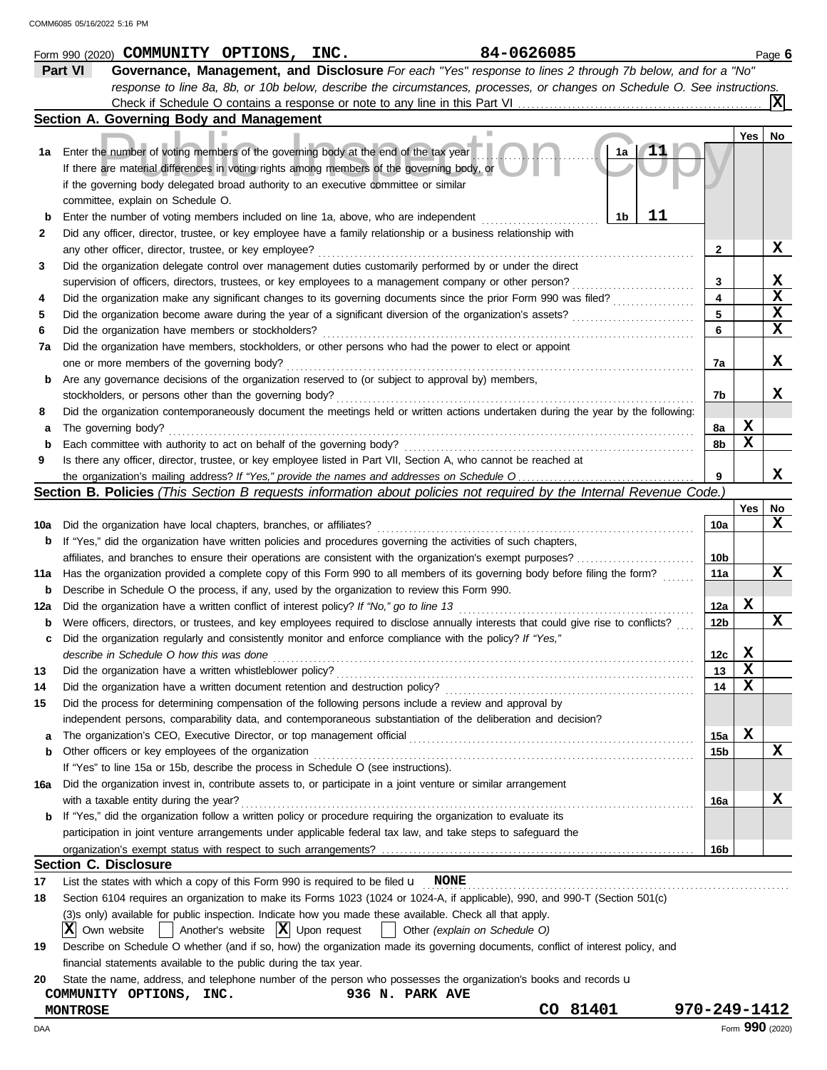|     | 84-0626085<br>Form 990 (2020) <b>COMMUNITY OPTIONS, INC.</b>                                                                        |                 |             | Page 6          |
|-----|-------------------------------------------------------------------------------------------------------------------------------------|-----------------|-------------|-----------------|
|     | Part VI<br>Governance, Management, and Disclosure For each "Yes" response to lines 2 through 7b below, and for a "No"               |                 |             |                 |
|     | response to line 8a, 8b, or 10b below, describe the circumstances, processes, or changes on Schedule O. See instructions.           |                 |             |                 |
|     |                                                                                                                                     |                 |             |                 |
|     | Section A. Governing Body and Management                                                                                            |                 |             |                 |
|     |                                                                                                                                     |                 | Yes         | No              |
| 1а  | 1a<br>Enter the number of voting members of the governing body at the end of the tax year                                           |                 |             |                 |
|     | If there are material differences in voting rights among members of the governing body, or                                          |                 |             |                 |
|     | if the governing body delegated broad authority to an executive committee or similar                                                |                 |             |                 |
|     | committee, explain on Schedule O.                                                                                                   |                 |             |                 |
| b   | 11<br>1b<br>Enter the number of voting members included on line 1a, above, who are independent                                      |                 |             |                 |
| 2   | Did any officer, director, trustee, or key employee have a family relationship or a business relationship with                      |                 |             |                 |
|     | any other officer, director, trustee, or key employee?                                                                              | $\mathbf{2}$    |             | X               |
| 3   | Did the organization delegate control over management duties customarily performed by or under the direct                           |                 |             |                 |
|     | supervision of officers, directors, trustees, or key employees to a management company or other person?                             | 3               |             | X               |
| 4   | Did the organization make any significant changes to its governing documents since the prior Form 990 was filed?                    | 4               |             | X               |
| 5   | Did the organization become aware during the year of a significant diversion of the organization's assets?                          | 5               |             | X               |
| 6   | Did the organization have members or stockholders?                                                                                  | 6               |             | X               |
| 7a  | Did the organization have members, stockholders, or other persons who had the power to elect or appoint                             |                 |             |                 |
|     | one or more members of the governing body?                                                                                          | 7a              |             | X               |
| b   | Are any governance decisions of the organization reserved to (or subject to approval by) members,                                   |                 |             |                 |
|     | stockholders, or persons other than the governing body?                                                                             | 7b              |             | x               |
| 8   | Did the organization contemporaneously document the meetings held or written actions undertaken during the year by the following:   |                 |             |                 |
|     | The governing body?                                                                                                                 | 8а              | X           |                 |
| а   |                                                                                                                                     | 8b              | $\mathbf x$ |                 |
| b   | Each committee with authority to act on behalf of the governing body?                                                               |                 |             |                 |
| 9   | Is there any officer, director, trustee, or key employee listed in Part VII, Section A, who cannot be reached at                    | 9               |             | x               |
|     |                                                                                                                                     |                 |             |                 |
|     | <b>Section B. Policies</b> (This Section B requests information about policies not required by the Internal Revenue Code.)          |                 |             |                 |
|     |                                                                                                                                     |                 | Yes         | No<br>X         |
| 10a | Did the organization have local chapters, branches, or affiliates?                                                                  | 10a             |             |                 |
| b   | If "Yes," did the organization have written policies and procedures governing the activities of such chapters,                      |                 |             |                 |
|     | affiliates, and branches to ensure their operations are consistent with the organization's exempt purposes?                         | 10 <sub>b</sub> |             | X               |
| 11a | Has the organization provided a complete copy of this Form 990 to all members of its governing body before filing the form?         | 11a             |             |                 |
| b   | Describe in Schedule O the process, if any, used by the organization to review this Form 990.                                       |                 |             |                 |
| 12a | Did the organization have a written conflict of interest policy? If "No," go to line 13                                             | 12a             | X           |                 |
| b   | Were officers, directors, or trustees, and key employees required to disclose annually interests that could give rise to conflicts? | 12 <sub>b</sub> |             | x               |
| c   | Did the organization regularly and consistently monitor and enforce compliance with the policy? If "Yes,"                           |                 |             |                 |
|     | describe in Schedule O how this was done                                                                                            | 12 <sub>c</sub> | X           |                 |
| 13  | Did the organization have a written whistleblower policy?                                                                           | 13              | $\mathbf x$ |                 |
| 14  | Did the organization have a written document retention and destruction policy?                                                      | 14              | X           |                 |
| 15  | Did the process for determining compensation of the following persons include a review and approval by                              |                 |             |                 |
|     | independent persons, comparability data, and contemporaneous substantiation of the deliberation and decision?                       |                 |             |                 |
| а   | The organization's CEO, Executive Director, or top management official                                                              | 15a             | $\mathbf x$ |                 |
| b   | Other officers or key employees of the organization                                                                                 | 15b             |             | X               |
|     | If "Yes" to line 15a or 15b, describe the process in Schedule O (see instructions).                                                 |                 |             |                 |
| 16a | Did the organization invest in, contribute assets to, or participate in a joint venture or similar arrangement                      |                 |             |                 |
|     | with a taxable entity during the year?                                                                                              | 16a             |             | X               |
|     | If "Yes," did the organization follow a written policy or procedure requiring the organization to evaluate its                      |                 |             |                 |
|     | participation in joint venture arrangements under applicable federal tax law, and take steps to safeguard the                       |                 |             |                 |
|     |                                                                                                                                     | 16b             |             |                 |
|     | <b>Section C. Disclosure</b>                                                                                                        |                 |             |                 |
| 17  | List the states with which a copy of this Form 990 is required to be filed $\mathbf u$ NONE                                         |                 |             |                 |
| 18  | Section 6104 requires an organization to make its Forms 1023 (1024 or 1024-A, if applicable), 990, and 990-T (Section 501(c)        |                 |             |                 |
|     | (3)s only) available for public inspection. Indicate how you made these available. Check all that apply.                            |                 |             |                 |
|     | ΙXΙ<br>Another's website $ \mathbf{X} $ Upon request<br>Own website<br>Other (explain on Schedule O)                                |                 |             |                 |
| 19  | Describe on Schedule O whether (and if so, how) the organization made its governing documents, conflict of interest policy, and     |                 |             |                 |
|     | financial statements available to the public during the tax year.                                                                   |                 |             |                 |
| 20  | State the name, address, and telephone number of the person who possesses the organization's books and records u                    |                 |             |                 |
|     | 936 N. PARK AVE<br>COMMUNITY OPTIONS, INC.                                                                                          |                 |             |                 |
|     | CO 81401<br><b>MONTROSE</b>                                                                                                         | 970-249-1412    |             |                 |
| DAA |                                                                                                                                     |                 |             | Form 990 (2020) |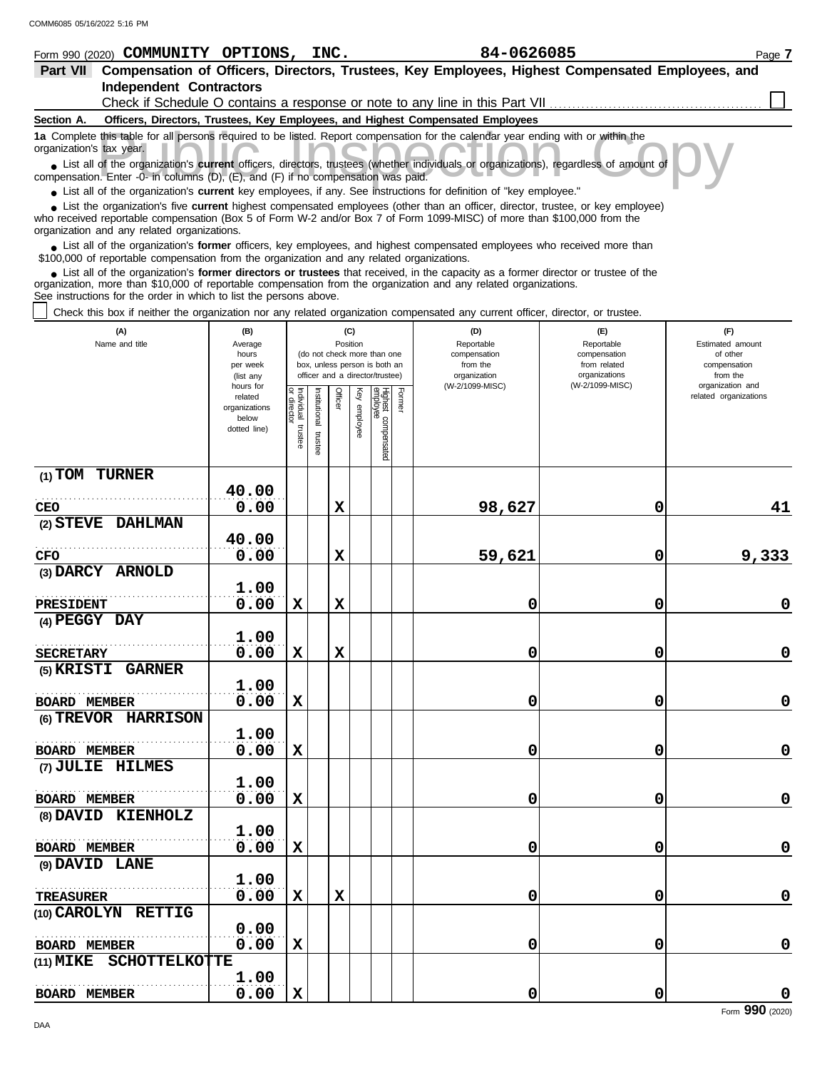| COMM6085 05/16/2022 5:16 PM                                                                                                                                                                                                                                                                                                 |                                                                            |                        |                       |         |              |                                 |                                                                                                  |                 |                                           |  |  |  |
|-----------------------------------------------------------------------------------------------------------------------------------------------------------------------------------------------------------------------------------------------------------------------------------------------------------------------------|----------------------------------------------------------------------------|------------------------|-----------------------|---------|--------------|---------------------------------|--------------------------------------------------------------------------------------------------|-----------------|-------------------------------------------|--|--|--|
| Form 990 (2020) COMMUNITY OPTIONS, INC.                                                                                                                                                                                                                                                                                     |                                                                            |                        |                       |         |              |                                 | 84-0626085                                                                                       |                 | Page 7                                    |  |  |  |
| <b>Part VII</b>                                                                                                                                                                                                                                                                                                             |                                                                            |                        |                       |         |              |                                 | Compensation of Officers, Directors, Trustees, Key Employees, Highest Compensated Employees, and |                 |                                           |  |  |  |
| <b>Independent Contractors</b>                                                                                                                                                                                                                                                                                              |                                                                            |                        |                       |         |              |                                 |                                                                                                  |                 |                                           |  |  |  |
|                                                                                                                                                                                                                                                                                                                             |                                                                            |                        |                       |         |              |                                 | Check if Schedule O contains a response or note to any line in this Part VII                     |                 |                                           |  |  |  |
| Section A.                                                                                                                                                                                                                                                                                                                  |                                                                            |                        |                       |         |              |                                 | Officers, Directors, Trustees, Key Employees, and Highest Compensated Employees                  |                 |                                           |  |  |  |
| 1a Complete this table for all persons required to be listed. Report compensation for the calendar year ending with or within the<br>organization's tax year.                                                                                                                                                               |                                                                            |                        |                       |         |              |                                 |                                                                                                  |                 |                                           |  |  |  |
| • List all of the organization's current officers, directors, trustees (whether individuals or organizations), regardless of amount of                                                                                                                                                                                      |                                                                            |                        |                       |         |              |                                 |                                                                                                  |                 |                                           |  |  |  |
| compensation. Enter -0- in columns (D), (E), and (F) if no compensation was paid.                                                                                                                                                                                                                                           |                                                                            |                        |                       |         |              |                                 |                                                                                                  |                 |                                           |  |  |  |
| • List all of the organization's current key employees, if any. See instructions for definition of "key employee."                                                                                                                                                                                                          |                                                                            |                        |                       |         |              |                                 |                                                                                                  |                 |                                           |  |  |  |
| List the organization's five current highest compensated employees (other than an officer, director, trustee, or key employee)<br>who received reportable compensation (Box 5 of Form W-2 and/or Box 7 of Form 1099-MISC) of more than \$100,000 from the                                                                   |                                                                            |                        |                       |         |              |                                 |                                                                                                  |                 |                                           |  |  |  |
| organization and any related organizations.                                                                                                                                                                                                                                                                                 |                                                                            |                        |                       |         |              |                                 |                                                                                                  |                 |                                           |  |  |  |
| • List all of the organization's former officers, key employees, and highest compensated employees who received more than<br>\$100,000 of reportable compensation from the organization and any related organizations.                                                                                                      |                                                                            |                        |                       |         |              |                                 |                                                                                                  |                 |                                           |  |  |  |
| List all of the organization's former directors or trustees that received, in the capacity as a former director or trustee of the<br>organization, more than \$10,000 of reportable compensation from the organization and any related organizations.<br>See instructions for the order in which to list the persons above. |                                                                            |                        |                       |         |              |                                 |                                                                                                  |                 |                                           |  |  |  |
| Check this box if neither the organization nor any related organization compensated any current officer, director, or trustee.                                                                                                                                                                                              |                                                                            |                        |                       |         |              |                                 |                                                                                                  |                 |                                           |  |  |  |
| (A)                                                                                                                                                                                                                                                                                                                         | (B)                                                                        |                        |                       |         |              |                                 | (D)                                                                                              | (E)             | (F)                                       |  |  |  |
| Name and title                                                                                                                                                                                                                                                                                                              | (C)<br>Position<br>Estimated amount<br>Reportable<br>Reportable<br>Average |                        |                       |         |              |                                 |                                                                                                  |                 |                                           |  |  |  |
| compensation<br>(do not check more than one<br>compensation<br>of other<br>hours<br>box, unless person is both an<br>from the<br>from related<br>per week<br>compensation                                                                                                                                                   |                                                                            |                        |                       |         |              |                                 |                                                                                                  |                 |                                           |  |  |  |
|                                                                                                                                                                                                                                                                                                                             | (list any                                                                  |                        |                       |         |              | officer and a director/trustee) | organization                                                                                     | organizations   | from the                                  |  |  |  |
|                                                                                                                                                                                                                                                                                                                             | hours for<br>related                                                       |                        |                       | Officer |              | Former                          | (W-2/1099-MISC)                                                                                  | (W-2/1099-MISC) | organization and<br>related organizations |  |  |  |
|                                                                                                                                                                                                                                                                                                                             | organizations<br>below                                                     | Individual<br>director |                       |         |              |                                 |                                                                                                  |                 |                                           |  |  |  |
|                                                                                                                                                                                                                                                                                                                             | dotted line)                                                               | trustee                |                       |         | Key employee |                                 |                                                                                                  |                 |                                           |  |  |  |
|                                                                                                                                                                                                                                                                                                                             |                                                                            |                        | Institutional trustee |         |              | Highest compensated<br>employee |                                                                                                  |                 |                                           |  |  |  |
|                                                                                                                                                                                                                                                                                                                             |                                                                            |                        |                       |         |              |                                 |                                                                                                  |                 |                                           |  |  |  |
| $(1)$ TOM TURNER                                                                                                                                                                                                                                                                                                            | 40.00                                                                      |                        |                       |         |              |                                 |                                                                                                  |                 |                                           |  |  |  |
|                                                                                                                                                                                                                                                                                                                             | 0.00                                                                       |                        |                       | X       |              |                                 | 98,627                                                                                           | 0               | 41                                        |  |  |  |
| CEO<br>(2) STEVE DAHLMAN                                                                                                                                                                                                                                                                                                    |                                                                            |                        |                       |         |              |                                 |                                                                                                  |                 |                                           |  |  |  |
|                                                                                                                                                                                                                                                                                                                             | 40.00                                                                      |                        |                       |         |              |                                 |                                                                                                  |                 |                                           |  |  |  |
| CFO                                                                                                                                                                                                                                                                                                                         | 0.00                                                                       |                        |                       | X       |              |                                 | 59,621                                                                                           | 0               | 9,333                                     |  |  |  |
| (3) DARCY ARNOLD                                                                                                                                                                                                                                                                                                            |                                                                            |                        |                       |         |              |                                 |                                                                                                  |                 |                                           |  |  |  |
|                                                                                                                                                                                                                                                                                                                             | 1.00                                                                       |                        |                       |         |              |                                 |                                                                                                  |                 |                                           |  |  |  |
| PRESIDENT                                                                                                                                                                                                                                                                                                                   | 0.00                                                                       | X                      |                       | X       |              |                                 | 0                                                                                                | 0               | 0                                         |  |  |  |
| (4) PEGGY DAY                                                                                                                                                                                                                                                                                                               |                                                                            |                        |                       |         |              |                                 |                                                                                                  |                 |                                           |  |  |  |
|                                                                                                                                                                                                                                                                                                                             | 1.00                                                                       |                        |                       |         |              |                                 |                                                                                                  |                 |                                           |  |  |  |
| <b>SECRETARY</b>                                                                                                                                                                                                                                                                                                            | 0.00                                                                       | X                      |                       | X       |              |                                 | 0                                                                                                | 0               | 0                                         |  |  |  |
| (5) KRISTI GARNER                                                                                                                                                                                                                                                                                                           |                                                                            |                        |                       |         |              |                                 |                                                                                                  |                 |                                           |  |  |  |
|                                                                                                                                                                                                                                                                                                                             | 1.00                                                                       |                        |                       |         |              |                                 |                                                                                                  |                 |                                           |  |  |  |
| <b>BOARD MEMBER</b>                                                                                                                                                                                                                                                                                                         | 0.00                                                                       | $\mathbf x$            |                       |         |              |                                 | 0                                                                                                | 0               | 0                                         |  |  |  |
| (6) TREVOR HARRISON                                                                                                                                                                                                                                                                                                         |                                                                            |                        |                       |         |              |                                 |                                                                                                  |                 |                                           |  |  |  |
|                                                                                                                                                                                                                                                                                                                             | 1.00                                                                       |                        |                       |         |              |                                 |                                                                                                  |                 |                                           |  |  |  |
| <b>BOARD MEMBER</b>                                                                                                                                                                                                                                                                                                         | 0.00                                                                       | X                      |                       |         |              |                                 | 0                                                                                                | 0               | $\mathbf 0$                               |  |  |  |

**0.00 X 0 0 0**

**0.00 X 0 0 0**

**0.00 X 0 0 0**

**0.00 X X 0 0 0**

**0.00 X 0 0 0**

**(7) JULIE HILMES**

**(9) DAVID LANE**

**TREASURER**

**BOARD MEMBER**

**(8) DAVID KIENHOLZ**

**BOARD MEMBER** 0.00

**BOARD MEMBER** 0.00

**BOARD MEMBER** 0.00

. . . . . . . . . . . . . . . . . . . . . . . . . . . . . . . . . . . . . . . . . . . . . . . . . . . . . . .

**BOARD MEMBER** 0.00

. . . . . . . . . . . . . . . . . . . . . . . . . . . . . . . . . . . . . . . . . . . . . . . . . . . . . . .

**1.00**

**1.00**

**1.00**

**0.00**

**1.00**

**(10) CAROLYN RETTIG**

**(11) MIKE SCHOTTELKOTTE**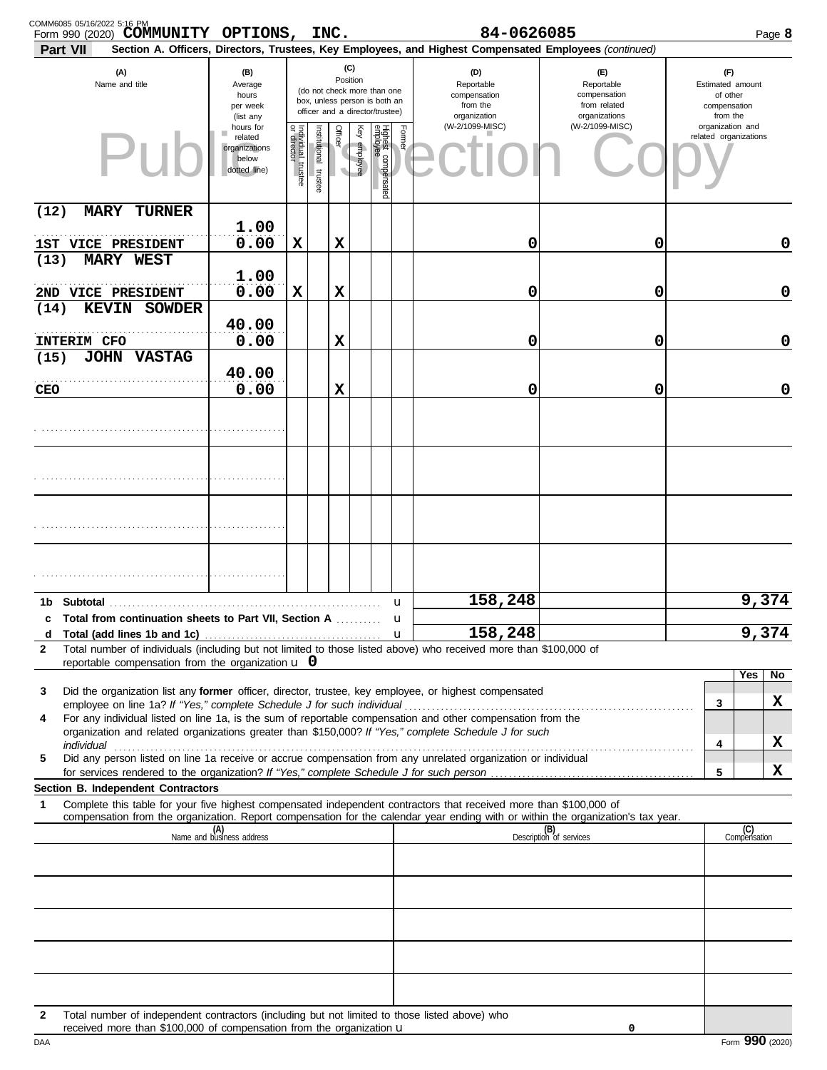| COMM6085 05/16/2022 5:16 PM<br>Part VII | Form 990 (2020) <b>COMMUNITY OPTIONS,</b>                                                                                                                                                                                      |                                                                |                                                                                                                                                                                                                                                           |                       | INC.    |                 |                                 |                                                                 | 84-0626085<br>Section A. Officers, Directors, Trustees, Key Employees, and Highest Compensated Employees (continued)                                                                                                 |                                |                                           | Page 8              |
|-----------------------------------------|--------------------------------------------------------------------------------------------------------------------------------------------------------------------------------------------------------------------------------|----------------------------------------------------------------|-----------------------------------------------------------------------------------------------------------------------------------------------------------------------------------------------------------------------------------------------------------|-----------------------|---------|-----------------|---------------------------------|-----------------------------------------------------------------|----------------------------------------------------------------------------------------------------------------------------------------------------------------------------------------------------------------------|--------------------------------|-------------------------------------------|---------------------|
|                                         | (A)<br>Name and title                                                                                                                                                                                                          | (B)<br>Average<br>hours<br>per week<br>(list any               | (C)<br>(D)<br>(E)<br>Position<br>Reportable<br>Reportable<br>(do not check more than one<br>compensation<br>compensation<br>box, unless person is both an<br>from related<br>from the<br>officer and a director/trustee)<br>organizations<br>organization |                       |         |                 |                                 | (F)<br>Estimated amount<br>of other<br>compensation<br>from the |                                                                                                                                                                                                                      |                                |                                           |                     |
|                                         |                                                                                                                                                                                                                                | hours for<br>related<br>organizations<br>below<br>dotted line) | Individual trustee<br>or director                                                                                                                                                                                                                         | Institutional trustee | Officer | Key<br>employee | Highest compensated<br>employee | Former                                                          | (W-2/1099-MISC)                                                                                                                                                                                                      | (W-2/1099-MISC)                | organization and<br>related organizations |                     |
| (12)                                    | <b>MARY</b><br><b>TURNER</b>                                                                                                                                                                                                   |                                                                |                                                                                                                                                                                                                                                           |                       |         |                 |                                 |                                                                 |                                                                                                                                                                                                                      |                                |                                           |                     |
|                                         | 1ST VICE PRESIDENT                                                                                                                                                                                                             | 1.00<br>0.00                                                   | X                                                                                                                                                                                                                                                         |                       | X       |                 |                                 |                                                                 | 0                                                                                                                                                                                                                    | 0                              |                                           | 0                   |
| (13)                                    | <b>MARY WEST</b><br>2ND VICE PRESIDENT                                                                                                                                                                                         | 1.00<br>0.00                                                   | X                                                                                                                                                                                                                                                         |                       | X       |                 |                                 |                                                                 | 0                                                                                                                                                                                                                    | 0                              |                                           | 0                   |
| (14)                                    | <b>KEVIN</b><br><b>SOWDER</b>                                                                                                                                                                                                  |                                                                |                                                                                                                                                                                                                                                           |                       |         |                 |                                 |                                                                 |                                                                                                                                                                                                                      |                                |                                           |                     |
| <b>INTERIM CFO</b>                      |                                                                                                                                                                                                                                | 40.00<br>0.00                                                  |                                                                                                                                                                                                                                                           |                       | X       |                 |                                 |                                                                 | 0                                                                                                                                                                                                                    | 0                              |                                           | 0                   |
| (15)                                    | <b>JOHN VASTAG</b>                                                                                                                                                                                                             | 40.00                                                          |                                                                                                                                                                                                                                                           |                       |         |                 |                                 |                                                                 |                                                                                                                                                                                                                      |                                |                                           |                     |
| <b>CEO</b>                              |                                                                                                                                                                                                                                | 0.00                                                           |                                                                                                                                                                                                                                                           |                       | X       |                 |                                 |                                                                 | 0                                                                                                                                                                                                                    | 0                              |                                           | 0                   |
|                                         |                                                                                                                                                                                                                                |                                                                |                                                                                                                                                                                                                                                           |                       |         |                 |                                 |                                                                 |                                                                                                                                                                                                                      |                                |                                           |                     |
|                                         |                                                                                                                                                                                                                                |                                                                |                                                                                                                                                                                                                                                           |                       |         |                 |                                 |                                                                 |                                                                                                                                                                                                                      |                                |                                           |                     |
|                                         |                                                                                                                                                                                                                                |                                                                |                                                                                                                                                                                                                                                           |                       |         |                 |                                 |                                                                 |                                                                                                                                                                                                                      |                                |                                           |                     |
|                                         |                                                                                                                                                                                                                                |                                                                |                                                                                                                                                                                                                                                           |                       |         |                 |                                 |                                                                 |                                                                                                                                                                                                                      |                                |                                           |                     |
|                                         |                                                                                                                                                                                                                                |                                                                |                                                                                                                                                                                                                                                           |                       |         |                 |                                 | u                                                               | 158,248                                                                                                                                                                                                              |                                |                                           | 9,374               |
| d                                       | c Total from continuation sheets to Part VII. Section A                                                                                                                                                                        |                                                                |                                                                                                                                                                                                                                                           |                       |         |                 |                                 | u<br>$\mathbf u$                                                | 158,248                                                                                                                                                                                                              |                                |                                           | 9,374               |
| $\mathbf{2}$                            | reportable compensation from the organization $\bf{u}$ 0                                                                                                                                                                       |                                                                |                                                                                                                                                                                                                                                           |                       |         |                 |                                 |                                                                 | Total number of individuals (including but not limited to those listed above) who received more than \$100,000 of                                                                                                    |                                |                                           |                     |
|                                         |                                                                                                                                                                                                                                |                                                                |                                                                                                                                                                                                                                                           |                       |         |                 |                                 |                                                                 |                                                                                                                                                                                                                      |                                |                                           | Yes<br>No           |
| 3                                       |                                                                                                                                                                                                                                |                                                                |                                                                                                                                                                                                                                                           |                       |         |                 |                                 |                                                                 | Did the organization list any former officer, director, trustee, key employee, or highest compensated                                                                                                                |                                | 3                                         | x                   |
| 4                                       |                                                                                                                                                                                                                                |                                                                |                                                                                                                                                                                                                                                           |                       |         |                 |                                 |                                                                 | For any individual listed on line 1a, is the sum of reportable compensation and other compensation from the<br>organization and related organizations greater than \$150,000? If "Yes," complete Schedule J for such |                                |                                           |                     |
| 5                                       | individual communications and contact the contract of the contract of the contract of the contract of the contract of the contract of the contract of the contract of the contract of the contract of the contract of the cont |                                                                |                                                                                                                                                                                                                                                           |                       |         |                 |                                 |                                                                 | Did any person listed on line 1a receive or accrue compensation from any unrelated organization or individual                                                                                                        |                                | 4                                         | X                   |
|                                         |                                                                                                                                                                                                                                |                                                                |                                                                                                                                                                                                                                                           |                       |         |                 |                                 |                                                                 |                                                                                                                                                                                                                      |                                | 5                                         | x                   |
| 1                                       | Section B. Independent Contractors                                                                                                                                                                                             |                                                                |                                                                                                                                                                                                                                                           |                       |         |                 |                                 |                                                                 | Complete this table for your five highest compensated independent contractors that received more than \$100,000 of                                                                                                   |                                |                                           |                     |
|                                         |                                                                                                                                                                                                                                | (A)<br>Name and business address                               |                                                                                                                                                                                                                                                           |                       |         |                 |                                 |                                                                 | compensation from the organization. Report compensation for the calendar year ending with or within the organization's tax year.                                                                                     | (B)<br>Description of services |                                           | (C)<br>Compensation |
|                                         |                                                                                                                                                                                                                                |                                                                |                                                                                                                                                                                                                                                           |                       |         |                 |                                 |                                                                 |                                                                                                                                                                                                                      |                                |                                           |                     |
|                                         |                                                                                                                                                                                                                                |                                                                |                                                                                                                                                                                                                                                           |                       |         |                 |                                 |                                                                 |                                                                                                                                                                                                                      |                                |                                           |                     |
|                                         |                                                                                                                                                                                                                                |                                                                |                                                                                                                                                                                                                                                           |                       |         |                 |                                 |                                                                 |                                                                                                                                                                                                                      |                                |                                           |                     |
|                                         |                                                                                                                                                                                                                                |                                                                |                                                                                                                                                                                                                                                           |                       |         |                 |                                 |                                                                 |                                                                                                                                                                                                                      |                                |                                           |                     |
|                                         |                                                                                                                                                                                                                                |                                                                |                                                                                                                                                                                                                                                           |                       |         |                 |                                 |                                                                 |                                                                                                                                                                                                                      |                                |                                           |                     |
| $\mathbf{2}$                            | Total number of independent contractors (including but not limited to those listed above) who<br>received more than \$100,000 of compensation from the organization $\mathbf u$                                                |                                                                |                                                                                                                                                                                                                                                           |                       |         |                 |                                 |                                                                 |                                                                                                                                                                                                                      | 0                              |                                           |                     |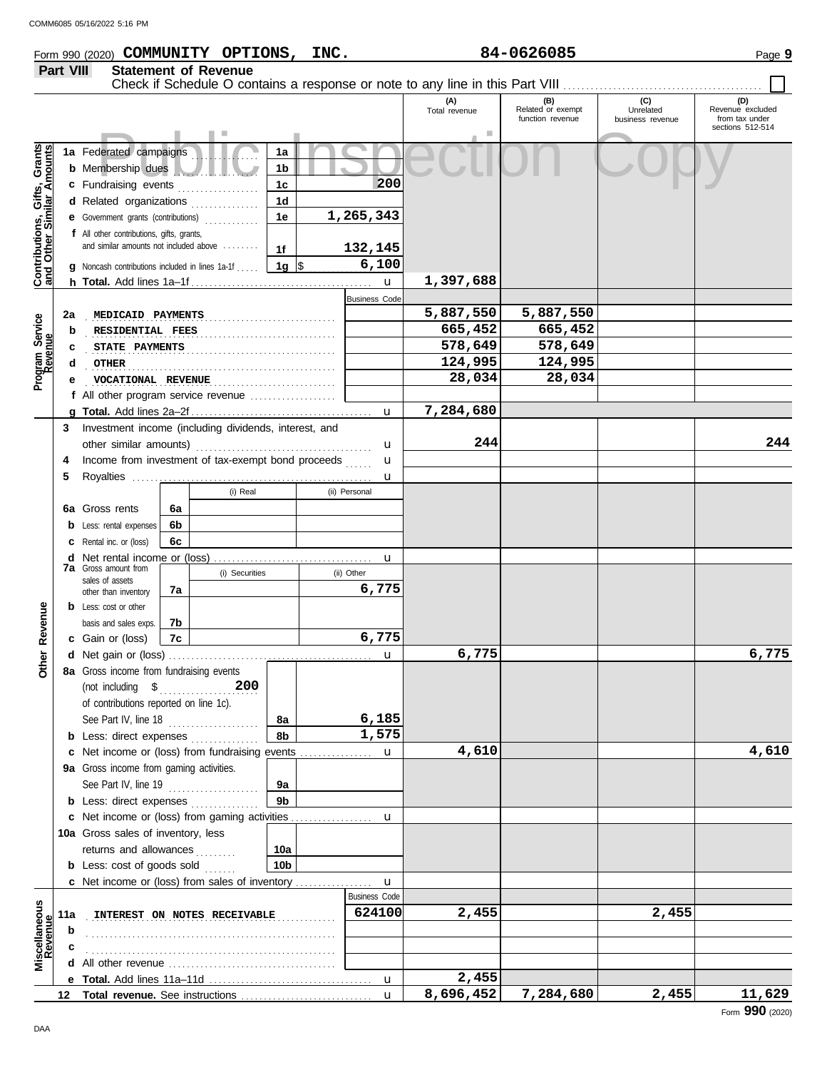**Part VIII Statement of Revenue**

#### Check if Schedule O contains a response or note to any line in this Part VIII **(A) (B) (C) (D)** Total revenue Related or exempt Unrelated Revenue excluded Related of exempt Unrelated Revenue excluded<br>
function revenue business revenue from tax under sections 512-514 Public Inspection Copy <u>ិទី</u> **Contributions, Gifts, Grants and Other Similar Amounts 1a** Federated campaigns **. . . . . . . . . . . . 1a** Gifts, Grant<br>nilar Amount **1b b** Membership dues . . . . . . . . . . . . . . . . . . . **200 c** Fundraising events **. . . . . . . . . . . . . .** . . **1c 1d d** Related organizations . . . . . . . . . . . . . **1,265,343** Contributions,<br>and Other Simi **1e e** Government grants (contributions) . . . . . . . . . . . . **f** All other contributions, gifts, grants, and similar amounts not included above ........ **132,145 1f 1g** \$ . . . . . . . . . . . . . . . . . . . . . **6,100 g** Noncash contributions included in lines 1a-1f . . . . . **1,397,688** u **h Total.** Add lines 1a–1f . . . . . . . . . . . . . . . . . . . . . . . . . . . . . . . . . . . . . . . . Business Code . . . . . . . . . . . . . . . . . . . . . . . . . . . . . . . . . . . . . . . . . . . . . . . . . . . . . . . **2a MEDICAID PAYMENTS 5,887,550 5,887,550** Program Service<br>Revenue **Program Service** . . . . . . . . . . . . . . . . . . . . . . . . . . . . . . . . . . . . . . . . . . . . . . . . . . . . . . . **b RESIDENTIAL FEES 665,452 665,452** . . . . . . . . . . . . . . . . . . . . . . . . . . . . . . . . . . . . . . . . . . . . . . . . . . . . . . . **STATE PAYMENTS 578,649 578,649 c** . . . . . . . . . . . . . . . . . . . . . . . . . . . . . . . . . . . . . . . . . . . . . . . . . . . . . . . **OTHER 124,995 124,995 d e COCATIONAL REVENUE 28,034 28,034 28,034 f** All other program service revenue . . . . . . . . . . . . . . . . . . . **7,284,680 g Total.** Add lines 2a–2f . . . . . . . . . . . . . . . . . . . . . . . . . . . . . . . . . . . . . . . . u **3** Investment income (including dividends, interest, and **244 244** other similar amounts) . . . . . . . . . . . . . . . . . . . . . . . . . . . . . . . . . . . . . . . u u **4** Income from investment of tax-exempt bond proceeds ...... **5** Royalties . . . . . . . . . . . . . . . . . . . . . . . . . . . . . . . . . . . . . . . . . . . . . . . . . . . . . u (i) Real (ii) Personal **6a 6a** Gross rents **6b b** Less: rental expenses **6c c** Rental inc. or (loss) **d** Net rental income or (loss) . . . . . . . . . . . . . . . . . . . . . . . . . . . . . . . . . . . u **7a** Gross amount from (i) Securities (ii) Other sales of assets **6,775 7a** other than inventory Revenue **b** Less: cost or other **Other Revenue** basis and sales exps. **7b 6,775 7c c** Gain or (loss) Other I **6,775 6,775 d** u Net gain or (loss) . . . . . . . . . . . . . . . . . . . . . . . . . . . . . . . . . . . . . . . . . . . . . **8a** Gross income from fundraising events (not including \$ . . . . . . . . . . . . . . . . . . . . . . **200** of contributions reported on line 1c). See Part IV, line 18 . . . . . . . . . . . . . . . . . . . . **8a 6,185 8b 1,575 b** Less: direct expenses . . . . . . . . . . . . . **4,610 4,610** u **c** Net income or (loss) from fundraising events ................ **9a** Gross income from gaming activities. See Part IV, line 19 . . . . . . . . . . . . . . . . . . . . **9a 9b b** Less: direct expenses ............... u Net income or (loss) from gaming activities . . . . . . . . . . . . . . . . . . **c** 10a Gross sales of inventory, less returns and allowances ......... **10a 10b b** Less: cost of goods sold  $\ldots$ Net income or (loss) from sales of inventory . . . . . . . . . . . . . . . . . **c** u Business Code **Revenue Miscellaneous** . . . . . . . . . . . . . . . . . . . . . . . . . . . . . . . . . . . . . . . . . . . . . . . . . . . . . . . **INTEREST ON NOTES RECEIVABLE 624100 2,455 2,455 11a b** . . . . . . . . . . . . . . . . . . . . . . . . . . . . . . . . . . . . . . . . . . . . . . . . . . . . . . . **c** . . . . . . . . . . . . . . . . . . . . . . . . . . . . . . . . . . . . . . . . . . . . . . . . . . . . . . . **d** All other revenue . . . . . . . . . . . . . . . . . . . . . . . . . . . . . . . . . . . . . **2,455** u **e Total.** Add lines 11a–11d . . . . . . . . . . . . . . . . . . . . . . . . . . . . . . . . . . . . **8,696,452 7,284,680 2,455 11,629** u **12 Total revenue.** See instructions ................................ Form **990** (2020)

Form 990 (2020) Page **9 COMMUNITY OPTIONS, INC. 84-0626085**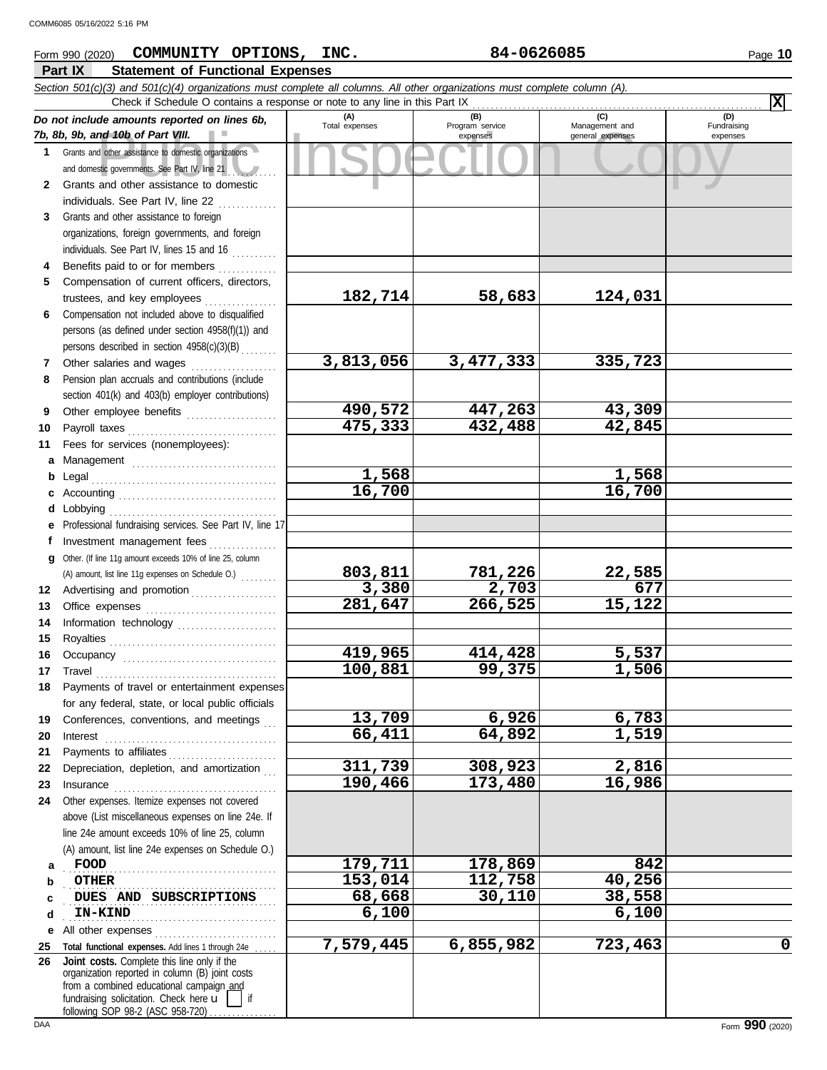#### nd 10b of Part VIII.<br>
dother assistance to domestic organizations<br>
and other assistance to domestic<br>
and other assistance to domestic **Part IX Statement of Functional Expenses** Form 990 (2020) Page **10 COMMUNITY OPTIONS, INC. 84-0626085** *Section 501(c)(3) and 501(c)(4) organizations must complete all columns. All other organizations must complete column (A). Do not include amounts reported on lines 6b, 7b, 8b, 9b, and 10b of Part VIII.* **1 2 3 4 5 6 7 8 9 10 11 a** Management ................................. **b** Legal . . . . . . . . . . . . . . . . . . . . . . . . . . . . . . . . . . . . . . . . . **c** Accounting . . . . . . . . . . . . . . . . . . . . . . . . . . . . . . . . . . . **d** Lobbying . . . . . . . . . . . . . . . . . . . . . . . . . . . . . . . . . . . . . **e** Professional fundraising services. See Part IV, line 17 **f g** Other. (If line 11g amount exceeds 10% of line 25, column **12** Advertising and promotion . . . . . . . . . . . . . . . . . . **13 14 15 16 17 18 19 20 21 22** Depreciation, depletion, and amortization . . . **23 24 a b c d e** All other expenses . . . . . . . . . . . . . . . . . . . . . . . . . . . Grants and other assistance to domestic organizations and domestic governments. See Part IV, line 21 Grants and other assistance to domestic individuals. See Part IV, line 22 Grants and other assistance to foreign organizations, foreign governments, and foreign individuals. See Part IV, lines 15 and 16 Benefits paid to or for members ............. Compensation of current officers, directors, trustees, and key employees . . . . . . . . . . . . . . . . Compensation not included above to disqualified persons (as defined under section 4958(f)(1)) and persons described in section 4958(c)(3)(B) . . . . . . . . Other salaries and wages ................... Pension plan accruals and contributions (include section 401(k) and 403(b) employer contributions) Other employee benefits . . . . . . . . . . . . . . . . . . . . Payroll taxes . . . . . . . . . . . . . . . . . . . . . . . . . . . . . . . . . Fees for services (nonemployees): Investment management fees ............... Office expenses ................................. Information technology ...................... Royalties . . . . . . . . . . . . . . . . . . . . . . . . . . . . . . . . . . . . . Occupancy . . . . . . . . . . . . . . . . . . . . . . . . . . . . . . . . . . Travel . . . . . . . . . . . . . . . . . . . . . . . . . . . . . . . . . . . . . . . . Payments of travel or entertainment expenses for any federal, state, or local public officials Conferences, conventions, and meetings Interest . . . . . . . . . . . . . . . . . . . . . . . . . . . . . . . . . . . . . . Payments to affiliates . . . . . . . . . . . . . . . . . . . . . . . . Insurance . . . . . . . . . . . . . . . . . . . . . . . . . . . . . . . . . . . . Other expenses. Itemize expenses not covered above (List miscellaneous expenses on line 24e. If line 24e amount exceeds 10% of line 25, column (A) amount, list line 24e expenses on Schedule O.) **(A) (B) (C) (D)** Management and expenses and general expenses (D)<br>Fundraising expenses . . . . . . . . . . . . . . . . . . . . . . . . . . . . . . . . . . . . . . . . . . . . . . . **FOOD 179,711 178,869 842** . . . . . . . . . . . . . . . . . . . . . . . . . . . . . . . . . . . . . . . . . . . . . . . **DUES AND SUBSCRIPTIONS 68,668 30,110 38,558** . . . . . . . . . . . . . . . . . . . . . . . . . . . . . . . . . . . . . . . . . . . . . . . **IN-KIND 6,100 6,100** Check if Schedule O contains a response or note to any line in this Part IX (A) amount, list line 11g expenses on Schedule O.) ....... **X 182,714 58,683 124,031 3,813,056 3,477,333 335,723 490,572 447,263 43,309 475,333 432,488 42,845 1,568 1,568 16,700 16,700 803,811 781,226 22,585 3,380 2,703 677 281,647 266,525 15,122 419,965 414,428 5,537 100,881 99,375 1,506 13,709 6,926 6,783 66,411 64,892 1,519 311,739 308,923 2,816 190,466 173,480 16,986 OTHER 153,014 112,758 40,256 7,579,445 6,855,982 723,463 0**

**25 Total functional expenses.** Add lines 1 through 24e . . . . . **26** fundraising solicitation. Check here  $\mathbf u$ organization reported in column (B) joint costs from a combined educational campaign and following SOP 98-2 (ASC 958-720) **Joint costs.** Complete this line only if the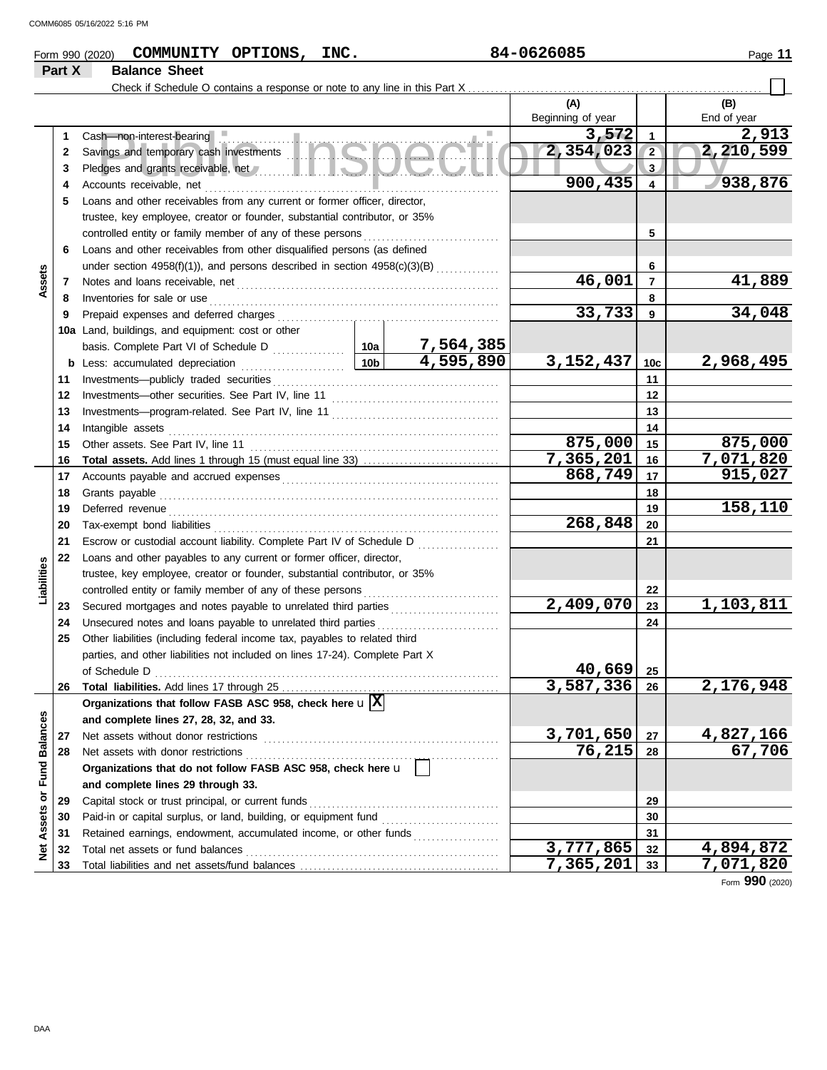|                         |          | COMMUNITY OPTIONS, INC.<br>Form 990 (2020)                                                                                                                                                                                          |                 |                        | 84-0626085        |                 | Page 11     |
|-------------------------|----------|-------------------------------------------------------------------------------------------------------------------------------------------------------------------------------------------------------------------------------------|-----------------|------------------------|-------------------|-----------------|-------------|
|                         | Part X   | <b>Balance Sheet</b>                                                                                                                                                                                                                |                 |                        |                   |                 |             |
|                         |          |                                                                                                                                                                                                                                     |                 |                        |                   |                 |             |
|                         |          |                                                                                                                                                                                                                                     |                 |                        | (A)               |                 | (B)         |
|                         |          |                                                                                                                                                                                                                                     |                 |                        | Beginning of year |                 | End of year |
|                         |          | Cash-non-interest-bearing<br>Cash—non-interest-bearing<br>Savings and temporary cash investments                                                                                                                                    |                 |                        | 3,572             | 1               | 2,913       |
|                         | 2        |                                                                                                                                                                                                                                     |                 |                        | 2,354,023         | $2^{\circ}$     | 2,210,599   |
|                         | 3        | Pledges and grants receivable, net //www.all.com/all.com/all.com/all.com/all.com/all.com/all.com/all                                                                                                                                |                 |                        | 900, 435          | 3 <sub>l</sub>  | 938,876     |
|                         | 4        | Accounts receivable, net                                                                                                                                                                                                            |                 |                        |                   | 4               |             |
|                         | 5        | Loans and other receivables from any current or former officer, director,                                                                                                                                                           |                 |                        |                   |                 |             |
|                         |          | trustee, key employee, creator or founder, substantial contributor, or 35%                                                                                                                                                          |                 |                        |                   | 5               |             |
|                         | 6        | Loans and other receivables from other disqualified persons (as defined                                                                                                                                                             |                 |                        |                   |                 |             |
|                         |          | under section 4958(f)(1)), and persons described in section 4958(c)(3)(B)                                                                                                                                                           |                 |                        |                   | 6               |             |
| Assets                  | 7        |                                                                                                                                                                                                                                     |                 |                        | 46,001            | $\overline{7}$  | 41,889      |
|                         | 8        | Inventories for sale or use <i>communication</i> and the state or use of the state or use of the state or use of the state or use of the state or use of the state of the state of the state of the state of the state or the state |                 |                        |                   | 8               |             |
|                         | 9        | Prepaid expenses and deferred charges                                                                                                                                                                                               |                 |                        | 33,733            | 9               | 34,048      |
|                         |          | 10a Land, buildings, and equipment: cost or other                                                                                                                                                                                   |                 |                        |                   |                 |             |
|                         |          |                                                                                                                                                                                                                                     |                 |                        |                   |                 |             |
|                         |          |                                                                                                                                                                                                                                     | 10 <sub>b</sub> | $\overline{4,595,890}$ | 3,152,437         | 10 <sub>c</sub> | 2,968,495   |
|                         | 11       |                                                                                                                                                                                                                                     |                 |                        |                   | 11              |             |
|                         | 12       |                                                                                                                                                                                                                                     |                 |                        |                   | 12              |             |
|                         | 13       |                                                                                                                                                                                                                                     |                 |                        | 13                |                 |             |
|                         | 14       | Intangible assets                                                                                                                                                                                                                   |                 |                        | 14                |                 |             |
|                         | 15       |                                                                                                                                                                                                                                     |                 |                        | 875,000           | 15              | 875,000     |
|                         | 16       |                                                                                                                                                                                                                                     |                 |                        | 7,365,201         | 16              | 7,071,820   |
|                         | 17       |                                                                                                                                                                                                                                     |                 | 868,749                | 17                | 915,027         |             |
|                         | 18       | Grants payable                                                                                                                                                                                                                      |                 |                        |                   | 18              |             |
|                         | 19       | Deferred revenue                                                                                                                                                                                                                    |                 |                        |                   | 19              | 158,110     |
|                         | 20       |                                                                                                                                                                                                                                     |                 |                        | 268,848           | 20              |             |
|                         | 21       | Escrow or custodial account liability. Complete Part IV of Schedule D                                                                                                                                                               |                 |                        |                   | 21              |             |
|                         | 22       | Loans and other payables to any current or former officer, director,                                                                                                                                                                |                 |                        |                   |                 |             |
| Liabilities             |          | trustee, key employee, creator or founder, substantial contributor, or 35%                                                                                                                                                          |                 |                        |                   |                 |             |
|                         |          | controlled entity or family member of any of these persons                                                                                                                                                                          |                 |                        | 2,409,070         | 22              | 1,103,811   |
|                         |          | 23 Secured mortgages and notes payable to unrelated third parties                                                                                                                                                                   |                 |                        |                   | 23              |             |
|                         | 24<br>25 | Unsecured notes and loans payable to unrelated third parties<br>Other liabilities (including federal income tax, payables to related third                                                                                          |                 |                        |                   | 24              |             |
|                         |          | parties, and other liabilities not included on lines 17-24). Complete Part X                                                                                                                                                        |                 |                        |                   |                 |             |
|                         |          | of Schedule D                                                                                                                                                                                                                       |                 |                        | 40,669            | 25              |             |
|                         | 26       |                                                                                                                                                                                                                                     |                 |                        | 3,587,336         | 26              | 2,176,948   |
|                         |          | Organizations that follow FASB ASC 958, check here $\mathbf{u} \mathbf{X} $                                                                                                                                                         |                 |                        |                   |                 |             |
|                         |          | and complete lines 27, 28, 32, and 33.                                                                                                                                                                                              |                 |                        |                   |                 |             |
|                         | 27       | Net assets without donor restrictions                                                                                                                                                                                               |                 |                        | 3,701,650         | 27              | 4,827,166   |
|                         | 28       | Net assets with donor restrictions                                                                                                                                                                                                  |                 |                        | 76,215            | 28              | 67,706      |
|                         |          | Organizations that do not follow FASB ASC 958, check here u                                                                                                                                                                         |                 |                        |                   |                 |             |
|                         |          | and complete lines 29 through 33.                                                                                                                                                                                                   |                 |                        |                   |                 |             |
|                         | 29       | Capital stock or trust principal, or current funds                                                                                                                                                                                  |                 |                        |                   | 29              |             |
| Assets or Fund Balances | 30       | Paid-in or capital surplus, or land, building, or equipment fund                                                                                                                                                                    |                 |                        |                   | 30              |             |
|                         | 31       | Retained earnings, endowment, accumulated income, or other funds                                                                                                                                                                    |                 |                        |                   | 31              |             |
| ğ                       | 32       |                                                                                                                                                                                                                                     | 3,777,865       | 32                     | 4,894,872         |                 |             |

Total liabilities and net assets/fund balances . . . . . . . . . . . . . . . . . . . . . . . . . . . . . . . . . . . . . . . . . . . .

Form **990** (2020) **7,365,201 7,071,820**

**33**

**33**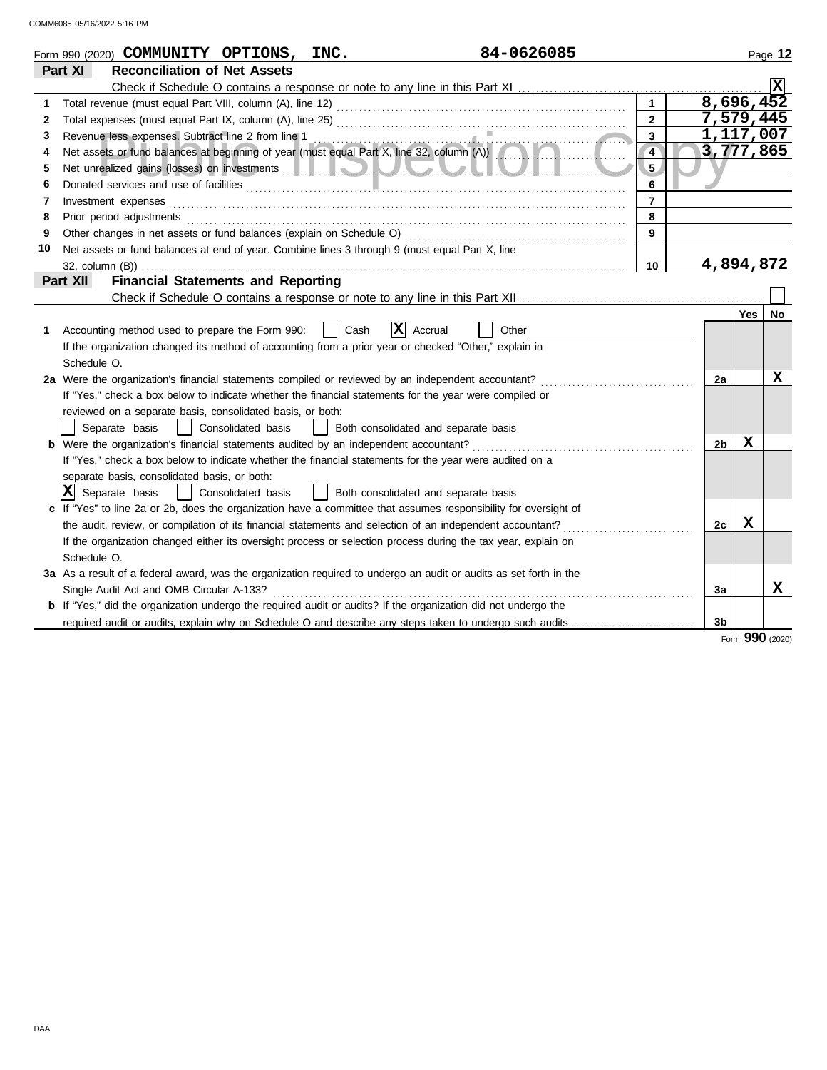|    | 84-0626085<br>Form 990 (2020) COMMUNITY OPTIONS, INC.                                                                                           |                |                |     | Page 12 |
|----|-------------------------------------------------------------------------------------------------------------------------------------------------|----------------|----------------|-----|---------|
|    | Part XI<br><b>Reconciliation of Net Assets</b>                                                                                                  |                |                |     |         |
|    |                                                                                                                                                 |                |                |     |         |
| 1  |                                                                                                                                                 | $\mathbf{1}$   | 8,696,452      |     |         |
| 2  |                                                                                                                                                 | $\overline{2}$ | 7,579,445      |     |         |
| 3  | Revenue less expenses. Subtract line 2 from line 1                                                                                              | $\overline{3}$ | 1,117,007      |     |         |
| 4  | Revenue less expenses. Subtract line 2 from line 1<br>Net assets or fund balances at beginning of year (must equal Part X, line 32, column (A)) | $\overline{4}$ | 3,777,865      |     |         |
| 5  |                                                                                                                                                 | 5.             |                |     |         |
| 6  | Donated services and use of facilities <b>constructed and constructed and constructed</b> services and use of facilities                        | 6              |                |     |         |
| 7  | Investment expenses                                                                                                                             | $\overline{7}$ |                |     |         |
| 8  |                                                                                                                                                 | 8              |                |     |         |
| 9  |                                                                                                                                                 | $\mathbf{g}$   |                |     |         |
| 10 | Net assets or fund balances at end of year. Combine lines 3 through 9 (must equal Part X, line                                                  |                |                |     |         |
|    |                                                                                                                                                 | 10             | 4,894,872      |     |         |
|    | <b>Financial Statements and Reporting</b><br>Part XII                                                                                           |                |                |     |         |
|    |                                                                                                                                                 |                |                |     |         |
|    |                                                                                                                                                 |                |                | Yes | No.     |
| 1  | $ \mathbf{X} $ Accrual<br>Cash<br>Accounting method used to prepare the Form 990:<br>Other                                                      |                |                |     |         |
|    | If the organization changed its method of accounting from a prior year or checked "Other," explain in                                           |                |                |     |         |
|    | Schedule O.                                                                                                                                     |                |                |     |         |
|    | 2a Were the organization's financial statements compiled or reviewed by an independent accountant?                                              |                | 2a             |     | X       |
|    | If "Yes," check a box below to indicate whether the financial statements for the year were compiled or                                          |                |                |     |         |
|    | reviewed on a separate basis, consolidated basis, or both:                                                                                      |                |                |     |         |
|    | Separate basis<br>  Consolidated basis<br>  Both consolidated and separate basis                                                                |                |                |     |         |
|    |                                                                                                                                                 |                | 2b             | x   |         |
|    | If "Yes," check a box below to indicate whether the financial statements for the year were audited on a                                         |                |                |     |         |
|    | separate basis, consolidated basis, or both:                                                                                                    |                |                |     |         |
|    | X <br>Separate basis<br>  Consolidated basis<br>  Both consolidated and separate basis                                                          |                |                |     |         |
|    | c If "Yes" to line 2a or 2b, does the organization have a committee that assumes responsibility for oversight of                                |                |                |     |         |
|    | the audit, review, or compilation of its financial statements and selection of an independent accountant?                                       |                | 2c             | X   |         |
|    | If the organization changed either its oversight process or selection process during the tax year, explain on                                   |                |                |     |         |
|    | Schedule O.                                                                                                                                     |                |                |     |         |
|    | 3a As a result of a federal award, was the organization required to undergo an audit or audits as set forth in the                              |                |                |     |         |
|    | Single Audit Act and OMB Circular A-133?                                                                                                        |                | Зa             |     | x       |
|    | b If "Yes," did the organization undergo the required audit or audits? If the organization did not undergo the                                  |                |                |     |         |
|    |                                                                                                                                                 |                | 3 <sub>b</sub> |     |         |

Form **990** (2020)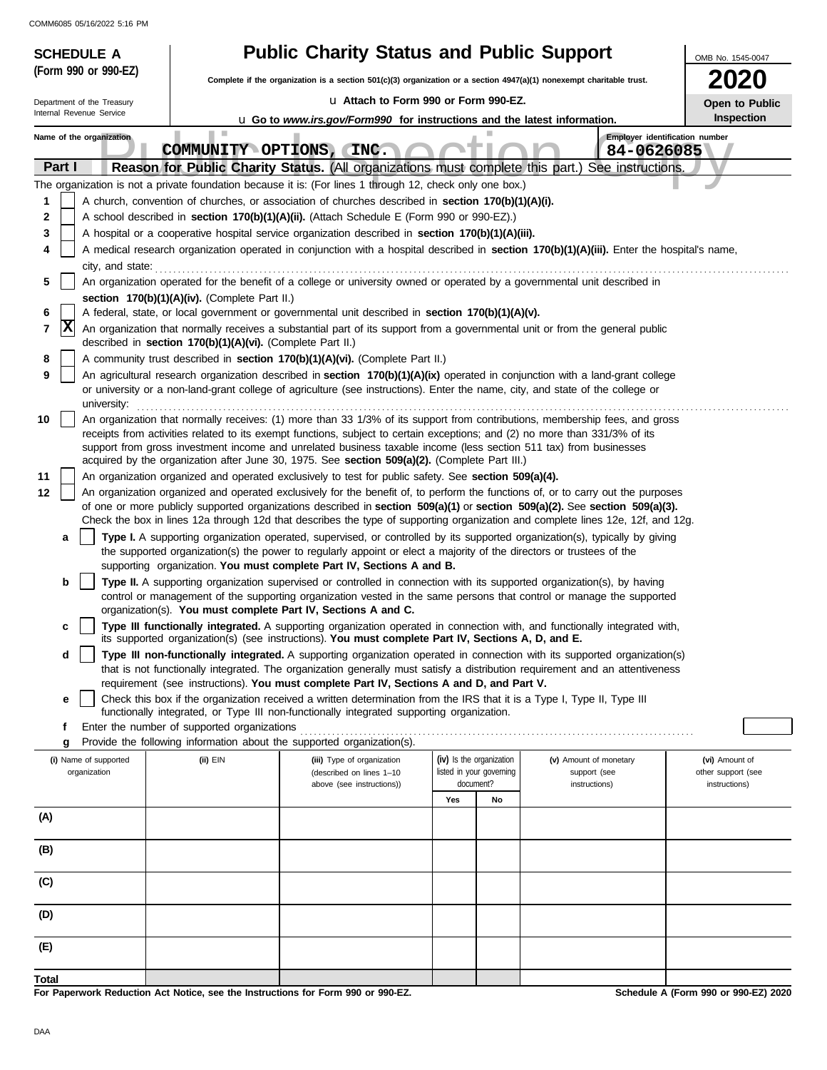|                                                                                                                                                                                                     | <b>SCHEDULE A</b>                     |                                                                                 | <b>Public Charity Status and Public Support</b>                                                                                                                                                                                                                                                                                                                                                    |                                                                   |    |                                                         | OMB No. 1545-0047                                     |  |  |
|-----------------------------------------------------------------------------------------------------------------------------------------------------------------------------------------------------|---------------------------------------|---------------------------------------------------------------------------------|----------------------------------------------------------------------------------------------------------------------------------------------------------------------------------------------------------------------------------------------------------------------------------------------------------------------------------------------------------------------------------------------------|-------------------------------------------------------------------|----|---------------------------------------------------------|-------------------------------------------------------|--|--|
|                                                                                                                                                                                                     | (Form 990 or 990-EZ)                  |                                                                                 | Complete if the organization is a section 501(c)(3) organization or a section 4947(a)(1) nonexempt charitable trust.                                                                                                                                                                                                                                                                               |                                                                   |    |                                                         | 2020                                                  |  |  |
|                                                                                                                                                                                                     | Department of the Treasury            |                                                                                 | La Attach to Form 990 or Form 990-EZ.                                                                                                                                                                                                                                                                                                                                                              |                                                                   |    |                                                         | Open to Public                                        |  |  |
|                                                                                                                                                                                                     | Internal Revenue Service              |                                                                                 | <b>u</b> Go to <i>www.irs.gov/Form990</i> for instructions and the latest information.                                                                                                                                                                                                                                                                                                             |                                                                   |    |                                                         | Inspection                                            |  |  |
|                                                                                                                                                                                                     | Name of the organization              | ш                                                                               |                                                                                                                                                                                                                                                                                                                                                                                                    |                                                                   |    | Employer identification number                          |                                                       |  |  |
|                                                                                                                                                                                                     | Part I                                | COMMUNITY OPTIONS, INC.                                                         | Reason for Public Charity Status. (All organizations must complete this part.)                                                                                                                                                                                                                                                                                                                     |                                                                   |    | 84-0626085<br>See instructions.                         |                                                       |  |  |
|                                                                                                                                                                                                     |                                       |                                                                                 | The organization is not a private foundation because it is: (For lines 1 through 12, check only one box.)                                                                                                                                                                                                                                                                                          |                                                                   |    |                                                         |                                                       |  |  |
| A church, convention of churches, or association of churches described in section 170(b)(1)(A)(i).<br>1                                                                                             |                                       |                                                                                 |                                                                                                                                                                                                                                                                                                                                                                                                    |                                                                   |    |                                                         |                                                       |  |  |
| A school described in section 170(b)(1)(A)(ii). (Attach Schedule E (Form 990 or 990-EZ).)<br>2<br>A hospital or a cooperative hospital service organization described in section 170(b)(1)(A)(iii). |                                       |                                                                                 |                                                                                                                                                                                                                                                                                                                                                                                                    |                                                                   |    |                                                         |                                                       |  |  |
| 3                                                                                                                                                                                                   |                                       |                                                                                 | A medical research organization operated in conjunction with a hospital described in section 170(b)(1)(A)(iii). Enter the hospital's name,                                                                                                                                                                                                                                                         |                                                                   |    |                                                         |                                                       |  |  |
|                                                                                                                                                                                                     | city, and state:                      |                                                                                 |                                                                                                                                                                                                                                                                                                                                                                                                    |                                                                   |    |                                                         |                                                       |  |  |
| 5                                                                                                                                                                                                   |                                       |                                                                                 | An organization operated for the benefit of a college or university owned or operated by a governmental unit described in                                                                                                                                                                                                                                                                          |                                                                   |    |                                                         |                                                       |  |  |
|                                                                                                                                                                                                     |                                       | section 170(b)(1)(A)(iv). (Complete Part II.)                                   |                                                                                                                                                                                                                                                                                                                                                                                                    |                                                                   |    |                                                         |                                                       |  |  |
| 6<br>7                                                                                                                                                                                              | X                                     |                                                                                 | A federal, state, or local government or governmental unit described in section 170(b)(1)(A)(v).<br>An organization that normally receives a substantial part of its support from a governmental unit or from the general public                                                                                                                                                                   |                                                                   |    |                                                         |                                                       |  |  |
|                                                                                                                                                                                                     |                                       | described in section 170(b)(1)(A)(vi). (Complete Part II.)                      |                                                                                                                                                                                                                                                                                                                                                                                                    |                                                                   |    |                                                         |                                                       |  |  |
| 8                                                                                                                                                                                                   |                                       |                                                                                 | A community trust described in section 170(b)(1)(A)(vi). (Complete Part II.)                                                                                                                                                                                                                                                                                                                       |                                                                   |    |                                                         |                                                       |  |  |
| 9                                                                                                                                                                                                   | university:                           |                                                                                 | An agricultural research organization described in section 170(b)(1)(A)(ix) operated in conjunction with a land-grant college<br>or university or a non-land-grant college of agriculture (see instructions). Enter the name, city, and state of the college or                                                                                                                                    |                                                                   |    |                                                         |                                                       |  |  |
| 10                                                                                                                                                                                                  |                                       |                                                                                 | An organization that normally receives: (1) more than 33 1/3% of its support from contributions, membership fees, and gross<br>receipts from activities related to its exempt functions, subject to certain exceptions; and (2) no more than 331/3% of its<br>support from gross investment income and unrelated business taxable income (less section 511 tax) from businesses                    |                                                                   |    |                                                         |                                                       |  |  |
|                                                                                                                                                                                                     |                                       |                                                                                 | acquired by the organization after June 30, 1975. See section 509(a)(2). (Complete Part III.)                                                                                                                                                                                                                                                                                                      |                                                                   |    |                                                         |                                                       |  |  |
| 11                                                                                                                                                                                                  |                                       |                                                                                 | An organization organized and operated exclusively to test for public safety. See section 509(a)(4).                                                                                                                                                                                                                                                                                               |                                                                   |    |                                                         |                                                       |  |  |
| 12                                                                                                                                                                                                  |                                       |                                                                                 | An organization organized and operated exclusively for the benefit of, to perform the functions of, or to carry out the purposes<br>of one or more publicly supported organizations described in section 509(a)(1) or section 509(a)(2). See section 509(a)(3).<br>Check the box in lines 12a through 12d that describes the type of supporting organization and complete lines 12e, 12f, and 12g. |                                                                   |    |                                                         |                                                       |  |  |
|                                                                                                                                                                                                     | a                                     |                                                                                 | Type I. A supporting organization operated, supervised, or controlled by its supported organization(s), typically by giving<br>the supported organization(s) the power to regularly appoint or elect a majority of the directors or trustees of the                                                                                                                                                |                                                                   |    |                                                         |                                                       |  |  |
|                                                                                                                                                                                                     |                                       |                                                                                 | supporting organization. You must complete Part IV, Sections A and B.<br>Type II. A supporting organization supervised or controlled in connection with its supported organization(s), by having                                                                                                                                                                                                   |                                                                   |    |                                                         |                                                       |  |  |
|                                                                                                                                                                                                     | b                                     |                                                                                 | control or management of the supporting organization vested in the same persons that control or manage the supported<br>organization(s). You must complete Part IV, Sections A and C.                                                                                                                                                                                                              |                                                                   |    |                                                         |                                                       |  |  |
|                                                                                                                                                                                                     | C                                     |                                                                                 | Type III functionally integrated. A supporting organization operated in connection with, and functionally integrated with,<br>its supported organization(s) (see instructions). You must complete Part IV, Sections A, D, and E.                                                                                                                                                                   |                                                                   |    |                                                         |                                                       |  |  |
|                                                                                                                                                                                                     | d                                     |                                                                                 | Type III non-functionally integrated. A supporting organization operated in connection with its supported organization(s)<br>that is not functionally integrated. The organization generally must satisfy a distribution requirement and an attentiveness<br>requirement (see instructions). You must complete Part IV, Sections A and D, and Part V.                                              |                                                                   |    |                                                         |                                                       |  |  |
|                                                                                                                                                                                                     | е                                     |                                                                                 | Check this box if the organization received a written determination from the IRS that it is a Type I, Type II, Type III                                                                                                                                                                                                                                                                            |                                                                   |    |                                                         |                                                       |  |  |
|                                                                                                                                                                                                     |                                       |                                                                                 | functionally integrated, or Type III non-functionally integrated supporting organization.                                                                                                                                                                                                                                                                                                          |                                                                   |    |                                                         |                                                       |  |  |
|                                                                                                                                                                                                     | f<br>g                                | Enter the number of supported organizations                                     | Provide the following information about the supported organization(s).                                                                                                                                                                                                                                                                                                                             |                                                                   |    |                                                         |                                                       |  |  |
|                                                                                                                                                                                                     | (i) Name of supported<br>organization | (ii) EIN                                                                        | (iii) Type of organization<br>(described on lines 1-10<br>above (see instructions))                                                                                                                                                                                                                                                                                                                | (iv) Is the organization<br>listed in your governing<br>document? |    | (v) Amount of monetary<br>support (see<br>instructions) | (vi) Amount of<br>other support (see<br>instructions) |  |  |
|                                                                                                                                                                                                     |                                       |                                                                                 |                                                                                                                                                                                                                                                                                                                                                                                                    | Yes                                                               | No |                                                         |                                                       |  |  |
| (A)                                                                                                                                                                                                 |                                       |                                                                                 |                                                                                                                                                                                                                                                                                                                                                                                                    |                                                                   |    |                                                         |                                                       |  |  |
| (B)                                                                                                                                                                                                 |                                       |                                                                                 |                                                                                                                                                                                                                                                                                                                                                                                                    |                                                                   |    |                                                         |                                                       |  |  |
| (C)                                                                                                                                                                                                 |                                       |                                                                                 |                                                                                                                                                                                                                                                                                                                                                                                                    |                                                                   |    |                                                         |                                                       |  |  |
| (D)                                                                                                                                                                                                 |                                       |                                                                                 |                                                                                                                                                                                                                                                                                                                                                                                                    |                                                                   |    |                                                         |                                                       |  |  |
| (E)                                                                                                                                                                                                 |                                       |                                                                                 |                                                                                                                                                                                                                                                                                                                                                                                                    |                                                                   |    |                                                         |                                                       |  |  |
| Total                                                                                                                                                                                               |                                       | For Paperwork Reduction Act Notice, see the Instructions for Form 990 or 990-F7 |                                                                                                                                                                                                                                                                                                                                                                                                    |                                                                   |    |                                                         | Schedule A (Form 990 or 990-F7) 2020                  |  |  |

**For Paperwork Reduction Act Notice, see the Instructions for Form 990 or 990-EZ.**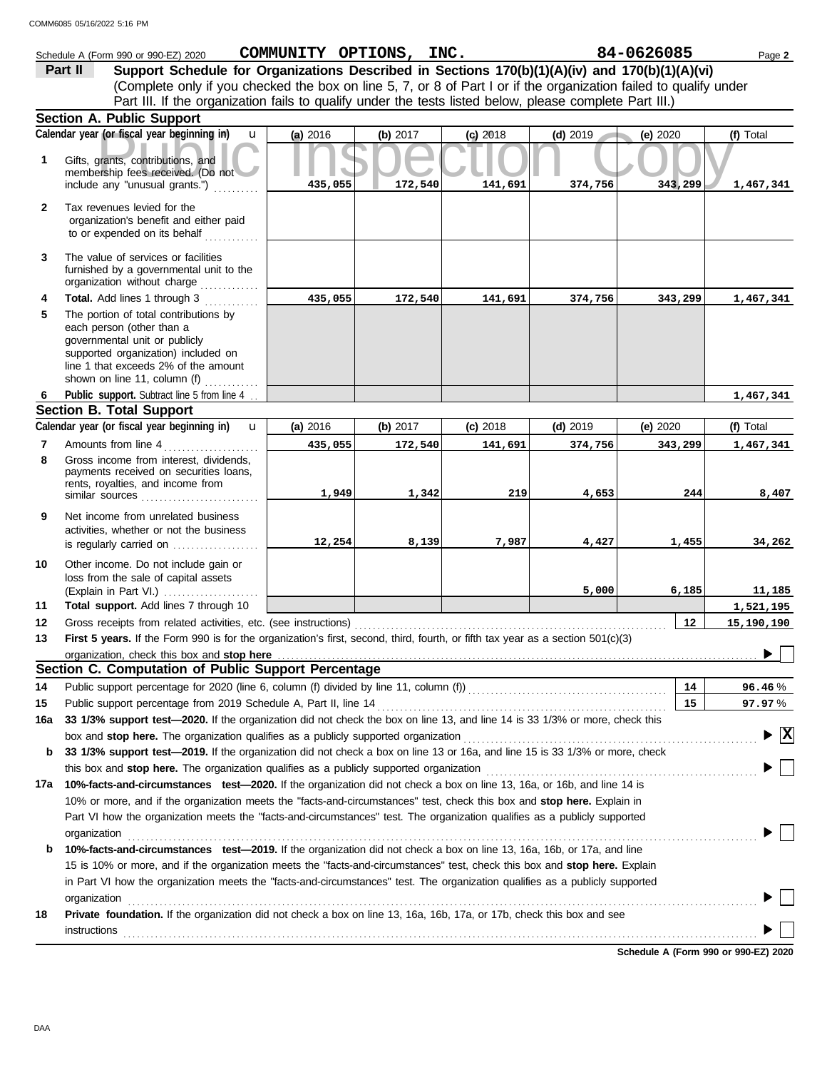|              | 84-0626085<br>COMMUNITY OPTIONS, INC.<br>Schedule A (Form 990 or 990-EZ) 2020<br>Page 2                                                                                                                                                                                                                                                                       |          |          |            |            |            |                                             |
|--------------|---------------------------------------------------------------------------------------------------------------------------------------------------------------------------------------------------------------------------------------------------------------------------------------------------------------------------------------------------------------|----------|----------|------------|------------|------------|---------------------------------------------|
|              | Support Schedule for Organizations Described in Sections 170(b)(1)(A)(iv) and 170(b)(1)(A)(vi)<br>Part II                                                                                                                                                                                                                                                     |          |          |            |            |            |                                             |
|              | (Complete only if you checked the box on line 5, 7, or 8 of Part I or if the organization failed to qualify under                                                                                                                                                                                                                                             |          |          |            |            |            |                                             |
|              | Part III. If the organization fails to qualify under the tests listed below, please complete Part III.)                                                                                                                                                                                                                                                       |          |          |            |            |            |                                             |
|              | Section A. Public Support                                                                                                                                                                                                                                                                                                                                     |          |          |            |            |            |                                             |
|              | Calendar year (or fiscal year beginning in)<br>$\mathbf{u}$                                                                                                                                                                                                                                                                                                   | (a) 2016 | (b) 2017 | $(c)$ 2018 | $(d)$ 2019 | (e) 2020   | (f) Total                                   |
| 1            | Gifts, grants, contributions, and<br>membership fees received. (Do not<br>include any "unusual grants.")                                                                                                                                                                                                                                                      | 435,055  | 172,540  | 141,691    | 374,756    | 343,299    | 1,467,341                                   |
|              |                                                                                                                                                                                                                                                                                                                                                               |          |          |            |            |            |                                             |
| $\mathbf{2}$ | Tax revenues levied for the<br>organization's benefit and either paid<br>to or expended on its behalf                                                                                                                                                                                                                                                         |          |          |            |            |            |                                             |
| 3            | The value of services or facilities<br>furnished by a governmental unit to the<br>organization without charge                                                                                                                                                                                                                                                 |          |          |            |            |            |                                             |
| 4            | Total. Add lines 1 through 3                                                                                                                                                                                                                                                                                                                                  | 435,055  | 172,540  | 141,691    | 374,756    | 343,299    | 1,467,341                                   |
| 5            | The portion of total contributions by<br>each person (other than a<br>governmental unit or publicly<br>supported organization) included on<br>line 1 that exceeds 2% of the amount<br>shown on line 11, column (f) $\ldots$                                                                                                                                   |          |          |            |            |            |                                             |
| 6            | Public support. Subtract line 5 from line 4                                                                                                                                                                                                                                                                                                                   |          |          |            |            |            | 1,467,341                                   |
|              | <b>Section B. Total Support</b>                                                                                                                                                                                                                                                                                                                               |          |          |            |            |            |                                             |
|              | Calendar year (or fiscal year beginning in)<br>$\mathbf{u}$                                                                                                                                                                                                                                                                                                   | (a) 2016 | (b) 2017 | $(c)$ 2018 | $(d)$ 2019 | (e) $2020$ | (f) Total                                   |
| 7            | Amounts from line 4                                                                                                                                                                                                                                                                                                                                           | 435,055  | 172,540  | 141,691    | 374,756    | 343,299    | 1,467,341                                   |
| 8            | Gross income from interest, dividends,<br>payments received on securities loans,<br>rents, royalties, and income from                                                                                                                                                                                                                                         | 1,949    | 1,342    | 219        | 4,653      | 244        | 8,407                                       |
| 9            | Net income from unrelated business<br>activities, whether or not the business<br>is regularly carried on $\ldots$ , $\ldots$ , $\ldots$                                                                                                                                                                                                                       | 12,254   | 8,139    | 7,987      | 4,427      | 1,455      | 34,262                                      |
| 10           | Other income. Do not include gain or<br>loss from the sale of capital assets<br>(Explain in Part VI.)                                                                                                                                                                                                                                                         |          |          |            | 5,000      | 6,185      | 11,185                                      |
| 11           | Total support. Add lines 7 through 10                                                                                                                                                                                                                                                                                                                         |          |          |            |            |            | 1,521,195                                   |
| 12           |                                                                                                                                                                                                                                                                                                                                                               |          |          |            |            | 12         | 15,190,190                                  |
| 13           | First 5 years. If the Form 990 is for the organization's first, second, third, fourth, or fifth tax year as a section 501(c)(3)                                                                                                                                                                                                                               |          |          |            |            |            | $\sim$ $\Box$                               |
|              | organization, check this box and stop here                                                                                                                                                                                                                                                                                                                    |          |          |            |            |            | ▶                                           |
|              | Section C. Computation of Public Support Percentage                                                                                                                                                                                                                                                                                                           |          |          |            |            |            |                                             |
| 14           |                                                                                                                                                                                                                                                                                                                                                               |          |          |            |            | 14<br>15   | 96.46%                                      |
| 15<br>16a    | Public support percentage from 2019 Schedule A, Part II, line 14 [2010] [2010] [2010] [2010] [2010] [2010] [2010] [3010] [2010] [3010] [3010] [3010] [3010] [3010] [3010] [3010] [3010] [3010] [3010] [3010] [3010] [3010] [30<br>33 1/3% support test-2020. If the organization did not check the box on line 13, and line 14 is 33 1/3% or more, check this |          |          |            |            |            | 97.97 %                                     |
|              |                                                                                                                                                                                                                                                                                                                                                               |          |          |            |            |            | $\blacktriangleright \overline{\mathbf{X}}$ |
| b            | 33 1/3% support test-2019. If the organization did not check a box on line 13 or 16a, and line 15 is 33 1/3% or more, check                                                                                                                                                                                                                                   |          |          |            |            |            |                                             |
|              |                                                                                                                                                                                                                                                                                                                                                               |          |          |            |            |            |                                             |
| 17a          | 10%-facts-and-circumstances test-2020. If the organization did not check a box on line 13, 16a, or 16b, and line 14 is                                                                                                                                                                                                                                        |          |          |            |            |            |                                             |
|              | 10% or more, and if the organization meets the "facts-and-circumstances" test, check this box and stop here. Explain in                                                                                                                                                                                                                                       |          |          |            |            |            |                                             |
|              | Part VI how the organization meets the "facts-and-circumstances" test. The organization qualifies as a publicly supported                                                                                                                                                                                                                                     |          |          |            |            |            |                                             |
|              | organization www.commutation.com/www.commutation.com/www.commutation.com/www.commutation.com/www.commutation.com                                                                                                                                                                                                                                              |          |          |            |            |            |                                             |
| b            | 10%-facts-and-circumstances test-2019. If the organization did not check a box on line 13, 16a, 16b, or 17a, and line                                                                                                                                                                                                                                         |          |          |            |            |            |                                             |
|              | 15 is 10% or more, and if the organization meets the "facts-and-circumstances" test, check this box and stop here. Explain                                                                                                                                                                                                                                    |          |          |            |            |            |                                             |
|              | in Part VI how the organization meets the "facts-and-circumstances" test. The organization qualifies as a publicly supported                                                                                                                                                                                                                                  |          |          |            |            |            |                                             |
|              | organization www.commutation.commutation.com/www.commutation.com/www.commutation.com/www.commutation.com/www.com                                                                                                                                                                                                                                              |          |          |            |            |            |                                             |
| 18           | Private foundation. If the organization did not check a box on line 13, 16a, 16b, 17a, or 17b, check this box and see<br><b>instructions</b>                                                                                                                                                                                                                  |          |          |            |            |            |                                             |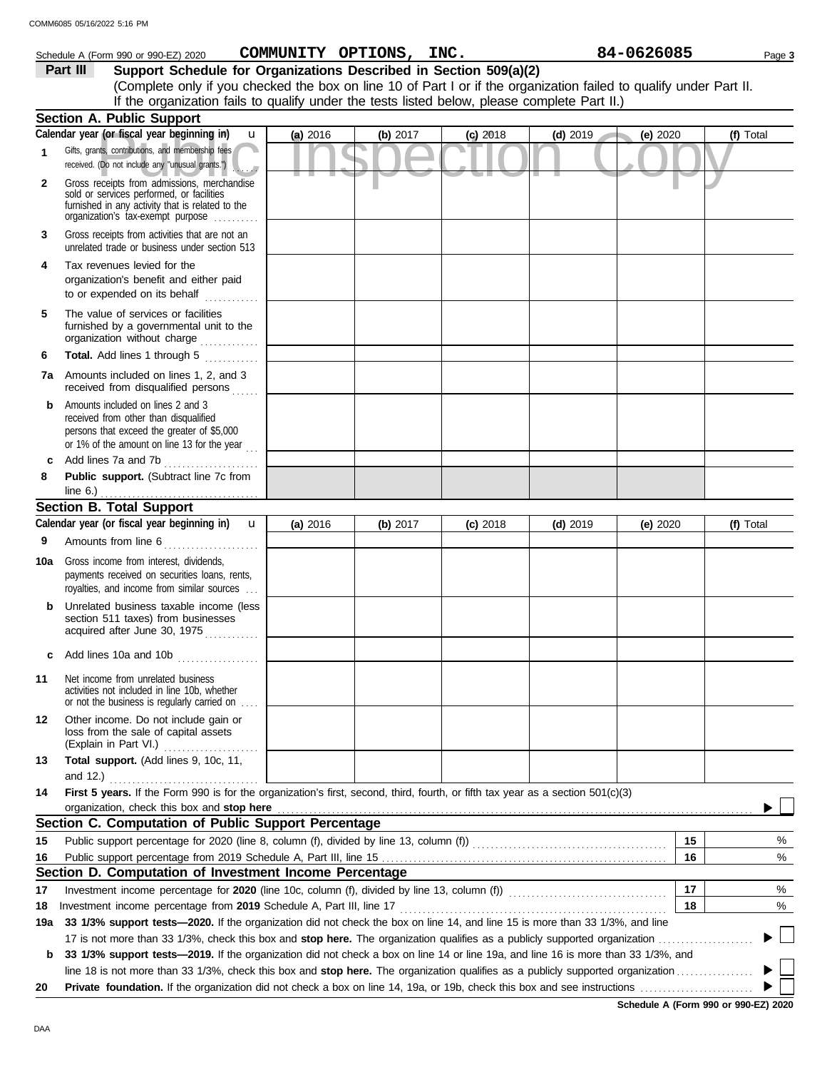|     | Schedule A (Form 990 or 990-EZ) 2020                                                                                                                                              |          | COMMUNITY OPTIONS, INC. |            |            | 84-0626085 | Page 3    |
|-----|-----------------------------------------------------------------------------------------------------------------------------------------------------------------------------------|----------|-------------------------|------------|------------|------------|-----------|
|     | Support Schedule for Organizations Described in Section 509(a)(2)<br>Part III                                                                                                     |          |                         |            |            |            |           |
|     | (Complete only if you checked the box on line 10 of Part I or if the organization failed to qualify under Part II.                                                                |          |                         |            |            |            |           |
|     | If the organization fails to qualify under the tests listed below, please complete Part II.)                                                                                      |          |                         |            |            |            |           |
|     | <b>Section A. Public Support</b>                                                                                                                                                  |          |                         |            |            |            |           |
|     | Calendar year (or fiscal year beginning in)<br>$\mathbf{u}$                                                                                                                       | (a) 2016 | (b) 2017                | $(c)$ 2018 | $(d)$ 2019 | (e) 2020   | (f) Total |
| 1   | Gifts, grants, contributions, and membership fees<br>received. (Do not include any "unusual grants.")                                                                             |          |                         |            |            |            |           |
| 2   | Gross receipts from admissions, merchandise<br>sold or services performed, or facilities<br>furnished in any activity that is related to the<br>organization's fax-exempt purpose |          |                         |            |            |            |           |
| 3   | Gross receipts from activities that are not an<br>unrelated trade or business under section 513                                                                                   |          |                         |            |            |            |           |
| 4   | Tax revenues levied for the<br>organization's benefit and either paid<br>to or expended on its behalf<br>in a bha bha bha                                                         |          |                         |            |            |            |           |
| 5   | The value of services or facilities<br>furnished by a governmental unit to the<br>organization without charge                                                                     |          |                         |            |            |            |           |
| 6   | Total. Add lines 1 through 5                                                                                                                                                      |          |                         |            |            |            |           |
|     | <b>7a</b> Amounts included on lines 1, 2, and 3<br>received from disqualified persons                                                                                             |          |                         |            |            |            |           |
| b   | Amounts included on lines 2 and 3<br>received from other than disqualified<br>persons that exceed the greater of \$5,000<br>or 1% of the amount on line 13 for the year           |          |                         |            |            |            |           |
| c   | Add lines 7a and 7b                                                                                                                                                               |          |                         |            |            |            |           |
| 8   | Public support. (Subtract line 7c from<br>line 6.) $\ldots$                                                                                                                       |          |                         |            |            |            |           |
|     | <b>Section B. Total Support</b>                                                                                                                                                   |          |                         |            |            |            |           |
|     | Calendar year (or fiscal year beginning in)<br>$\mathbf{u}$                                                                                                                       | (a) 2016 | (b) $2017$              | $(c)$ 2018 | $(d)$ 2019 | (e) 2020   | (f) Total |
| 9   | Amounts from line 6                                                                                                                                                               |          |                         |            |            |            |           |
| 10a | Gross income from interest, dividends,<br>payments received on securities loans, rents,<br>royalties, and income from similar sources                                             |          |                         |            |            |            |           |
|     | Unrelated business taxable income (less<br>section 511 taxes) from businesses<br>acquired after June 30, 1975                                                                     |          |                         |            |            |            |           |
|     | Add lines 10a and 10b                                                                                                                                                             |          |                         |            |            |            |           |
| 11  | Net income from unrelated business<br>activities not included in line 10b, whether<br>or not the business is regularly carried on                                                 |          |                         |            |            |            |           |
| 12  | Other income. Do not include gain or<br>loss from the sale of capital assets<br>(Explain in Part VI.)                                                                             |          |                         |            |            |            |           |
| 13  | Total support. (Add lines 9, 10c, 11,                                                                                                                                             |          |                         |            |            |            |           |
| 14  | and 12.)<br>First 5 years. If the Form 990 is for the organization's first, second, third, fourth, or fifth tax year as a section 501(c)(3)                                       |          |                         |            |            |            |           |
|     | organization, check this box and stop here                                                                                                                                        |          |                         |            |            |            |           |
|     | Section C. Computation of Public Support Percentage                                                                                                                               |          |                         |            |            |            |           |
| 15  |                                                                                                                                                                                   |          |                         |            |            | 15         | %         |
| 16  |                                                                                                                                                                                   |          |                         |            |            | 16         | %         |
|     | Section D. Computation of Investment Income Percentage                                                                                                                            |          |                         |            |            |            |           |
| 17  | Investment income percentage for 2020 (line 10c, column (f), divided by line 13, column (f)) [[[[[[[[[[[[[[[[                                                                     |          |                         |            |            | 17         | %         |
| 18  | Investment income percentage from 2019 Schedule A, Part III, line 17                                                                                                              |          |                         |            |            | 18         | %         |
| 19a | 33 1/3% support tests—2020. If the organization did not check the box on line 14, and line 15 is more than 33 1/3%, and line                                                      |          |                         |            |            |            |           |
| b   | 33 1/3% support tests-2019. If the organization did not check a box on line 14 or line 19a, and line 16 is more than 33 1/3%, and                                                 |          |                         |            |            |            |           |
|     |                                                                                                                                                                                   |          |                         |            |            |            |           |
| 20  |                                                                                                                                                                                   |          |                         |            |            |            |           |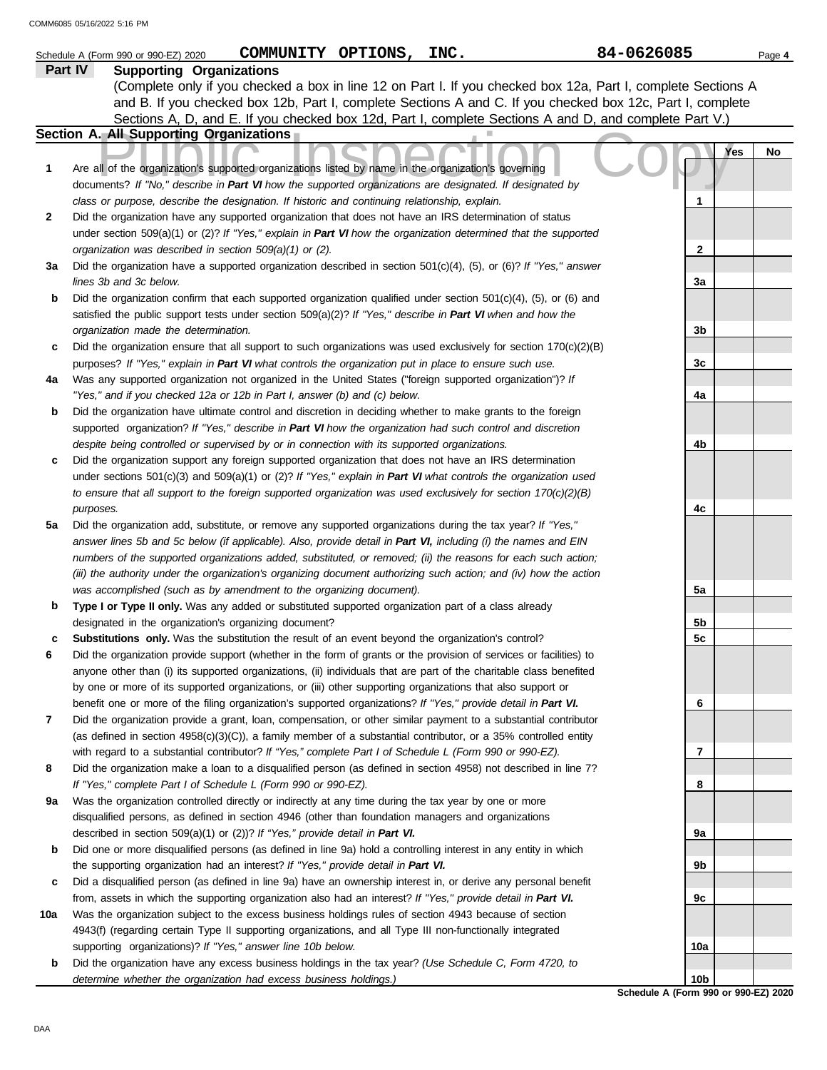|     | COMMUNITY OPTIONS, INC.<br>Schedule A (Form 990 or 990-EZ) 2020                                                                                                                                                              | 84-0626085      | Page 4            |
|-----|------------------------------------------------------------------------------------------------------------------------------------------------------------------------------------------------------------------------------|-----------------|-------------------|
|     | <b>Supporting Organizations</b><br>Part IV                                                                                                                                                                                   |                 |                   |
|     | (Complete only if you checked a box in line 12 on Part I. If you checked box 12a, Part I, complete Sections A                                                                                                                |                 |                   |
|     | and B. If you checked box 12b, Part I, complete Sections A and C. If you checked box 12c, Part I, complete                                                                                                                   |                 |                   |
|     | Sections A, D, and E. If you checked box 12d, Part I, complete Sections A and D, and complete Part V.)                                                                                                                       |                 |                   |
|     | Section A. All Supporting Organizations                                                                                                                                                                                      |                 |                   |
| 1   | Are all of the organization's supported organizations listed by name in the organization's governing                                                                                                                         |                 | Yes<br>No         |
|     | documents? If "No," describe in Part VI how the supported organizations are designated. If designated by<br>class or purpose, describe the designation. If historic and continuing relationship, explain.                    | 1               |                   |
| 2   | Did the organization have any supported organization that does not have an IRS determination of status                                                                                                                       |                 |                   |
|     | under section 509(a)(1) or (2)? If "Yes," explain in Part VI how the organization determined that the supported                                                                                                              |                 |                   |
|     | organization was described in section 509(a)(1) or (2).                                                                                                                                                                      | 2               |                   |
| За  | Did the organization have a supported organization described in section $501(c)(4)$ , (5), or (6)? If "Yes," answer                                                                                                          |                 |                   |
|     | lines 3b and 3c below.                                                                                                                                                                                                       | 3a              |                   |
| b   | Did the organization confirm that each supported organization qualified under section $501(c)(4)$ , $(5)$ , or $(6)$ and                                                                                                     |                 |                   |
|     | satisfied the public support tests under section 509(a)(2)? If "Yes," describe in Part VI when and how the<br>organization made the determination.                                                                           | 3b              |                   |
| c   | Did the organization ensure that all support to such organizations was used exclusively for section $170(c)(2)(B)$                                                                                                           |                 |                   |
|     | purposes? If "Yes," explain in Part VI what controls the organization put in place to ensure such use.                                                                                                                       | 3c              |                   |
| 4a  | Was any supported organization not organized in the United States ("foreign supported organization")? If                                                                                                                     |                 |                   |
|     | "Yes," and if you checked 12a or 12b in Part I, answer (b) and (c) below.                                                                                                                                                    | 4a              |                   |
| b   | Did the organization have ultimate control and discretion in deciding whether to make grants to the foreign                                                                                                                  |                 |                   |
|     | supported organization? If "Yes," describe in Part VI how the organization had such control and discretion                                                                                                                   |                 |                   |
|     | despite being controlled or supervised by or in connection with its supported organizations.                                                                                                                                 | 4b              |                   |
| c   | Did the organization support any foreign supported organization that does not have an IRS determination                                                                                                                      |                 |                   |
|     | under sections $501(c)(3)$ and $509(a)(1)$ or (2)? If "Yes," explain in Part VI what controls the organization used                                                                                                          |                 |                   |
|     | to ensure that all support to the foreign supported organization was used exclusively for section $170(c)(2)(B)$                                                                                                             |                 |                   |
|     | purposes.                                                                                                                                                                                                                    | 4c              |                   |
| 5a  | Did the organization add, substitute, or remove any supported organizations during the tax year? If "Yes,"<br>answer lines 5b and 5c below (if applicable). Also, provide detail in Part VI, including (i) the names and EIN |                 |                   |
|     | numbers of the supported organizations added, substituted, or removed; (ii) the reasons for each such action;                                                                                                                |                 |                   |
|     | (iii) the authority under the organization's organizing document authorizing such action; and (iv) how the action                                                                                                            |                 |                   |
|     | was accomplished (such as by amendment to the organizing document).                                                                                                                                                          | 5a              |                   |
| b   | Type I or Type II only. Was any added or substituted supported organization part of a class already                                                                                                                          |                 |                   |
|     | designated in the organization's organizing document?                                                                                                                                                                        | 5b              |                   |
| с   | Substitutions only. Was the substitution the result of an event beyond the organization's control?                                                                                                                           | 5c              |                   |
| 6   | Did the organization provide support (whether in the form of grants or the provision of services or facilities) to                                                                                                           |                 |                   |
|     | anyone other than (i) its supported organizations, (ii) individuals that are part of the charitable class benefited                                                                                                          |                 |                   |
|     | by one or more of its supported organizations, or (iii) other supporting organizations that also support or                                                                                                                  |                 |                   |
|     | benefit one or more of the filing organization's supported organizations? If "Yes," provide detail in Part VI.                                                                                                               | 6               |                   |
| 7   | Did the organization provide a grant, loan, compensation, or other similar payment to a substantial contributor                                                                                                              |                 |                   |
|     | (as defined in section 4958(c)(3)(C)), a family member of a substantial contributor, or a 35% controlled entity<br>with regard to a substantial contributor? If "Yes," complete Part I of Schedule L (Form 990 or 990-EZ).   | 7               |                   |
| 8   | Did the organization make a loan to a disqualified person (as defined in section 4958) not described in line 7?                                                                                                              |                 |                   |
|     | If "Yes," complete Part I of Schedule L (Form 990 or 990-EZ).                                                                                                                                                                | 8               |                   |
| 9a  | Was the organization controlled directly or indirectly at any time during the tax year by one or more                                                                                                                        |                 |                   |
|     | disqualified persons, as defined in section 4946 (other than foundation managers and organizations                                                                                                                           |                 |                   |
|     | described in section 509(a)(1) or (2))? If "Yes," provide detail in Part VI.                                                                                                                                                 | 9а              |                   |
| b   | Did one or more disqualified persons (as defined in line 9a) hold a controlling interest in any entity in which                                                                                                              |                 |                   |
|     | the supporting organization had an interest? If "Yes," provide detail in Part VI.                                                                                                                                            | 9b              |                   |
| c   | Did a disqualified person (as defined in line 9a) have an ownership interest in, or derive any personal benefit                                                                                                              |                 |                   |
|     | from, assets in which the supporting organization also had an interest? If "Yes," provide detail in Part VI.                                                                                                                 | 9с              |                   |
| 10a | Was the organization subject to the excess business holdings rules of section 4943 because of section                                                                                                                        |                 |                   |
|     | 4943(f) (regarding certain Type II supporting organizations, and all Type III non-functionally integrated<br>supporting organizations)? If "Yes," answer line 10b below.                                                     | 10a             |                   |
| b   | Did the organization have any excess business holdings in the tax year? (Use Schedule C, Form 4720, to                                                                                                                       |                 |                   |
|     | determine whether the organization had excess business holdings.)                                                                                                                                                            | 10 <sub>b</sub> |                   |
|     |                                                                                                                                                                                                                              | 000<br>Æ.       | $\sim$ 000 $E$ 7) |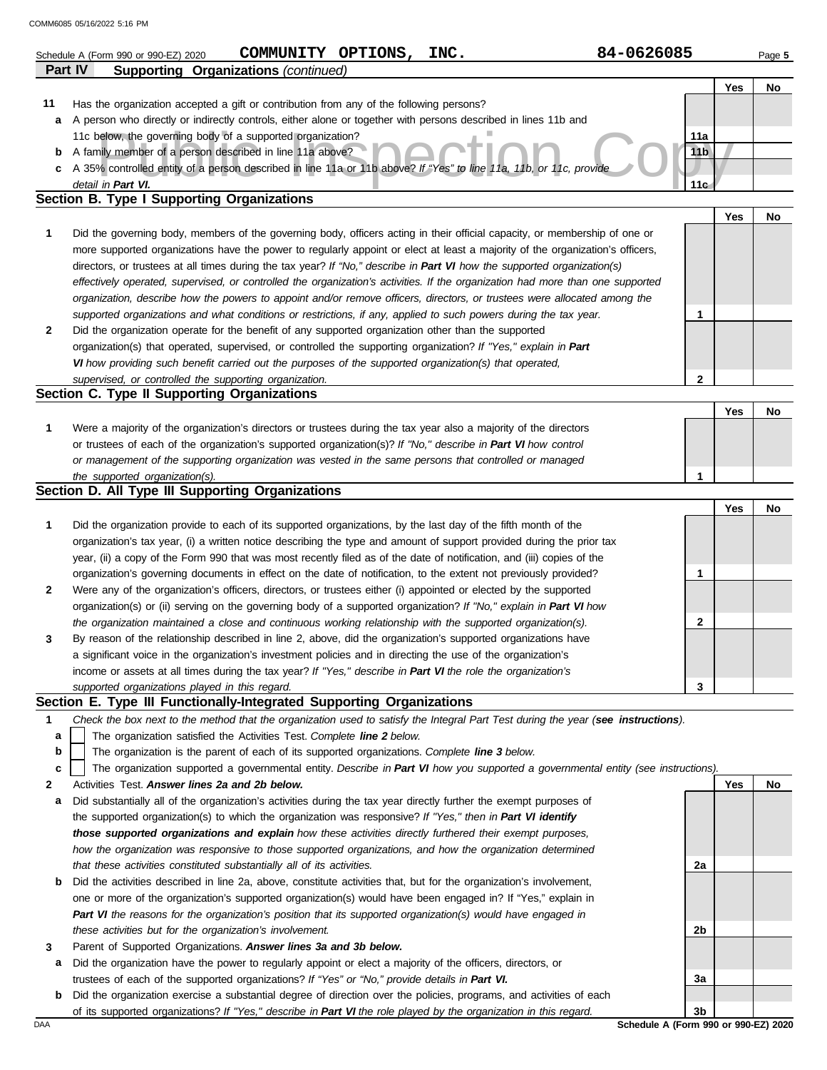|                | COMMUNITY OPTIONS, INC.<br>Schedule A (Form 990 or 990-EZ) 2020                                                                                                         | 84-0626085                           | Page 5 |
|----------------|-------------------------------------------------------------------------------------------------------------------------------------------------------------------------|--------------------------------------|--------|
| <b>Part IV</b> | <b>Supporting Organizations (continued)</b>                                                                                                                             |                                      |        |
|                |                                                                                                                                                                         | Yes                                  | No     |
| 11             | Has the organization accepted a gift or contribution from any of the following persons?                                                                                 |                                      |        |
| а              | A person who directly or indirectly controls, either alone or together with persons described in lines 11b and                                                          |                                      |        |
|                | 11c below, the governing body of a supported organization?                                                                                                              | 11a                                  |        |
| b              | A family member of a person described in line 11a above?                                                                                                                | 11 <sub>b</sub>                      |        |
| c              | A 35% controlled entity of a person described in line 11a or 11b above? If "Yes" to line 11a, 11b, or 11c, provide                                                      |                                      |        |
|                | detail in Part VI.<br>Section B. Type I Supporting Organizations                                                                                                        | 11 <sub>c</sub>                      |        |
|                |                                                                                                                                                                         | Yes                                  | No     |
| 1              | Did the governing body, members of the governing body, officers acting in their official capacity, or membership of one or                                              |                                      |        |
|                | more supported organizations have the power to regularly appoint or elect at least a majority of the organization's officers,                                           |                                      |        |
|                | directors, or trustees at all times during the tax year? If "No," describe in Part VI how the supported organization(s)                                                 |                                      |        |
|                | effectively operated, supervised, or controlled the organization's activities. If the organization had more than one supported                                          |                                      |        |
|                | organization, describe how the powers to appoint and/or remove officers, directors, or trustees were allocated among the                                                |                                      |        |
|                | supported organizations and what conditions or restrictions, if any, applied to such powers during the tax year.                                                        | 1                                    |        |
| 2              | Did the organization operate for the benefit of any supported organization other than the supported                                                                     |                                      |        |
|                | organization(s) that operated, supervised, or controlled the supporting organization? If "Yes," explain in Part                                                         |                                      |        |
|                | VI how providing such benefit carried out the purposes of the supported organization(s) that operated,                                                                  |                                      |        |
|                | supervised, or controlled the supporting organization.                                                                                                                  | $\mathbf{2}$                         |        |
|                | Section C. Type II Supporting Organizations                                                                                                                             |                                      |        |
|                |                                                                                                                                                                         | Yes                                  | No     |
| 1              | Were a majority of the organization's directors or trustees during the tax year also a majority of the directors                                                        |                                      |        |
|                | or trustees of each of the organization's supported organization(s)? If "No," describe in Part VI how control                                                           |                                      |        |
|                | or management of the supporting organization was vested in the same persons that controlled or managed                                                                  |                                      |        |
|                | the supported organization(s).                                                                                                                                          | 1                                    |        |
|                | Section D. All Type III Supporting Organizations                                                                                                                        |                                      |        |
|                |                                                                                                                                                                         | Yes                                  | No     |
| 1              | Did the organization provide to each of its supported organizations, by the last day of the fifth month of the                                                          |                                      |        |
|                | organization's tax year, (i) a written notice describing the type and amount of support provided during the prior tax                                                   |                                      |        |
|                | year, (ii) a copy of the Form 990 that was most recently filed as of the date of notification, and (iii) copies of the                                                  |                                      |        |
|                | organization's governing documents in effect on the date of notification, to the extent not previously provided?                                                        | 1                                    |        |
| 2              | Were any of the organization's officers, directors, or trustees either (i) appointed or elected by the supported                                                        |                                      |        |
|                | organization(s) or (ii) serving on the governing body of a supported organization? If "No," explain in Part VI how                                                      |                                      |        |
|                | the organization maintained a close and continuous working relationship with the supported organization(s).                                                             | 2                                    |        |
| 3              | By reason of the relationship described in line 2, above, did the organization's supported organizations have                                                           |                                      |        |
|                | a significant voice in the organization's investment policies and in directing the use of the organization's                                                            |                                      |        |
|                | income or assets at all times during the tax year? If "Yes," describe in Part VI the role the organization's                                                            |                                      |        |
|                | supported organizations played in this regard.<br>Section E. Type III Functionally-Integrated Supporting Organizations                                                  | 3                                    |        |
|                |                                                                                                                                                                         |                                      |        |
| 1              | Check the box next to the method that the organization used to satisfy the Integral Part Test during the year (see instructions).                                       |                                      |        |
| a<br>b         | The organization satisfied the Activities Test. Complete line 2 below.<br>The organization is the parent of each of its supported organizations. Complete line 3 below. |                                      |        |
| C              | The organization supported a governmental entity. Describe in Part VI how you supported a governmental entity (see instructions).                                       |                                      |        |
| 2              | Activities Test. Answer lines 2a and 2b below.                                                                                                                          | Yes                                  | No     |
| а              | Did substantially all of the organization's activities during the tax year directly further the exempt purposes of                                                      |                                      |        |
|                | the supported organization(s) to which the organization was responsive? If "Yes," then in Part VI identify                                                              |                                      |        |
|                | those supported organizations and explain how these activities directly furthered their exempt purposes,                                                                |                                      |        |
|                | how the organization was responsive to those supported organizations, and how the organization determined                                                               |                                      |        |
|                | that these activities constituted substantially all of its activities.                                                                                                  | 2a                                   |        |
| b              | Did the activities described in line 2a, above, constitute activities that, but for the organization's involvement,                                                     |                                      |        |
|                | one or more of the organization's supported organization(s) would have been engaged in? If "Yes," explain in                                                            |                                      |        |
|                | Part VI the reasons for the organization's position that its supported organization(s) would have engaged in                                                            |                                      |        |
|                | these activities but for the organization's involvement.                                                                                                                | 2b                                   |        |
| 3              | Parent of Supported Organizations. Answer lines 3a and 3b below.                                                                                                        |                                      |        |
| а              | Did the organization have the power to regularly appoint or elect a majority of the officers, directors, or                                                             |                                      |        |
|                | trustees of each of the supported organizations? If "Yes" or "No," provide details in Part VI.                                                                          | За                                   |        |
| b              | Did the organization exercise a substantial degree of direction over the policies, programs, and activities of each                                                     |                                      |        |
|                | of its supported organizations? If "Yes," describe in Part VI the role played by the organization in this regard.                                                       | 3b                                   |        |
| DAA            |                                                                                                                                                                         | Schedule A (Form 990 or 990-EZ) 2020 |        |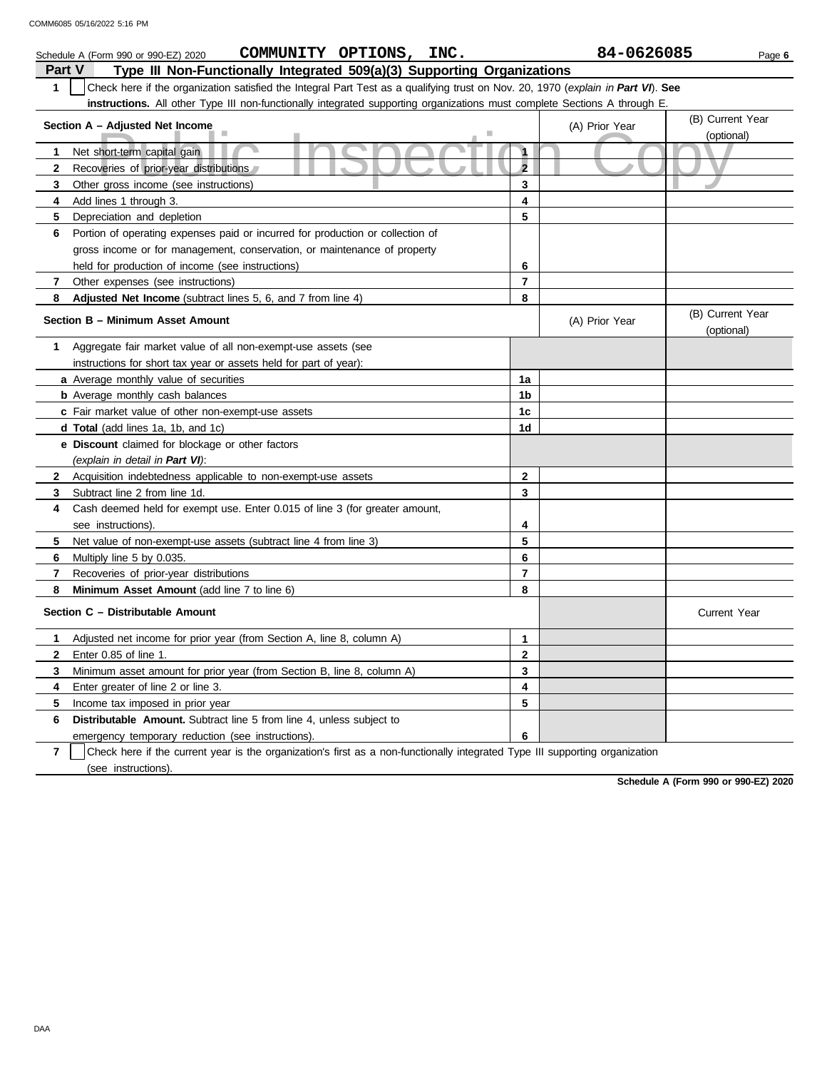|                | COMMUNITY OPTIONS, INC.<br>Schedule A (Form 990 or 990-EZ) 2020                                                                  |                | 84-0626085     | Page 6                         |  |  |
|----------------|----------------------------------------------------------------------------------------------------------------------------------|----------------|----------------|--------------------------------|--|--|
| <b>Part V</b>  | Type III Non-Functionally Integrated 509(a)(3) Supporting Organizations                                                          |                |                |                                |  |  |
| $\mathbf{1}$   | Check here if the organization satisfied the Integral Part Test as a qualifying trust on Nov. 20, 1970 (explain in Part VI). See |                |                |                                |  |  |
|                | instructions. All other Type III non-functionally integrated supporting organizations must complete Sections A through E.        |                |                |                                |  |  |
|                | Section A - Adjusted Net Income                                                                                                  |                | (A) Prior Year | (B) Current Year               |  |  |
|                |                                                                                                                                  |                |                | (optional)                     |  |  |
| 1              | Net short-term capital gain                                                                                                      |                |                |                                |  |  |
| 2              | Recoveries of prior-year distributions                                                                                           | $\overline{2}$ |                |                                |  |  |
| 3              | Other gross income (see instructions)                                                                                            | 3              |                |                                |  |  |
| 4              | Add lines 1 through 3.                                                                                                           | 4              |                |                                |  |  |
| 5              | Depreciation and depletion                                                                                                       | 5              |                |                                |  |  |
| 6              | Portion of operating expenses paid or incurred for production or collection of                                                   |                |                |                                |  |  |
|                | gross income or for management, conservation, or maintenance of property                                                         |                |                |                                |  |  |
|                | held for production of income (see instructions)                                                                                 | 6              |                |                                |  |  |
| 7              | Other expenses (see instructions)                                                                                                | 7              |                |                                |  |  |
| 8              | Adjusted Net Income (subtract lines 5, 6, and 7 from line 4)                                                                     | 8              |                |                                |  |  |
|                | Section B - Minimum Asset Amount                                                                                                 |                | (A) Prior Year | (B) Current Year<br>(optional) |  |  |
| 1.             | Aggregate fair market value of all non-exempt-use assets (see                                                                    |                |                |                                |  |  |
|                | instructions for short tax year or assets held for part of year):                                                                |                |                |                                |  |  |
|                | a Average monthly value of securities                                                                                            | 1a             |                |                                |  |  |
|                | <b>b</b> Average monthly cash balances                                                                                           | 1b             |                |                                |  |  |
|                | c Fair market value of other non-exempt-use assets                                                                               | 1c             |                |                                |  |  |
|                | <b>d Total</b> (add lines 1a, 1b, and 1c)                                                                                        | 1d             |                |                                |  |  |
|                | e Discount claimed for blockage or other factors                                                                                 |                |                |                                |  |  |
|                | (explain in detail in Part VI):                                                                                                  |                |                |                                |  |  |
| $\mathbf{2}$   | Acquisition indebtedness applicable to non-exempt-use assets                                                                     | $\mathbf{2}$   |                |                                |  |  |
| 3              | Subtract line 2 from line 1d.                                                                                                    | 3              |                |                                |  |  |
| 4              | Cash deemed held for exempt use. Enter 0.015 of line 3 (for greater amount,                                                      |                |                |                                |  |  |
|                | see instructions).                                                                                                               | 4              |                |                                |  |  |
| 5              | Net value of non-exempt-use assets (subtract line 4 from line 3)                                                                 | 5              |                |                                |  |  |
| 6              | Multiply line 5 by 0.035.                                                                                                        | 6              |                |                                |  |  |
| 7              | Recoveries of prior-year distributions                                                                                           | 7              |                |                                |  |  |
| 8              | Minimum Asset Amount (add line 7 to line 6)                                                                                      | 8              |                |                                |  |  |
|                | Section C - Distributable Amount                                                                                                 |                |                | <b>Current Year</b>            |  |  |
| 1.             | Adjusted net income for prior year (from Section A, line 8, column A)                                                            | 1              |                |                                |  |  |
| 2              | Enter 0.85 of line 1.                                                                                                            | 2              |                |                                |  |  |
| 3              | Minimum asset amount for prior year (from Section B, line 8, column A)                                                           | 3              |                |                                |  |  |
| 4              | Enter greater of line 2 or line 3.                                                                                               | 4              |                |                                |  |  |
| 5              | Income tax imposed in prior year                                                                                                 | 5              |                |                                |  |  |
| 6              | Distributable Amount. Subtract line 5 from line 4, unless subject to                                                             |                |                |                                |  |  |
|                | emergency temporary reduction (see instructions).                                                                                | 6              |                |                                |  |  |
| $\overline{7}$ | Check here if the current year is the organization's first as a non-functionally integrated Type III supporting organization     |                |                |                                |  |  |

(see instructions).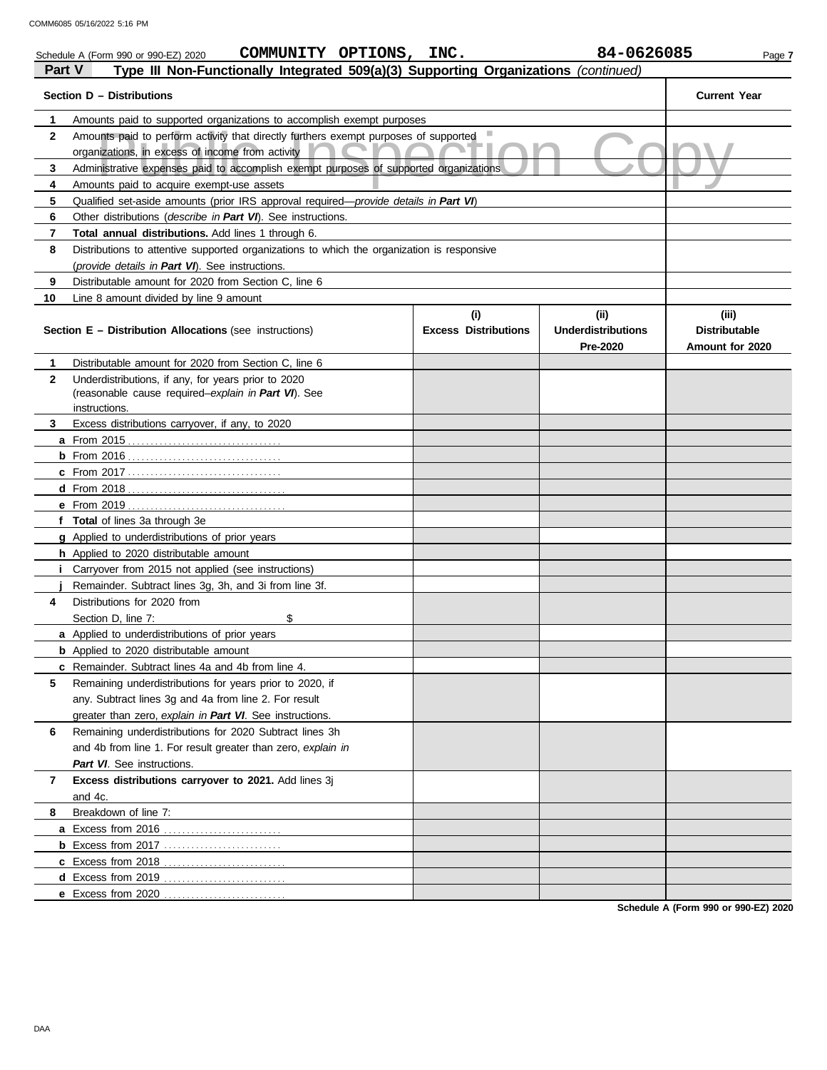| Part V       | COMMUNITY OPTIONS, INC.<br>Schedule A (Form 990 or 990-EZ) 2020<br>Type III Non-Functionally Integrated 509(a)(3) Supporting Organizations (continued) |                             | 84-0626085                            | Page 7                                  |
|--------------|--------------------------------------------------------------------------------------------------------------------------------------------------------|-----------------------------|---------------------------------------|-----------------------------------------|
|              | Section D - Distributions                                                                                                                              |                             |                                       | <b>Current Year</b>                     |
| 1            | Amounts paid to supported organizations to accomplish exempt purposes                                                                                  |                             |                                       |                                         |
| $\mathbf{2}$ | Amounts paid to perform activity that directly furthers exempt purposes of supported                                                                   |                             |                                       |                                         |
|              | organizations, in excess of income from activity                                                                                                       |                             |                                       |                                         |
| 3            | Administrative expenses paid to accomplish exempt purposes of supported organizations                                                                  |                             |                                       |                                         |
| 4            | Amounts paid to acquire exempt-use assets                                                                                                              |                             |                                       |                                         |
| 5            | Qualified set-aside amounts (prior IRS approval required-provide details in Part VI)                                                                   |                             |                                       |                                         |
| 6            | Other distributions (describe in Part VI). See instructions.                                                                                           |                             |                                       |                                         |
| 7            | Total annual distributions. Add lines 1 through 6.                                                                                                     |                             |                                       |                                         |
| 8            | Distributions to attentive supported organizations to which the organization is responsive                                                             |                             |                                       |                                         |
|              | (provide details in Part VI). See instructions.                                                                                                        |                             |                                       |                                         |
| 9            | Distributable amount for 2020 from Section C, line 6                                                                                                   |                             |                                       |                                         |
| 10           | Line 8 amount divided by line 9 amount                                                                                                                 |                             |                                       |                                         |
|              |                                                                                                                                                        | (i)                         | (ii)                                  | (iii)                                   |
|              | <b>Section E - Distribution Allocations (see instructions)</b>                                                                                         | <b>Excess Distributions</b> | <b>Underdistributions</b><br>Pre-2020 | <b>Distributable</b><br>Amount for 2020 |
| 1            | Distributable amount for 2020 from Section C. line 6                                                                                                   |                             |                                       |                                         |
| $\mathbf{2}$ | Underdistributions, if any, for years prior to 2020                                                                                                    |                             |                                       |                                         |
|              | (reasonable cause required-explain in Part VI). See                                                                                                    |                             |                                       |                                         |
|              | instructions.                                                                                                                                          |                             |                                       |                                         |
| 3            | Excess distributions carryover, if any, to 2020                                                                                                        |                             |                                       |                                         |
|              |                                                                                                                                                        |                             |                                       |                                         |
|              |                                                                                                                                                        |                             |                                       |                                         |
|              |                                                                                                                                                        |                             |                                       |                                         |
|              |                                                                                                                                                        |                             |                                       |                                         |
|              |                                                                                                                                                        |                             |                                       |                                         |
|              | f Total of lines 3a through 3e                                                                                                                         |                             |                                       |                                         |
|              | g Applied to underdistributions of prior years                                                                                                         |                             |                                       |                                         |
|              | h Applied to 2020 distributable amount                                                                                                                 |                             |                                       |                                         |
|              | Carryover from 2015 not applied (see instructions)                                                                                                     |                             |                                       |                                         |
|              | Remainder. Subtract lines 3g, 3h, and 3i from line 3f.                                                                                                 |                             |                                       |                                         |
| 4            | Distributions for 2020 from                                                                                                                            |                             |                                       |                                         |
|              | \$<br>Section D, line 7:                                                                                                                               |                             |                                       |                                         |
|              | a Applied to underdistributions of prior years                                                                                                         |                             |                                       |                                         |
|              | <b>b</b> Applied to 2020 distributable amount                                                                                                          |                             |                                       |                                         |
|              | <b>c</b> Remainder. Subtract lines 4a and 4b from line 4.                                                                                              |                             |                                       |                                         |
| 5            | Remaining underdistributions for years prior to 2020, if                                                                                               |                             |                                       |                                         |
|              | any. Subtract lines 3g and 4a from line 2. For result                                                                                                  |                             |                                       |                                         |
|              | greater than zero, explain in Part VI. See instructions.                                                                                               |                             |                                       |                                         |
| 6            | Remaining underdistributions for 2020 Subtract lines 3h                                                                                                |                             |                                       |                                         |
|              | and 4b from line 1. For result greater than zero, explain in                                                                                           |                             |                                       |                                         |
|              | Part VI. See instructions.                                                                                                                             |                             |                                       |                                         |
| 7            | Excess distributions carryover to 2021. Add lines 3j                                                                                                   |                             |                                       |                                         |
|              | and 4c.                                                                                                                                                |                             |                                       |                                         |
| 8            | Breakdown of line 7:                                                                                                                                   |                             |                                       |                                         |
|              |                                                                                                                                                        |                             |                                       |                                         |
|              |                                                                                                                                                        |                             |                                       |                                         |
|              |                                                                                                                                                        |                             |                                       |                                         |
|              |                                                                                                                                                        |                             |                                       |                                         |
|              | e Excess from 2020                                                                                                                                     |                             |                                       |                                         |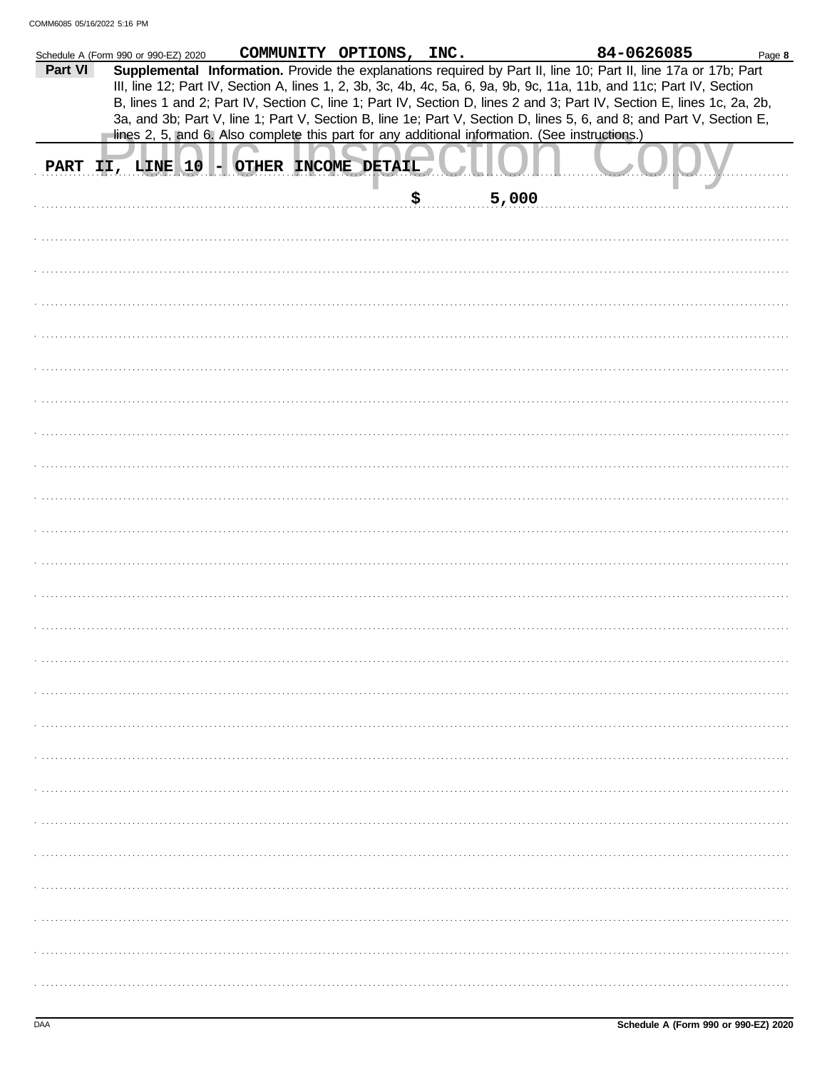|             | Schedule A (Form 990 or 990-EZ) 2020 | COMMUNITY OPTIONS, INC.                                                                        |             | 84-0626085                                                                                                                                                                                                                                                                                                                                                        | Page 8 |
|-------------|--------------------------------------|------------------------------------------------------------------------------------------------|-------------|-------------------------------------------------------------------------------------------------------------------------------------------------------------------------------------------------------------------------------------------------------------------------------------------------------------------------------------------------------------------|--------|
| Part VI     |                                      |                                                                                                |             | Supplemental Information. Provide the explanations required by Part II, line 10; Part II, line 17a or 17b; Part<br>III, line 12; Part IV, Section A, lines 1, 2, 3b, 3c, 4b, 4c, 5a, 6, 9a, 9b, 9c, 11a, 11b, and 11c; Part IV, Section<br>B, lines 1 and 2; Part IV, Section C, line 1; Part IV, Section D, lines 2 and 3; Part IV, Section E, lines 1c, 2a, 2b, |        |
|             |                                      | lines 2, 5, and 6. Also complete this part for any additional information. (See instructions.) |             | 3a, and 3b; Part V, line 1; Part V, Section B, line 1e; Part V, Section D, lines 5, 6, and 8; and Part V, Section E,                                                                                                                                                                                                                                              |        |
| <b>PART</b> | II, LINE 10                          | OTHER INCOME DETAIL                                                                            |             |                                                                                                                                                                                                                                                                                                                                                                   |        |
|             |                                      |                                                                                                | \$<br>5,000 |                                                                                                                                                                                                                                                                                                                                                                   |        |
|             |                                      |                                                                                                |             |                                                                                                                                                                                                                                                                                                                                                                   |        |
|             |                                      |                                                                                                |             |                                                                                                                                                                                                                                                                                                                                                                   |        |
|             |                                      |                                                                                                |             |                                                                                                                                                                                                                                                                                                                                                                   |        |
|             |                                      |                                                                                                |             |                                                                                                                                                                                                                                                                                                                                                                   |        |
|             |                                      |                                                                                                |             |                                                                                                                                                                                                                                                                                                                                                                   |        |
|             |                                      |                                                                                                |             |                                                                                                                                                                                                                                                                                                                                                                   |        |
|             |                                      |                                                                                                |             |                                                                                                                                                                                                                                                                                                                                                                   |        |
|             |                                      |                                                                                                |             |                                                                                                                                                                                                                                                                                                                                                                   |        |
|             |                                      |                                                                                                |             |                                                                                                                                                                                                                                                                                                                                                                   |        |
|             |                                      |                                                                                                |             |                                                                                                                                                                                                                                                                                                                                                                   |        |
|             |                                      |                                                                                                |             |                                                                                                                                                                                                                                                                                                                                                                   |        |
|             |                                      |                                                                                                |             |                                                                                                                                                                                                                                                                                                                                                                   |        |
|             |                                      |                                                                                                |             |                                                                                                                                                                                                                                                                                                                                                                   |        |
|             |                                      |                                                                                                |             |                                                                                                                                                                                                                                                                                                                                                                   |        |
|             |                                      |                                                                                                |             |                                                                                                                                                                                                                                                                                                                                                                   |        |
|             |                                      |                                                                                                |             |                                                                                                                                                                                                                                                                                                                                                                   |        |
|             |                                      |                                                                                                |             |                                                                                                                                                                                                                                                                                                                                                                   |        |
|             |                                      |                                                                                                |             |                                                                                                                                                                                                                                                                                                                                                                   |        |
|             |                                      |                                                                                                |             |                                                                                                                                                                                                                                                                                                                                                                   |        |
|             |                                      |                                                                                                |             |                                                                                                                                                                                                                                                                                                                                                                   |        |
|             |                                      |                                                                                                |             |                                                                                                                                                                                                                                                                                                                                                                   |        |
|             |                                      |                                                                                                |             |                                                                                                                                                                                                                                                                                                                                                                   |        |
|             |                                      |                                                                                                |             |                                                                                                                                                                                                                                                                                                                                                                   |        |
|             |                                      |                                                                                                |             |                                                                                                                                                                                                                                                                                                                                                                   |        |
|             |                                      |                                                                                                |             |                                                                                                                                                                                                                                                                                                                                                                   |        |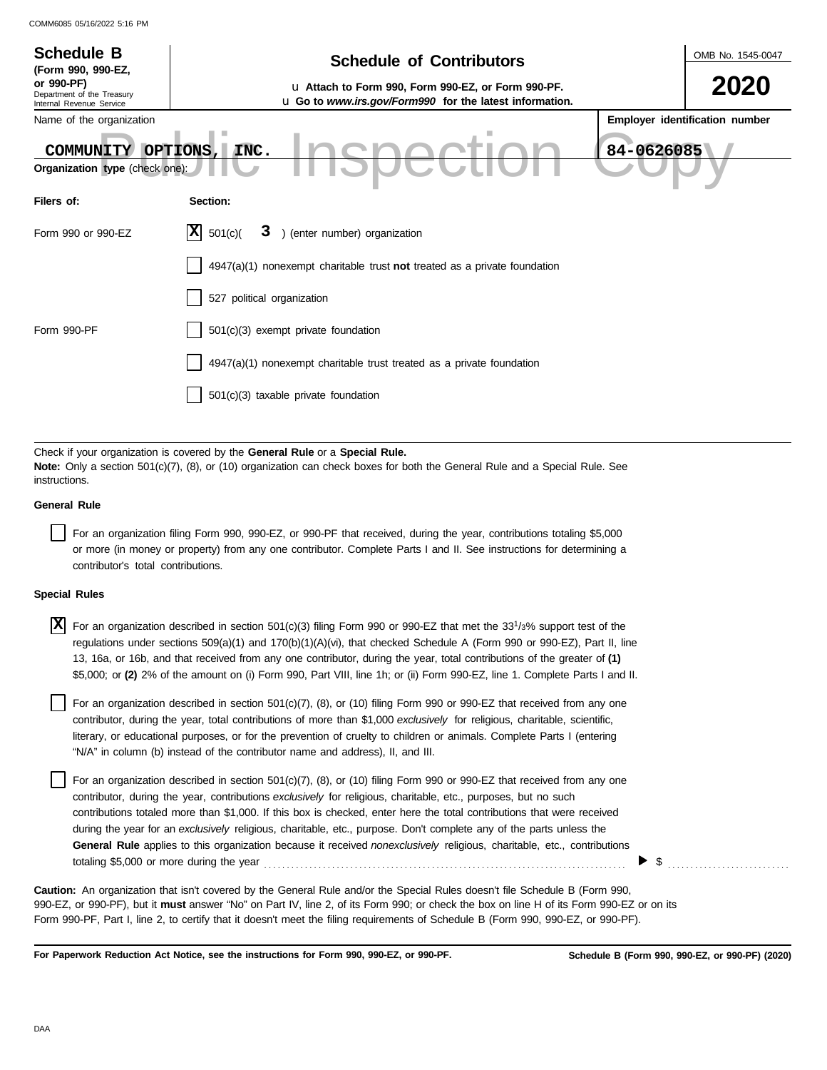| <b>Schedule B</b><br>(Form 990, 990-EZ,<br>or 990-PF)<br>Department of the Treasury<br>Internal Revenue Service                                                                                                                                                                     | <b>Schedule of Contributors</b><br>u Attach to Form 990, Form 990-EZ, or Form 990-PF.<br>u Go to www.irs.gov/Form990 for the latest information. | OMB No. 1545-0047<br>2020 |  |  |  |  |  |
|-------------------------------------------------------------------------------------------------------------------------------------------------------------------------------------------------------------------------------------------------------------------------------------|--------------------------------------------------------------------------------------------------------------------------------------------------|---------------------------|--|--|--|--|--|
| Employer identification number<br>Name of the organization<br>84-0626085<br>OPTIONS,<br>INC.<br>COMMUNITY<br>Organization type (check one)                                                                                                                                          |                                                                                                                                                  |                           |  |  |  |  |  |
| Filers of:                                                                                                                                                                                                                                                                          | Section:                                                                                                                                         |                           |  |  |  |  |  |
| Form 990 or 990-EZ                                                                                                                                                                                                                                                                  | <b>X</b><br>) (enter number) organization<br>501(c)<br>3                                                                                         |                           |  |  |  |  |  |
|                                                                                                                                                                                                                                                                                     | 4947(a)(1) nonexempt charitable trust not treated as a private foundation                                                                        |                           |  |  |  |  |  |
|                                                                                                                                                                                                                                                                                     | 527 political organization                                                                                                                       |                           |  |  |  |  |  |
| Form 990-PF                                                                                                                                                                                                                                                                         | 501(c)(3) exempt private foundation                                                                                                              |                           |  |  |  |  |  |
|                                                                                                                                                                                                                                                                                     | 4947(a)(1) nonexempt charitable trust treated as a private foundation                                                                            |                           |  |  |  |  |  |
|                                                                                                                                                                                                                                                                                     | 501(c)(3) taxable private foundation                                                                                                             |                           |  |  |  |  |  |
|                                                                                                                                                                                                                                                                                     |                                                                                                                                                  |                           |  |  |  |  |  |
| Check if your organization is covered by the General Rule or a Special Rule.<br>Note: Only a section 501(c)(7), (8), or (10) organization can check boxes for both the General Rule and a Special Rule. See<br>instructions.                                                        |                                                                                                                                                  |                           |  |  |  |  |  |
| <b>General Rule</b>                                                                                                                                                                                                                                                                 |                                                                                                                                                  |                           |  |  |  |  |  |
| For an organization filing Form 990, 990-EZ, or 990-PF that received, during the year, contributions totaling \$5,000<br>or more (in money or property) from any one contributor. Complete Parts I and II. See instructions for determining a<br>contributor's total contributions. |                                                                                                                                                  |                           |  |  |  |  |  |

#### **Special Rules**

| X For an organization described in section 501(c)(3) filing Form 990 or 990-EZ that met the 33 <sup>1</sup> /3% support test of the |
|-------------------------------------------------------------------------------------------------------------------------------------|
| regulations under sections 509(a)(1) and 170(b)(1)(A)(vi), that checked Schedule A (Form 990 or 990-EZ), Part II, line              |
| 13, 16a, or 16b, and that received from any one contributor, during the year, total contributions of the greater of (1)             |
| \$5,000; or (2) 2% of the amount on (i) Form 990, Part VIII, line 1h; or (ii) Form 990-EZ, line 1. Complete Parts I and II.         |

literary, or educational purposes, or for the prevention of cruelty to children or animals. Complete Parts I (entering For an organization described in section 501(c)(7), (8), or (10) filing Form 990 or 990-EZ that received from any one contributor, during the year, total contributions of more than \$1,000 *exclusively* for religious, charitable, scientific, "N/A" in column (b) instead of the contributor name and address), II, and III.

For an organization described in section 501(c)(7), (8), or (10) filing Form 990 or 990-EZ that received from any one contributor, during the year, contributions *exclusively* for religious, charitable, etc., purposes, but no such contributions totaled more than \$1,000. If this box is checked, enter here the total contributions that were received during the year for an *exclusively* religious, charitable, etc., purpose. Don't complete any of the parts unless the **General Rule** applies to this organization because it received *nonexclusively* religious, charitable, etc., contributions totaling \$5,000 or more during the year . . . . . . . . . . . . . . . . . . . . . . . . . . . . . . . . . . . . . . . . . . . . . . . . . . . . . . . . . . . . . . . . . . . . . . . . . . . . . . . .

990-EZ, or 990-PF), but it **must** answer "No" on Part IV, line 2, of its Form 990; or check the box on line H of its Form 990-EZ or on its Form 990-PF, Part I, line 2, to certify that it doesn't meet the filing requirements of Schedule B (Form 990, 990-EZ, or 990-PF). **Caution:** An organization that isn't covered by the General Rule and/or the Special Rules doesn't file Schedule B (Form 990,

**For Paperwork Reduction Act Notice, see the instructions for Form 990, 990-EZ, or 990-PF.**

 $\triangleright$  \$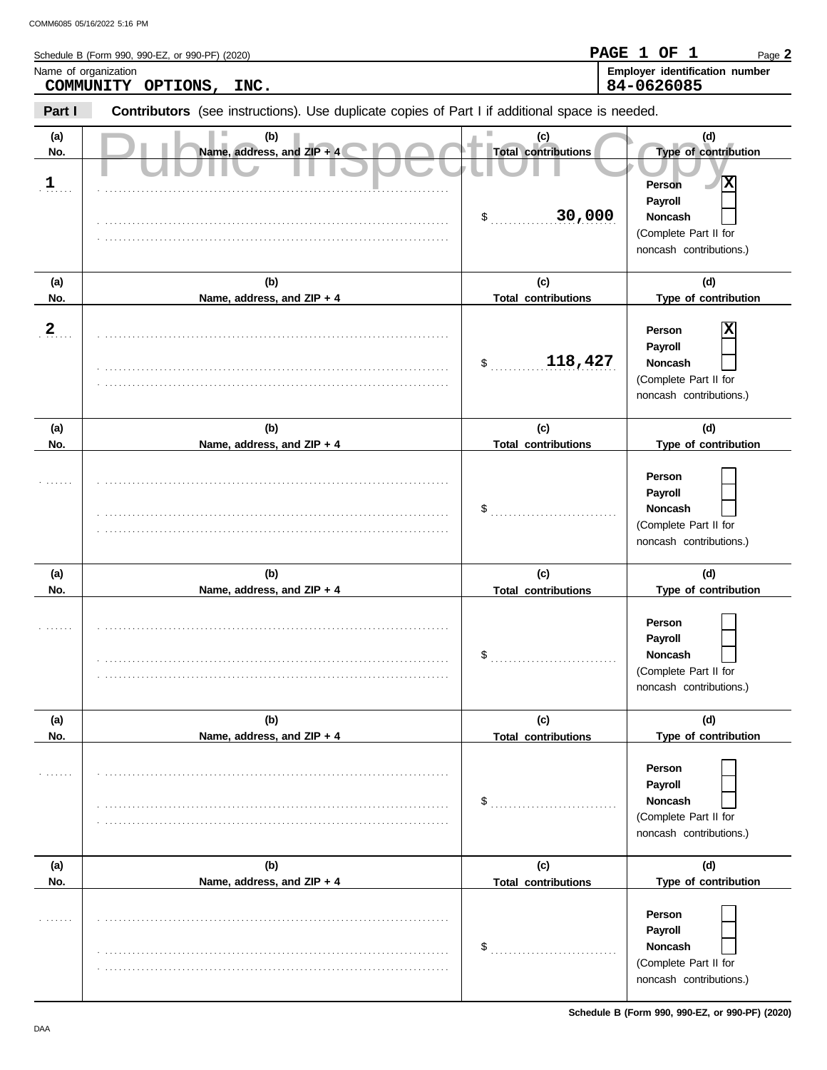| Name of organization       | Schedule B (Form 990, 990-EZ, or 990-PF) (2020)                                                |                                                        | PAGE 1 OF 1<br>Page 2<br>Employer identification number                                                                     |
|----------------------------|------------------------------------------------------------------------------------------------|--------------------------------------------------------|-----------------------------------------------------------------------------------------------------------------------------|
|                            | COMMUNITY OPTIONS,<br>INC.                                                                     |                                                        | 84-0626085                                                                                                                  |
| Part I                     | Contributors (see instructions). Use duplicate copies of Part I if additional space is needed. |                                                        |                                                                                                                             |
| (a)<br>No.<br>$\mathbf{1}$ | (b)<br>Name, address, and ZIP + 4                                                              | (c)<br>Ш<br><b>Total contributions</b><br>30,000<br>\$ | (d)<br>Type of contribution<br>x<br>Person<br>Payroll<br><b>Noncash</b><br>(Complete Part II for<br>noncash contributions.) |
| (a)<br>No.                 | (b)<br>Name, address, and ZIP + 4                                                              | (c)<br><b>Total contributions</b>                      | (d)<br>Type of contribution                                                                                                 |
| $\mathbf{2}$               |                                                                                                | 118,427<br>\$                                          | Person<br>Payroll<br>Noncash<br>(Complete Part II for<br>noncash contributions.)                                            |
| (a)                        | (b)                                                                                            | (c)                                                    | (d)                                                                                                                         |
| No.                        | Name, address, and ZIP + 4                                                                     | <b>Total contributions</b>                             | Type of contribution                                                                                                        |
|                            |                                                                                                | \$                                                     | Person<br>Payroll<br><b>Noncash</b><br>(Complete Part II for<br>noncash contributions.)                                     |
| (a)<br>No.                 | (b)<br>Name, address, and ZIP + 4                                                              | (c)<br><b>Total contributions</b>                      | (d)<br>Type of contribution                                                                                                 |
|                            |                                                                                                | \$                                                     | Person<br>Payroll<br>Noncash<br>(Complete Part II for<br>noncash contributions.)                                            |
| (a)<br>No.                 | (b)<br>Name, address, and ZIP + 4                                                              | (c)<br><b>Total contributions</b>                      | (d)<br>Type of contribution                                                                                                 |
|                            |                                                                                                | \$                                                     | Person<br>Payroll<br>Noncash<br>(Complete Part II for<br>noncash contributions.)                                            |
| (a)                        | (b)                                                                                            | (c)                                                    | (d)                                                                                                                         |
| No.                        | Name, address, and ZIP + 4                                                                     | <b>Total contributions</b><br>\$                       | Type of contribution<br>Person<br>Payroll<br>Noncash<br>(Complete Part II for<br>noncash contributions.)                    |

**Schedule B (Form 990, 990-EZ, or 990-PF) (2020)**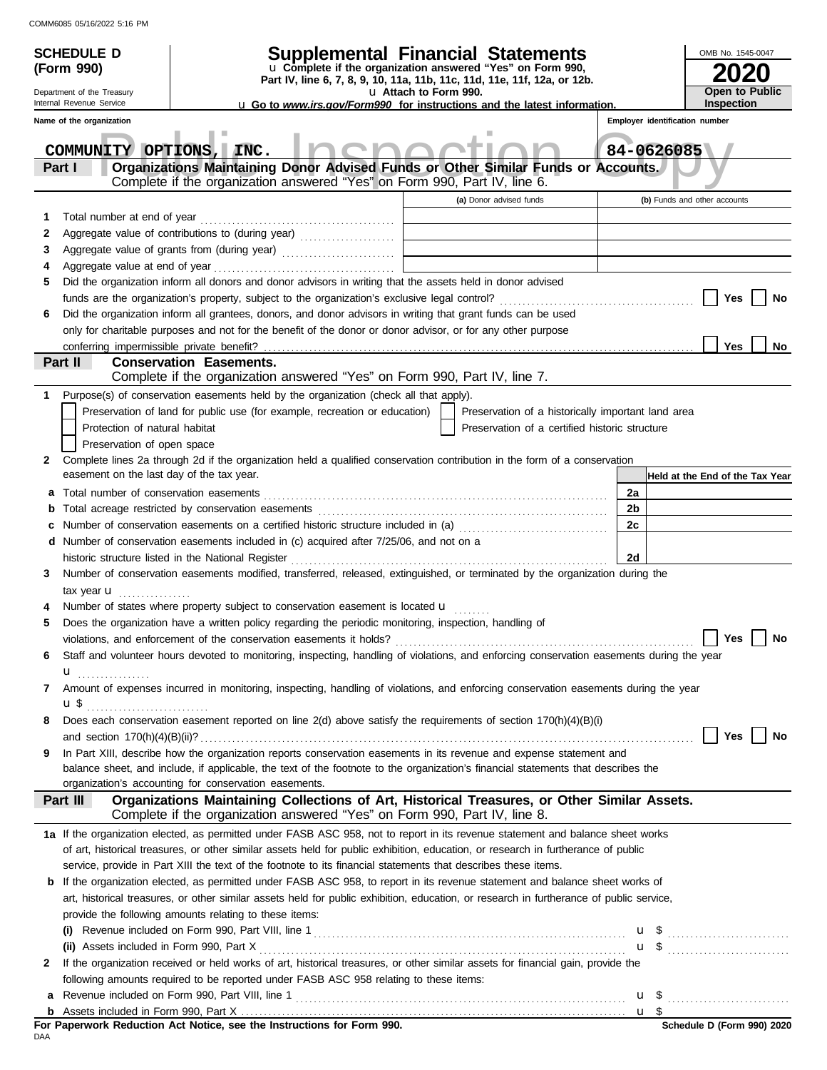|        | <b>SCHEDULE D</b>                         |                                                                                                                                                                |                       | <b>Supplemental Financial Statements</b>                                   |    |                                | OMB No. 1545-0047               |
|--------|-------------------------------------------|----------------------------------------------------------------------------------------------------------------------------------------------------------------|-----------------------|----------------------------------------------------------------------------|----|--------------------------------|---------------------------------|
|        | (Form 990)                                |                                                                                                                                                                |                       | u Complete if the organization answered "Yes" on Form 990,                 |    |                                |                                 |
|        | Department of the Treasury                | Part IV, line 6, 7, 8, 9, 10, 11a, 11b, 11c, 11d, 11e, 11f, 12a, or 12b.                                                                                       | u Attach to Form 990. |                                                                            |    | Open to Public                 |                                 |
|        | Internal Revenue Service                  | <b>u</b> Go to <i>www.irs.gov/Form990</i> for instructions and the latest information.                                                                         |                       |                                                                            |    |                                | <b>Inspection</b>               |
|        | Name of the organization                  |                                                                                                                                                                |                       |                                                                            |    | Employer identification number |                                 |
|        | COMMUNITY OPTIONS, INC.                   |                                                                                                                                                                |                       |                                                                            |    | 84-0626085                     |                                 |
|        | Part I                                    | Organizations Maintaining Donor Advised Funds or Other Similar Funds or Accounts.<br>Complete if the organization answered "Yes" on Form 990, Part IV, line 6. |                       |                                                                            |    |                                |                                 |
|        |                                           |                                                                                                                                                                |                       | (a) Donor advised funds                                                    |    |                                |                                 |
|        |                                           |                                                                                                                                                                |                       |                                                                            |    |                                | (b) Funds and other accounts    |
| 1<br>2 | Total number at end of year               | Aggregate value of contributions to (during year)                                                                                                              |                       |                                                                            |    |                                |                                 |
| 3      |                                           | Aggregate value of grants from (during year)                                                                                                                   |                       | the control of the control of the control of the control of the control of |    |                                |                                 |
| 4      |                                           |                                                                                                                                                                |                       |                                                                            |    |                                |                                 |
| 5      |                                           | Did the organization inform all donors and donor advisors in writing that the assets held in donor advised                                                     |                       |                                                                            |    |                                |                                 |
|        |                                           |                                                                                                                                                                |                       |                                                                            |    |                                | Yes<br>No                       |
| 6      |                                           | Did the organization inform all grantees, donors, and donor advisors in writing that grant funds can be used                                                   |                       |                                                                            |    |                                |                                 |
|        |                                           | only for charitable purposes and not for the benefit of the donor or donor advisor, or for any other purpose                                                   |                       |                                                                            |    |                                |                                 |
|        |                                           |                                                                                                                                                                |                       |                                                                            |    |                                | Yes<br>No                       |
|        | Part II                                   | <b>Conservation Easements.</b>                                                                                                                                 |                       |                                                                            |    |                                |                                 |
|        |                                           | Complete if the organization answered "Yes" on Form 990, Part IV, line 7.                                                                                      |                       |                                                                            |    |                                |                                 |
| 1      |                                           | Purpose(s) of conservation easements held by the organization (check all that apply).                                                                          |                       |                                                                            |    |                                |                                 |
|        |                                           | Preservation of land for public use (for example, recreation or education)                                                                                     |                       | Preservation of a historically important land area                         |    |                                |                                 |
|        | Protection of natural habitat             |                                                                                                                                                                |                       | Preservation of a certified historic structure                             |    |                                |                                 |
|        | Preservation of open space                |                                                                                                                                                                |                       |                                                                            |    |                                |                                 |
| 2      |                                           | Complete lines 2a through 2d if the organization held a qualified conservation contribution in the form of a conservation                                      |                       |                                                                            |    |                                |                                 |
|        | easement on the last day of the tax year. |                                                                                                                                                                |                       |                                                                            |    |                                | Held at the End of the Tax Year |
| а      |                                           |                                                                                                                                                                |                       |                                                                            | 2a |                                |                                 |
| b      |                                           |                                                                                                                                                                |                       |                                                                            | 2b |                                |                                 |
| c      |                                           | Number of conservation easements on a certified historic structure included in (a) [[[[[ [ [ ]]]                                                               |                       |                                                                            | 2c |                                |                                 |
| d      |                                           | Number of conservation easements included in (c) acquired after 7/25/06, and not on a                                                                          |                       |                                                                            |    |                                |                                 |
|        |                                           | historic structure listed in the National Register                                                                                                             |                       |                                                                            | 2d |                                |                                 |
| 3      |                                           | Number of conservation easements modified, transferred, released, extinguished, or terminated by the organization during the                                   |                       |                                                                            |    |                                |                                 |
|        | tax year $\mathbf{u}$                     |                                                                                                                                                                |                       |                                                                            |    |                                |                                 |
|        |                                           | Number of states where property subject to conservation easement is located u                                                                                  |                       |                                                                            |    |                                |                                 |
| 5      |                                           | Does the organization have a written policy regarding the periodic monitoring, inspection, handling of                                                         |                       |                                                                            |    |                                | <b>No</b>                       |
|        |                                           |                                                                                                                                                                |                       |                                                                            |    |                                | Yes $\boxed{\phantom{a}}$       |
| 6      |                                           | Staff and volunteer hours devoted to monitoring, inspecting, handling of violations, and enforcing conservation easements during the year                      |                       |                                                                            |    |                                |                                 |
| 7      | u <sub></sub> .                           | Amount of expenses incurred in monitoring, inspecting, handling of violations, and enforcing conservation easements during the year                            |                       |                                                                            |    |                                |                                 |
|        |                                           |                                                                                                                                                                |                       |                                                                            |    |                                |                                 |
| 8      |                                           | Does each conservation easement reported on line 2(d) above satisfy the requirements of section 170(h)(4)(B)(i)                                                |                       |                                                                            |    |                                |                                 |
|        |                                           |                                                                                                                                                                |                       |                                                                            |    |                                | Yes  <br>No                     |
| 9      |                                           | In Part XIII, describe how the organization reports conservation easements in its revenue and expense statement and                                            |                       |                                                                            |    |                                |                                 |
|        |                                           | balance sheet, and include, if applicable, the text of the footnote to the organization's financial statements that describes the                              |                       |                                                                            |    |                                |                                 |
|        |                                           | organization's accounting for conservation easements.                                                                                                          |                       |                                                                            |    |                                |                                 |
|        | Part III                                  | Organizations Maintaining Collections of Art, Historical Treasures, or Other Similar Assets.                                                                   |                       |                                                                            |    |                                |                                 |
|        |                                           | Complete if the organization answered "Yes" on Form 990, Part IV, line 8.                                                                                      |                       |                                                                            |    |                                |                                 |
|        |                                           | 1a If the organization elected, as permitted under FASB ASC 958, not to report in its revenue statement and balance sheet works                                |                       |                                                                            |    |                                |                                 |
|        |                                           | of art, historical treasures, or other similar assets held for public exhibition, education, or research in furtherance of public                              |                       |                                                                            |    |                                |                                 |
|        |                                           | service, provide in Part XIII the text of the footnote to its financial statements that describes these items.                                                 |                       |                                                                            |    |                                |                                 |
| b      |                                           | If the organization elected, as permitted under FASB ASC 958, to report in its revenue statement and balance sheet works of                                    |                       |                                                                            |    |                                |                                 |
|        |                                           | art, historical treasures, or other similar assets held for public exhibition, education, or research in furtherance of public service,                        |                       |                                                                            |    |                                |                                 |
|        |                                           | provide the following amounts relating to these items:                                                                                                         |                       |                                                                            |    |                                |                                 |
|        |                                           |                                                                                                                                                                |                       |                                                                            |    |                                | $\mathbf{u}$ \$                 |
|        |                                           |                                                                                                                                                                |                       |                                                                            |    |                                | $\mathbf{u}$ \$ $\ldots$        |
| 2      |                                           | If the organization received or held works of art, historical treasures, or other similar assets for financial gain, provide the                               |                       |                                                                            |    |                                |                                 |
|        |                                           | following amounts required to be reported under FASB ASC 958 relating to these items:                                                                          |                       |                                                                            |    |                                |                                 |
| a      |                                           | Revenue included on Form 990, Part VIII, line 1                                                                                                                |                       |                                                                            |    |                                |                                 |
|        |                                           |                                                                                                                                                                |                       |                                                                            |    |                                |                                 |

| For Paperwork Reduction Act Notice, see the Instructions for Form 990. |  |  |  |
|------------------------------------------------------------------------|--|--|--|
| <b>DAA</b>                                                             |  |  |  |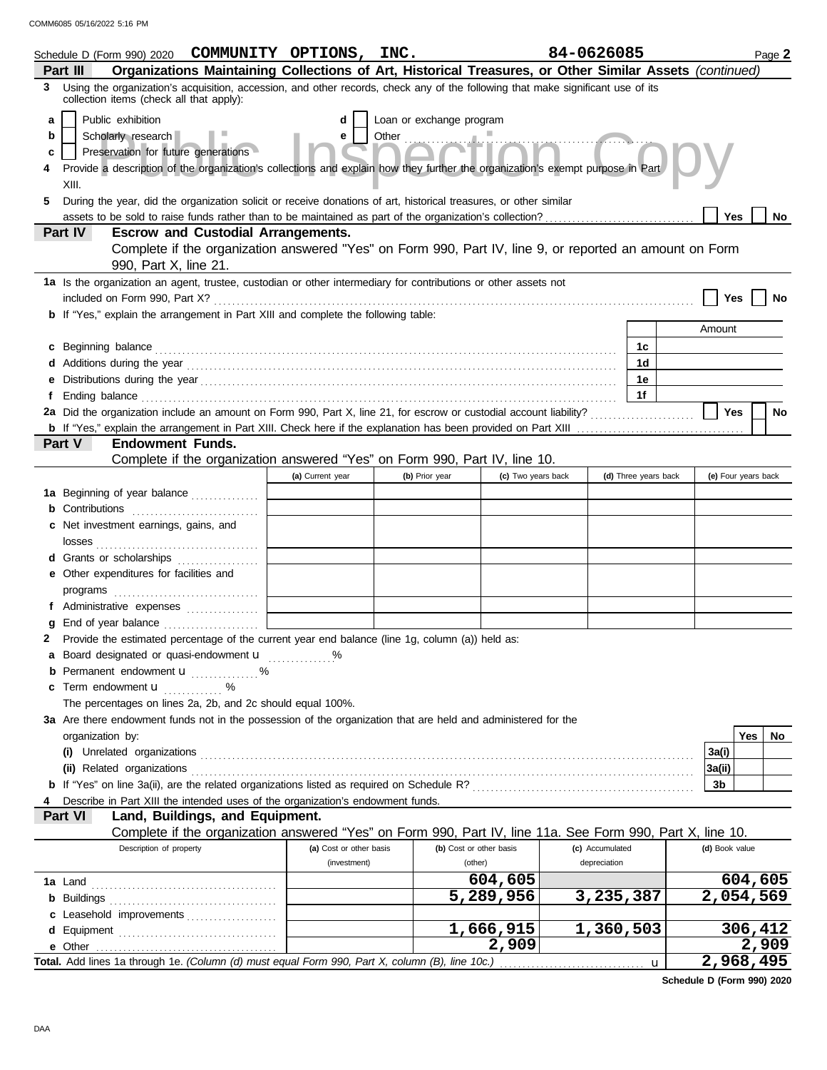|    | Schedule D (Form 990) 2020 COMMUNITY OPTIONS, INC.                                                                                                                                                                                                       |                                              |                          |                         | 84-0626085                     |                      |                | Page 2              |
|----|----------------------------------------------------------------------------------------------------------------------------------------------------------------------------------------------------------------------------------------------------------|----------------------------------------------|--------------------------|-------------------------|--------------------------------|----------------------|----------------|---------------------|
|    | Organizations Maintaining Collections of Art, Historical Treasures, or Other Similar Assets (continued)<br>Part III<br>3 Using the organization's acquisition, accession, and other records, check any of the following that make significant use of its |                                              |                          |                         |                                |                      |                |                     |
|    | collection items (check all that apply):                                                                                                                                                                                                                 |                                              |                          |                         |                                |                      |                |                     |
| a  | Public exhibition                                                                                                                                                                                                                                        | d                                            | Loan or exchange program |                         |                                |                      |                |                     |
| b  | Scholarly research                                                                                                                                                                                                                                       | e                                            | Other                    |                         | أحاد المتحدث والمنابذ والمتحدث |                      |                |                     |
| c  | Preservation for future generations                                                                                                                                                                                                                      |                                              |                          |                         |                                |                      |                |                     |
|    | Provide a description of the organization's collections and explain how they further the organization's exempt purpose in Part                                                                                                                           |                                              |                          |                         |                                |                      |                |                     |
|    | XIII.                                                                                                                                                                                                                                                    |                                              |                          |                         |                                |                      |                |                     |
| 5. | During the year, did the organization solicit or receive donations of art, historical treasures, or other similar                                                                                                                                        |                                              |                          |                         |                                |                      |                |                     |
|    |                                                                                                                                                                                                                                                          |                                              |                          |                         |                                |                      | <b>Yes</b>     | <b>No</b>           |
|    | Part IV<br><b>Escrow and Custodial Arrangements.</b>                                                                                                                                                                                                     |                                              |                          |                         |                                |                      |                |                     |
|    | Complete if the organization answered "Yes" on Form 990, Part IV, line 9, or reported an amount on Form<br>990, Part X, line 21.                                                                                                                         |                                              |                          |                         |                                |                      |                |                     |
|    | 1a Is the organization an agent, trustee, custodian or other intermediary for contributions or other assets not                                                                                                                                          |                                              |                          |                         |                                |                      |                |                     |
|    |                                                                                                                                                                                                                                                          |                                              |                          |                         |                                |                      | Yes            | No                  |
|    | <b>b</b> If "Yes," explain the arrangement in Part XIII and complete the following table:                                                                                                                                                                |                                              |                          |                         |                                |                      |                |                     |
|    |                                                                                                                                                                                                                                                          |                                              |                          |                         |                                |                      | Amount         |                     |
|    | c Beginning balance contract and contract and contract and contract and contract and contract and contract and contract and contract and contract and contract and contract and contract and contract and contract and contrac                           |                                              |                          |                         |                                | 1c                   |                |                     |
|    |                                                                                                                                                                                                                                                          |                                              |                          |                         |                                | 1d                   |                |                     |
| е  |                                                                                                                                                                                                                                                          |                                              |                          |                         |                                | 1e                   |                |                     |
|    | f Ending balance <i>communically contained</i> and the contained and the contained contained and the contained and the contained and the contained and the contained and the contained and the contained and the contained and the                       |                                              |                          |                         |                                | 1f                   |                |                     |
|    |                                                                                                                                                                                                                                                          |                                              |                          |                         |                                |                      | Yes            | No                  |
|    | Part V<br><b>Endowment Funds.</b>                                                                                                                                                                                                                        |                                              |                          |                         |                                |                      |                |                     |
|    | Complete if the organization answered "Yes" on Form 990, Part IV, line 10.                                                                                                                                                                               |                                              |                          |                         |                                |                      |                |                     |
|    |                                                                                                                                                                                                                                                          | (a) Current year                             | (b) Prior year           | (c) Two years back      |                                | (d) Three years back |                | (e) Four years back |
|    | 1a Beginning of year balance                                                                                                                                                                                                                             | the control of the control of the control of |                          |                         |                                |                      |                |                     |
|    | <b>b</b> Contributions                                                                                                                                                                                                                                   |                                              |                          |                         |                                |                      |                |                     |
|    | c Net investment earnings, gains, and                                                                                                                                                                                                                    |                                              |                          |                         |                                |                      |                |                     |
|    |                                                                                                                                                                                                                                                          |                                              |                          |                         |                                |                      |                |                     |
|    | d Grants or scholarships                                                                                                                                                                                                                                 |                                              |                          |                         |                                |                      |                |                     |
|    | e Other expenditures for facilities and                                                                                                                                                                                                                  |                                              |                          |                         |                                |                      |                |                     |
|    |                                                                                                                                                                                                                                                          | the control of the control of the control of |                          |                         |                                |                      |                |                     |
|    | f Administrative expenses                                                                                                                                                                                                                                | the control of the control of the control of |                          |                         |                                |                      |                |                     |
|    |                                                                                                                                                                                                                                                          |                                              |                          |                         |                                |                      |                |                     |
|    | 2 Provide the estimated percentage of the current year end balance (line 1g, column (a)) held as:                                                                                                                                                        |                                              |                          |                         |                                |                      |                |                     |
|    | a Board designated or quasi-endowment u %                                                                                                                                                                                                                |                                              |                          |                         |                                |                      |                |                     |
|    | Permanent endowment <b>u</b> %                                                                                                                                                                                                                           |                                              |                          |                         |                                |                      |                |                     |
| c  | Term endowment <b>u</b>                                                                                                                                                                                                                                  |                                              |                          |                         |                                |                      |                |                     |
|    | The percentages on lines 2a, 2b, and 2c should equal 100%.                                                                                                                                                                                               |                                              |                          |                         |                                |                      |                |                     |
|    | 3a Are there endowment funds not in the possession of the organization that are held and administered for the                                                                                                                                            |                                              |                          |                         |                                |                      |                |                     |
|    | organization by:                                                                                                                                                                                                                                         |                                              |                          |                         |                                |                      |                | Yes<br>No           |
|    |                                                                                                                                                                                                                                                          |                                              |                          |                         |                                |                      | 3a(i)          |                     |
|    | (ii) Related organizations                                                                                                                                                                                                                               |                                              |                          |                         |                                |                      | 3a(ii)         |                     |
|    |                                                                                                                                                                                                                                                          |                                              |                          |                         |                                |                      | 3b             |                     |
|    | Describe in Part XIII the intended uses of the organization's endowment funds.                                                                                                                                                                           |                                              |                          |                         |                                |                      |                |                     |
|    | Part VI<br>Land, Buildings, and Equipment.<br>Complete if the organization answered "Yes" on Form 990, Part IV, line 11a. See Form 990, Part X, line 10.                                                                                                 |                                              |                          |                         |                                |                      |                |                     |
|    | Description of property                                                                                                                                                                                                                                  | (a) Cost or other basis                      |                          | (b) Cost or other basis | (c) Accumulated                |                      | (d) Book value |                     |
|    |                                                                                                                                                                                                                                                          | (investment)                                 |                          | (other)                 | depreciation                   |                      |                |                     |
|    |                                                                                                                                                                                                                                                          |                                              |                          | 604,605                 |                                |                      |                | 604,605             |
|    |                                                                                                                                                                                                                                                          |                                              |                          | 5,289,956               | 3,235,387                      |                      |                | 2,054,569           |
|    | c Leasehold improvements                                                                                                                                                                                                                                 |                                              |                          |                         |                                |                      |                |                     |
|    |                                                                                                                                                                                                                                                          |                                              |                          | 1,666,915               | 1,360,503                      |                      |                | 306,412             |
|    |                                                                                                                                                                                                                                                          |                                              |                          | $\overline{2,909}$      |                                |                      |                | 2,909               |
|    |                                                                                                                                                                                                                                                          |                                              |                          |                         |                                | $\mathbf u$          |                | 2,968,495           |

**Schedule D (Form 990) 2020**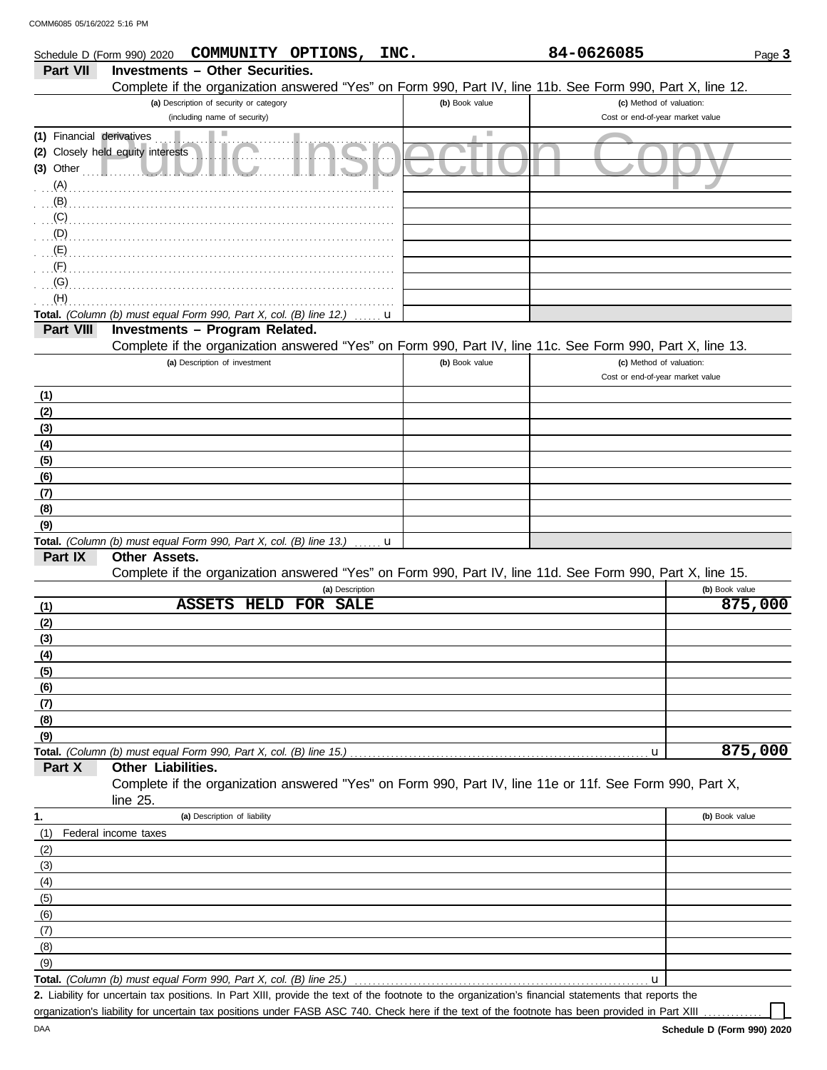| Schedule D (Form 990) 2020 |                                                                                          | COMMUNITY OPTIONS, | INC. |                | 84-0626085                                                                                                 | Page 3         |
|----------------------------|------------------------------------------------------------------------------------------|--------------------|------|----------------|------------------------------------------------------------------------------------------------------------|----------------|
| Part VII                   | <b>Investments - Other Securities.</b>                                                   |                    |      |                |                                                                                                            |                |
|                            |                                                                                          |                    |      |                | Complete if the organization answered "Yes" on Form 990, Part IV, line 11b. See Form 990, Part X, line 12. |                |
|                            | (a) Description of security or category                                                  |                    |      | (b) Book value | (c) Method of valuation:                                                                                   |                |
|                            | (including name of security)                                                             |                    |      |                | Cost or end-of-year market value                                                                           |                |
| (1) Financial derivatives  |                                                                                          |                    |      | Ш              |                                                                                                            |                |
|                            | (2) Closely held equity interests                                                        |                    |      |                |                                                                                                            |                |
| $(3)$ Other                |                                                                                          |                    |      |                |                                                                                                            |                |
| (A)<br>(B)                 |                                                                                          |                    |      |                |                                                                                                            |                |
| (C)                        |                                                                                          |                    |      |                |                                                                                                            |                |
|                            |                                                                                          |                    |      |                |                                                                                                            |                |
| (E)                        |                                                                                          |                    |      |                |                                                                                                            |                |
| (F)                        |                                                                                          |                    |      |                |                                                                                                            |                |
| (G)                        |                                                                                          |                    |      |                |                                                                                                            |                |
| (H)                        |                                                                                          |                    |      |                |                                                                                                            |                |
|                            | Total. (Column (b) must equal Form 990, Part X, col. (B) line 12.)                       |                    | u    |                |                                                                                                            |                |
| Part VIII                  | Investments - Program Related.                                                           |                    |      |                |                                                                                                            |                |
|                            |                                                                                          |                    |      |                | Complete if the organization answered "Yes" on Form 990, Part IV, line 11c. See Form 990, Part X, line 13. |                |
|                            | (a) Description of investment                                                            |                    |      | (b) Book value | (c) Method of valuation:                                                                                   |                |
|                            |                                                                                          |                    |      |                | Cost or end-of-year market value                                                                           |                |
| (1)                        |                                                                                          |                    |      |                |                                                                                                            |                |
| (2)<br>(3)                 |                                                                                          |                    |      |                |                                                                                                            |                |
| (4)                        |                                                                                          |                    |      |                |                                                                                                            |                |
| (5)                        |                                                                                          |                    |      |                |                                                                                                            |                |
| (6)                        |                                                                                          |                    |      |                |                                                                                                            |                |
| (7)                        |                                                                                          |                    |      |                |                                                                                                            |                |
| (8)                        |                                                                                          |                    |      |                |                                                                                                            |                |
| (9)                        |                                                                                          |                    |      |                |                                                                                                            |                |
|                            | Total. (Column (b) must equal Form 990, Part X, col. (B) line 13.)                       |                    | u    |                |                                                                                                            |                |
| Part IX                    | Other Assets.                                                                            |                    |      |                | Complete if the organization answered "Yes" on Form 990, Part IV, line 11d. See Form 990, Part X, line 15. |                |
|                            |                                                                                          | (a) Description    |      |                |                                                                                                            | (b) Book value |
| (1)                        | <b>ASSETS HELD</b>                                                                       | FOR SALE           |      |                |                                                                                                            | 875,000        |
| (2)                        |                                                                                          |                    |      |                |                                                                                                            |                |
| (3)                        |                                                                                          |                    |      |                |                                                                                                            |                |
| (4)                        |                                                                                          |                    |      |                |                                                                                                            |                |
| (5)                        |                                                                                          |                    |      |                |                                                                                                            |                |
| (6)                        |                                                                                          |                    |      |                |                                                                                                            |                |
| (7)                        |                                                                                          |                    |      |                |                                                                                                            |                |
| (8)                        |                                                                                          |                    |      |                |                                                                                                            |                |
| (9)                        |                                                                                          |                    |      |                |                                                                                                            | 875,000        |
| Part X                     | Total. (Column (b) must equal Form 990, Part X, col. (B) line 15.)<br>Other Liabilities. |                    |      |                | u                                                                                                          |                |
|                            |                                                                                          |                    |      |                | Complete if the organization answered "Yes" on Form 990, Part IV, line 11e or 11f. See Form 990, Part X,   |                |
|                            | line 25.                                                                                 |                    |      |                |                                                                                                            |                |
| 1.                         | (a) Description of liability                                                             |                    |      |                |                                                                                                            | (b) Book value |
| (1)                        | Federal income taxes                                                                     |                    |      |                |                                                                                                            |                |
| (2)                        |                                                                                          |                    |      |                |                                                                                                            |                |
| (3)                        |                                                                                          |                    |      |                |                                                                                                            |                |
| (4)                        |                                                                                          |                    |      |                |                                                                                                            |                |
| (5)                        |                                                                                          |                    |      |                |                                                                                                            |                |
| (6)                        |                                                                                          |                    |      |                |                                                                                                            |                |
| (7)<br>(8)                 |                                                                                          |                    |      |                |                                                                                                            |                |
| (9)                        |                                                                                          |                    |      |                |                                                                                                            |                |
|                            | Total. (Column (b) must equal Form 990, Part X, col. (B) line 25.)                       |                    |      |                | u                                                                                                          |                |

Liability for uncertain tax positions. In Part XIII, provide the text of the footnote to the organization's financial statements that reports the **2.** organization's liability for uncertain tax positions under FASB ASC 740. Check here if the text of the footnote has been provided in Part XIII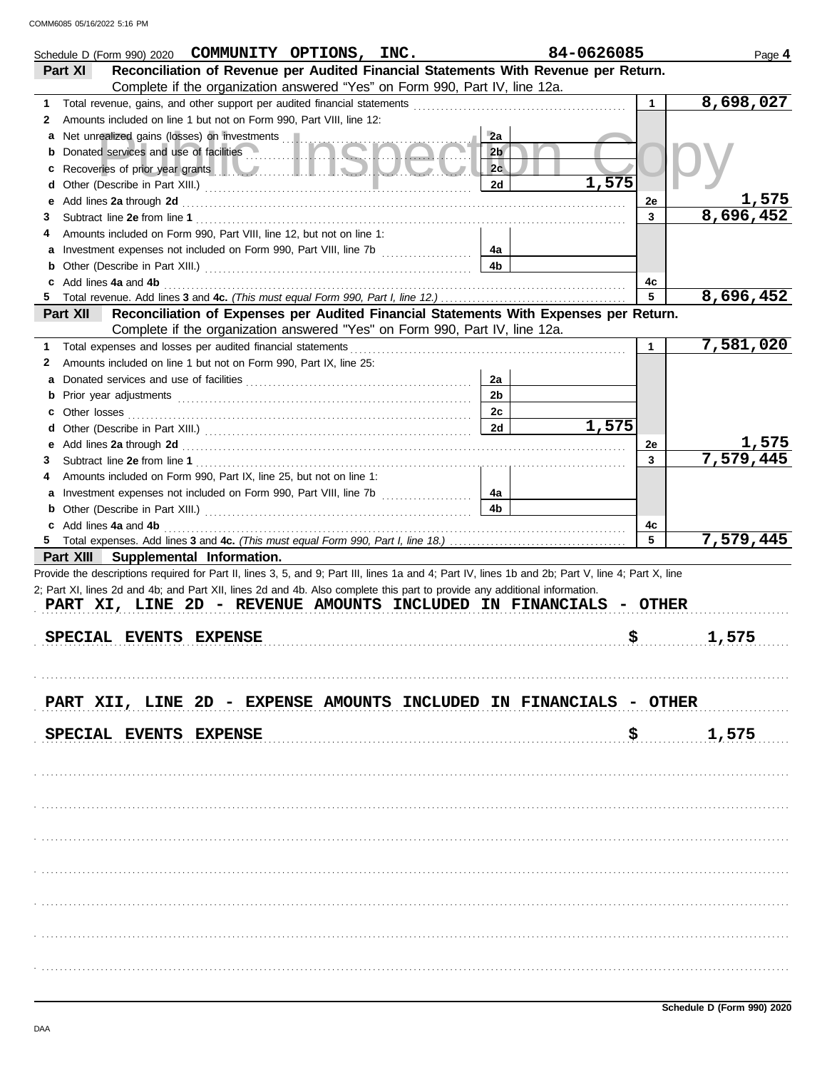| Schedule D (Form 990) 2020 COMMUNITY OPTIONS, INC.                                                                                                                                                                                 |                | 84-0626085 |              | Page 4    |
|------------------------------------------------------------------------------------------------------------------------------------------------------------------------------------------------------------------------------------|----------------|------------|--------------|-----------|
| Reconciliation of Revenue per Audited Financial Statements With Revenue per Return.<br>Part XI<br>Complete if the organization answered "Yes" on Form 990, Part IV, line 12a.                                                      |                |            |              |           |
| 1                                                                                                                                                                                                                                  |                |            | $\mathbf 1$  | 8,698,027 |
| Amounts included on line 1 but not on Form 990, Part VIII, line 12:<br>2                                                                                                                                                           |                |            |              |           |
| a                                                                                                                                                                                                                                  | 2a             |            |              |           |
| Donated services and use of facilities<br>b                                                                                                                                                                                        | 2 <sub>b</sub> |            |              |           |
| Recoveries of prior year grants <b>the contract of the contract of prior</b><br>c                                                                                                                                                  | 2c             |            |              |           |
| d                                                                                                                                                                                                                                  | 2d             | 1,575      |              |           |
| Add lines 2a through 2d [11] Additional Property and Property and Property and Property and Property and Property and Property and Property and Property and Property and Property and Property and Property and Property and<br>е |                |            | 2e           | 1,575     |
| 3                                                                                                                                                                                                                                  |                |            | $\mathbf{3}$ | 8,696,452 |
| Amounts included on Form 990, Part VIII, line 12, but not on line 1:<br>4                                                                                                                                                          |                |            |              |           |
|                                                                                                                                                                                                                                    | 4a             |            |              |           |
| b                                                                                                                                                                                                                                  | 4b             |            |              |           |
| Add lines 4a and 4b<br>c                                                                                                                                                                                                           |                |            | 4c           |           |
|                                                                                                                                                                                                                                    |                |            | 5            | 8,696,452 |
| Reconciliation of Expenses per Audited Financial Statements With Expenses per Return.<br>Part XII                                                                                                                                  |                |            |              |           |
| Complete if the organization answered "Yes" on Form 990, Part IV, line 12a.                                                                                                                                                        |                |            |              |           |
| 1 Total expenses and losses per audited financial statements                                                                                                                                                                       |                |            | $\mathbf{1}$ | 7,581,020 |
| Amounts included on line 1 but not on Form 990, Part IX, line 25:<br>2                                                                                                                                                             |                |            |              |           |
| a                                                                                                                                                                                                                                  | 2a             |            |              |           |
| b                                                                                                                                                                                                                                  | 2b             |            |              |           |
| c                                                                                                                                                                                                                                  | 2c             |            |              |           |
| d                                                                                                                                                                                                                                  | 2d             | 1,575      |              |           |
| Add lines 2a through 2d [11, 12] Add [12] Add lines 2a through 2d [12] Add lines 2a through 2d [12] Add lines 20 through 2d [12] Add and the set of the set of the set of the set of the set of the set of the set of the set<br>е |                |            | 2e           | 1,575     |
| 3                                                                                                                                                                                                                                  |                |            | 3            | 7,579,445 |
| Amounts included on Form 990, Part IX, line 25, but not on line 1:<br>4                                                                                                                                                            |                |            |              |           |
| a Investment expenses not included on Form 990, Part VIII, line 7b                                                                                                                                                                 | 4a             |            |              |           |
| b                                                                                                                                                                                                                                  | 4b             |            |              |           |
| c Add lines 4a and 4b                                                                                                                                                                                                              |                |            | 4c           |           |
| 5                                                                                                                                                                                                                                  |                |            | 5            | 7,579,445 |
| Part XIII Supplemental Information.                                                                                                                                                                                                |                |            |              |           |
| Provide the descriptions required for Part II, lines 3, 5, and 9; Part III, lines 1a and 4; Part IV, lines 1b and 2b; Part V, line 4; Part X, line                                                                                 |                |            |              |           |
| 2; Part XI, lines 2d and 4b; and Part XII, lines 2d and 4b. Also complete this part to provide any additional information.                                                                                                         |                |            |              |           |
| PART XI, LINE 2D - REVENUE AMOUNTS INCLUDED IN FINANCIALS - OTHER                                                                                                                                                                  |                |            |              |           |
|                                                                                                                                                                                                                                    |                |            |              |           |
| SPECIAL EVENTS EXPENSE                                                                                                                                                                                                             |                | \$         |              | 1,575     |
|                                                                                                                                                                                                                                    |                |            |              |           |
|                                                                                                                                                                                                                                    |                |            |              |           |
|                                                                                                                                                                                                                                    |                |            |              |           |
| PART XII, LINE 2D - EXPENSE AMOUNTS INCLUDED IN FINANCIALS - OTHER                                                                                                                                                                 |                |            |              |           |
| SPECIAL EVENTS EXPENSE                                                                                                                                                                                                             |                |            |              | 1,575     |
|                                                                                                                                                                                                                                    |                | \$         |              |           |
|                                                                                                                                                                                                                                    |                |            |              |           |
|                                                                                                                                                                                                                                    |                |            |              |           |
|                                                                                                                                                                                                                                    |                |            |              |           |
|                                                                                                                                                                                                                                    |                |            |              |           |
|                                                                                                                                                                                                                                    |                |            |              |           |
|                                                                                                                                                                                                                                    |                |            |              |           |
|                                                                                                                                                                                                                                    |                |            |              |           |
|                                                                                                                                                                                                                                    |                |            |              |           |
|                                                                                                                                                                                                                                    |                |            |              |           |
|                                                                                                                                                                                                                                    |                |            |              |           |
|                                                                                                                                                                                                                                    |                |            |              |           |
|                                                                                                                                                                                                                                    |                |            |              |           |
|                                                                                                                                                                                                                                    |                |            |              |           |
|                                                                                                                                                                                                                                    |                |            |              |           |
|                                                                                                                                                                                                                                    |                |            |              |           |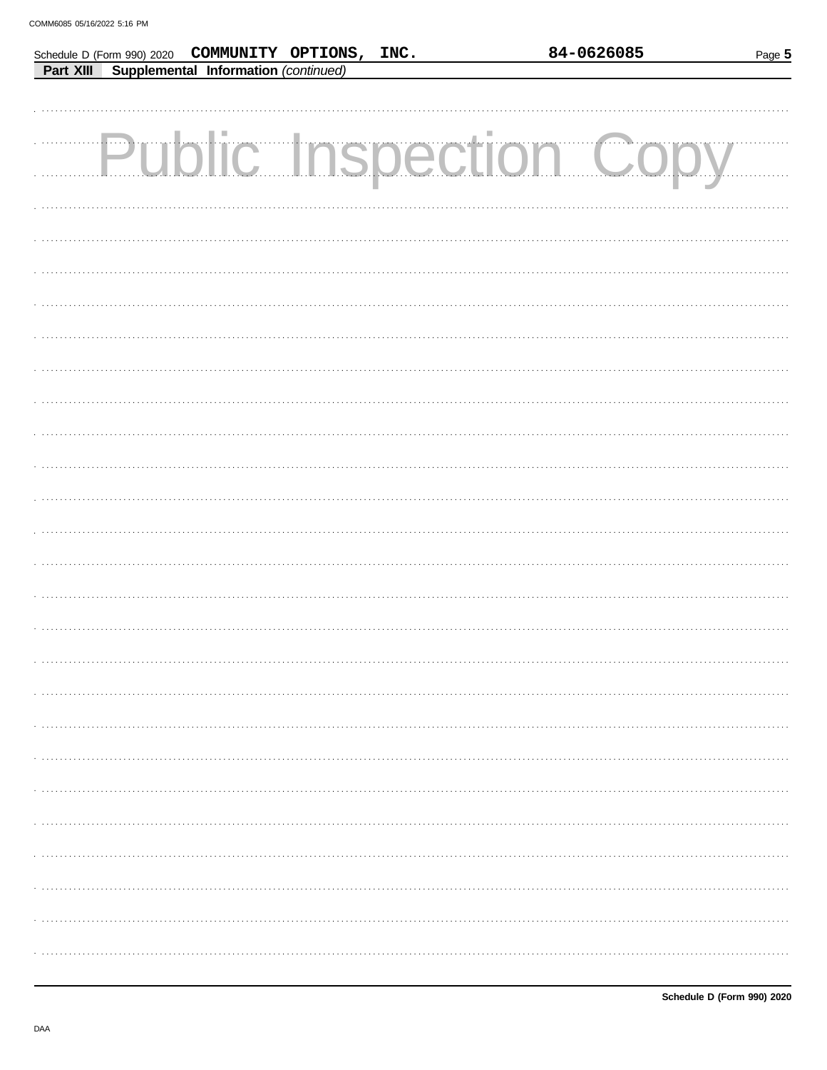|           | Schedule D (Form 990) 2020 COMMUNITY OPTIONS, INC. |                                      |  | 84-0626085                    | Page 5 |
|-----------|----------------------------------------------------|--------------------------------------|--|-------------------------------|--------|
| Part XIII |                                                    | Supplemental Information (continued) |  |                               |        |
|           |                                                    |                                      |  |                               |        |
|           |                                                    |                                      |  |                               |        |
|           |                                                    |                                      |  |                               |        |
|           |                                                    |                                      |  | <b>Public Inspection Copy</b> |        |
|           |                                                    |                                      |  |                               |        |
|           |                                                    |                                      |  |                               |        |
|           |                                                    |                                      |  |                               |        |
|           |                                                    |                                      |  |                               |        |
|           |                                                    |                                      |  |                               |        |
|           |                                                    |                                      |  |                               |        |
|           |                                                    |                                      |  |                               |        |
|           |                                                    |                                      |  |                               |        |
|           |                                                    |                                      |  |                               |        |
|           |                                                    |                                      |  |                               |        |
|           |                                                    |                                      |  |                               |        |
|           |                                                    |                                      |  |                               |        |
|           |                                                    |                                      |  |                               |        |
|           |                                                    |                                      |  |                               |        |
|           |                                                    |                                      |  |                               |        |
|           |                                                    |                                      |  |                               |        |
|           |                                                    |                                      |  |                               |        |
|           |                                                    |                                      |  |                               |        |
|           |                                                    |                                      |  |                               |        |
|           |                                                    |                                      |  |                               |        |
|           |                                                    |                                      |  |                               |        |
|           |                                                    |                                      |  |                               |        |
|           |                                                    |                                      |  |                               |        |
|           |                                                    |                                      |  |                               |        |
|           |                                                    |                                      |  |                               |        |
|           |                                                    |                                      |  |                               |        |
|           |                                                    |                                      |  |                               |        |
|           |                                                    |                                      |  |                               |        |
|           |                                                    |                                      |  |                               |        |
|           |                                                    |                                      |  |                               |        |
|           |                                                    |                                      |  |                               |        |
|           |                                                    |                                      |  |                               |        |
|           |                                                    |                                      |  |                               |        |
|           |                                                    |                                      |  |                               |        |
|           |                                                    |                                      |  |                               |        |
|           |                                                    |                                      |  |                               |        |
|           |                                                    |                                      |  |                               |        |
|           |                                                    |                                      |  |                               |        |
|           |                                                    |                                      |  |                               |        |
|           |                                                    |                                      |  |                               |        |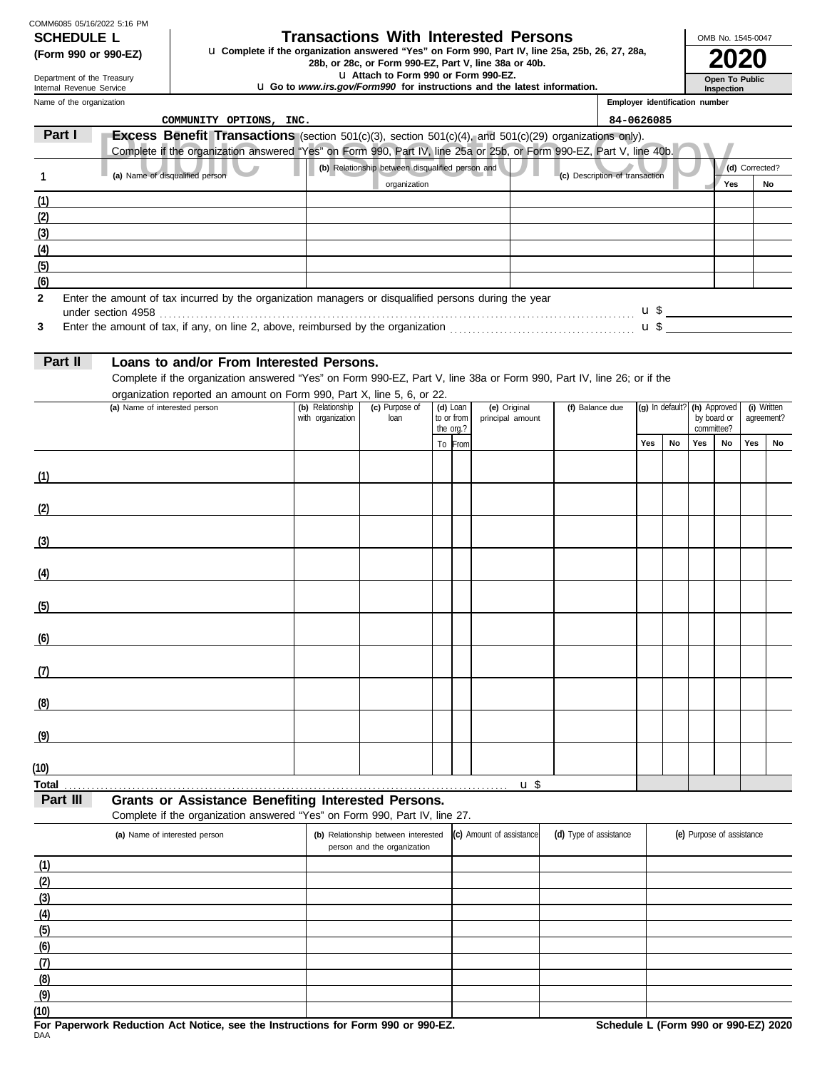| COMM6085 05/16/2022 5:16 PM |  |  |
|-----------------------------|--|--|
| 88                          |  |  |

# Department of the Treasury

## **SCHEDULE L Transactions With Interested Persons**

**(Form 990 or 990-EZ)** u Complete if the organization answered "Yes" on Form 990, Part IV, line 25a, 25b, 26, 27, 28a,<br>28b, or 28c, or Form 990-EZ, Part V, line 38a or 40b.<br>2020

u **Attach to Form 990 or Form 990-EZ.**

u **Go to** *www.irs.gov/Form990* **for instructions and the latest information.**

Name of the organization Internal Revenue Service

#### **Inspection Employer identification number**

**Open To Public**

OMB No. 1545-0047

|              | COMMUNITY OPTIONS, INC.                                                                                               |                   |                                                  |                         |                          |                                | 84-0626085 |                 |     |                           |                |             |
|--------------|-----------------------------------------------------------------------------------------------------------------------|-------------------|--------------------------------------------------|-------------------------|--------------------------|--------------------------------|------------|-----------------|-----|---------------------------|----------------|-------------|
| Part I       | <b>Excess Benefit Transactions</b> (section $501(c)(3)$ , section $501(c)(4)$ , and $501(c)(29)$ organizations only). |                   |                                                  |                         |                          |                                |            |                 |     |                           |                |             |
|              | Complete if the organization answered "Yes" on Form 990, Part IV, line 25a or 25b, or Form 990-EZ, Part V, line 40b.  |                   |                                                  |                         |                          |                                |            |                 |     |                           |                |             |
|              | (a) Name of disqualified person                                                                                       |                   | (b) Relationship between disqualified person and |                         |                          |                                |            |                 |     |                           | (d) Corrected? |             |
| $\mathbf{1}$ |                                                                                                                       |                   | organization                                     |                         |                          | (c) Description of transaction |            |                 |     | Yes                       |                | No          |
| (1)          |                                                                                                                       |                   |                                                  |                         |                          |                                |            |                 |     |                           |                |             |
| (2)          |                                                                                                                       |                   |                                                  |                         |                          |                                |            |                 |     |                           |                |             |
| (3)          |                                                                                                                       |                   |                                                  |                         |                          |                                |            |                 |     |                           |                |             |
| (4)          |                                                                                                                       |                   |                                                  |                         |                          |                                |            |                 |     |                           |                |             |
| (5)          |                                                                                                                       |                   |                                                  |                         |                          |                                |            |                 |     |                           |                |             |
| (6)          |                                                                                                                       |                   |                                                  |                         |                          |                                |            |                 |     |                           |                |             |
| 2            | Enter the amount of tax incurred by the organization managers or disqualified persons during the year                 |                   |                                                  |                         |                          |                                |            |                 |     |                           |                |             |
| 3            |                                                                                                                       |                   |                                                  |                         |                          |                                |            |                 |     |                           |                |             |
|              |                                                                                                                       |                   |                                                  |                         |                          |                                |            |                 |     |                           |                |             |
| Part II      | Loans to and/or From Interested Persons.                                                                              |                   |                                                  |                         |                          |                                |            |                 |     |                           |                |             |
|              | Complete if the organization answered "Yes" on Form 990-EZ, Part V, line 38a or Form 990, Part IV, line 26; or if the |                   |                                                  |                         |                          |                                |            |                 |     |                           |                |             |
|              | organization reported an amount on Form 990, Part X, line 5, 6, or 22.                                                |                   |                                                  |                         |                          |                                |            |                 |     |                           |                |             |
|              | (a) Name of interested person                                                                                         | (b) Relationship  | (c) Purpose of                                   | $(d)$ Loan              | (e) Original             | (f) Balance due                |            | (g) In default? |     | (h) Approved              |                | (i) Written |
|              |                                                                                                                       | with organization | loan                                             | to or from<br>the org.? | principal amount         |                                |            |                 |     | by board or<br>committee? |                | agreement?  |
|              |                                                                                                                       |                   |                                                  | To From                 |                          |                                | Yes        | No              | Yes | No                        | Yes            | No          |
|              |                                                                                                                       |                   |                                                  |                         |                          |                                |            |                 |     |                           |                |             |
| (1)          |                                                                                                                       |                   |                                                  |                         |                          |                                |            |                 |     |                           |                |             |
|              |                                                                                                                       |                   |                                                  |                         |                          |                                |            |                 |     |                           |                |             |
| (2)          |                                                                                                                       |                   |                                                  |                         |                          |                                |            |                 |     |                           |                |             |
|              |                                                                                                                       |                   |                                                  |                         |                          |                                |            |                 |     |                           |                |             |
| (3)          |                                                                                                                       |                   |                                                  |                         |                          |                                |            |                 |     |                           |                |             |
|              |                                                                                                                       |                   |                                                  |                         |                          |                                |            |                 |     |                           |                |             |
| (4)          | the company of the company of the company of                                                                          |                   |                                                  |                         |                          |                                |            |                 |     |                           |                |             |
|              |                                                                                                                       |                   |                                                  |                         |                          |                                |            |                 |     |                           |                |             |
| (5)          | the contract of the contract of the contract of                                                                       |                   |                                                  |                         |                          |                                |            |                 |     |                           |                |             |
|              |                                                                                                                       |                   |                                                  |                         |                          |                                |            |                 |     |                           |                |             |
| (6)          | <u> 1989 - Andrea Aonaichte ann an t-</u>                                                                             |                   |                                                  |                         |                          |                                |            |                 |     |                           |                |             |
|              |                                                                                                                       |                   |                                                  |                         |                          |                                |            |                 |     |                           |                |             |
| (7)          |                                                                                                                       |                   |                                                  |                         |                          |                                |            |                 |     |                           |                |             |
|              |                                                                                                                       |                   |                                                  |                         |                          |                                |            |                 |     |                           |                |             |
| (8)          |                                                                                                                       |                   |                                                  |                         |                          |                                |            |                 |     |                           |                |             |
|              |                                                                                                                       |                   |                                                  |                         |                          |                                |            |                 |     |                           |                |             |
| (9)          |                                                                                                                       |                   |                                                  |                         |                          |                                |            |                 |     |                           |                |             |
| (10)         |                                                                                                                       |                   |                                                  |                         |                          |                                |            |                 |     |                           |                |             |
| Total        |                                                                                                                       |                   |                                                  |                         | $\mathbf{u}$             |                                |            |                 |     |                           |                |             |
| Part III     | <b>Grants or Assistance Benefiting Interested Persons.</b>                                                            |                   |                                                  |                         |                          |                                |            |                 |     |                           |                |             |
|              | Complete if the organization answered "Yes" on Form 990, Part IV, line 27.                                            |                   |                                                  |                         |                          |                                |            |                 |     |                           |                |             |
|              | (a) Name of interested person                                                                                         |                   |                                                  |                         | (c) Amount of assistance | (d) Type of assistance         |            |                 |     | (e) Purpose of assistance |                |             |
|              |                                                                                                                       |                   | (b) Relationship between interested              |                         |                          |                                |            |                 |     |                           |                |             |

| (a) ivalue of interested person | (b) relationship between interested (c) Amount or assistance<br>person and the organization | $(u)$ iype or assistance | $\mu$ i dipose or assistance |
|---------------------------------|---------------------------------------------------------------------------------------------|--------------------------|------------------------------|
| (1)                             |                                                                                             |                          |                              |
| (2)                             |                                                                                             |                          |                              |
| (3)                             |                                                                                             |                          |                              |
| (4)                             |                                                                                             |                          |                              |
| (5)                             |                                                                                             |                          |                              |
| (6)                             |                                                                                             |                          |                              |
| (7)                             |                                                                                             |                          |                              |
| (8)                             |                                                                                             |                          |                              |
| (9)                             |                                                                                             |                          |                              |
| (10)                            |                                                                                             |                          |                              |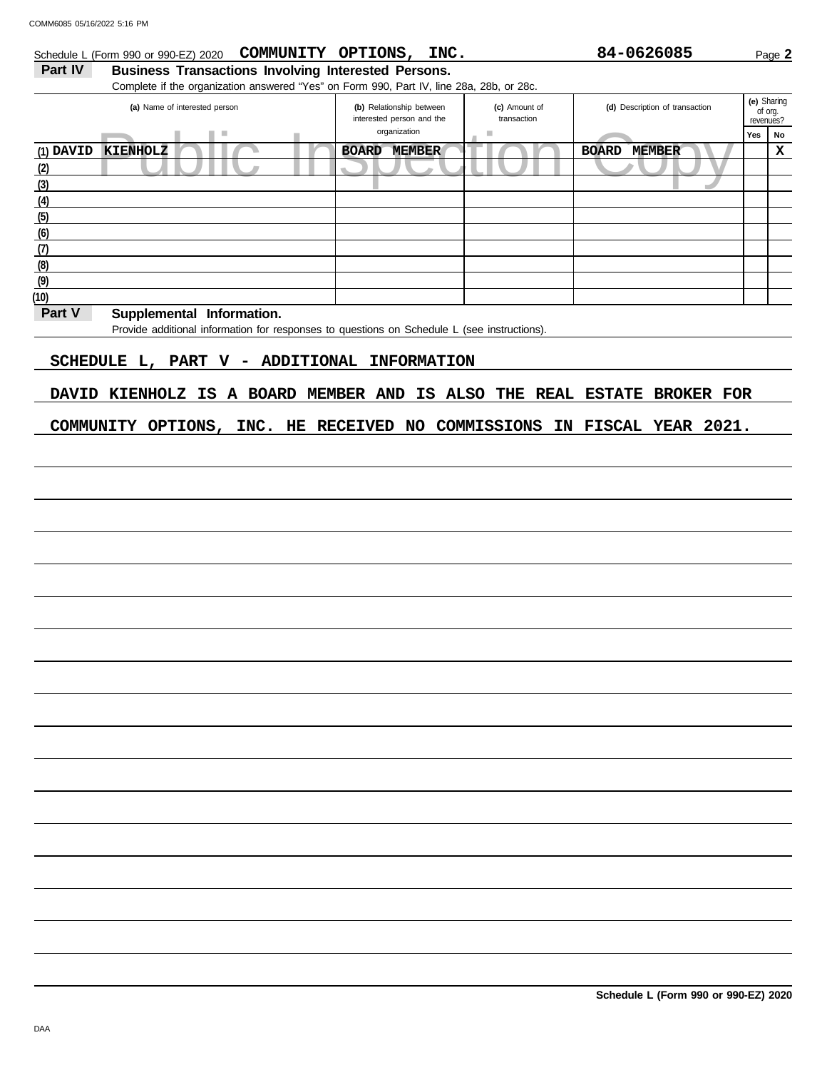### Schedule L (Form 990 or 990-EZ) 2020 Page **2 COMMUNITY OPTIONS, INC. 84-0626085**

**(e)** Sharing

#### Public Inspection Copy **Yes No** of org.<br>revenues? (d) Description of transaction interested person and the Part IV Business Transactions Involving Interested Persons. Complete if the organization answered "Yes" on Form 990, Part IV, line 28a, 28b, or 28c. **(a)** Name of interested person **(b)** Relationship between organization **(c)** Amount of transaction **(6) (5) (4) (3) (2) (1) DAVID KIENHOLZ BOARD MEMBER BOARD MEMBER X (7) (8) (9) (10)**

### **Part V** Supplemental Information.

Provide additional information for responses to questions on Schedule L (see instructions).

## **SCHEDULE L, PART V - ADDITIONAL INFORMATION**

## **DAVID KIENHOLZ IS A BOARD MEMBER AND IS ALSO THE REAL ESTATE BROKER FOR**

## **COMMUNITY OPTIONS, INC. HE RECEIVED NO COMMISSIONS IN FISCAL YEAR 2021.**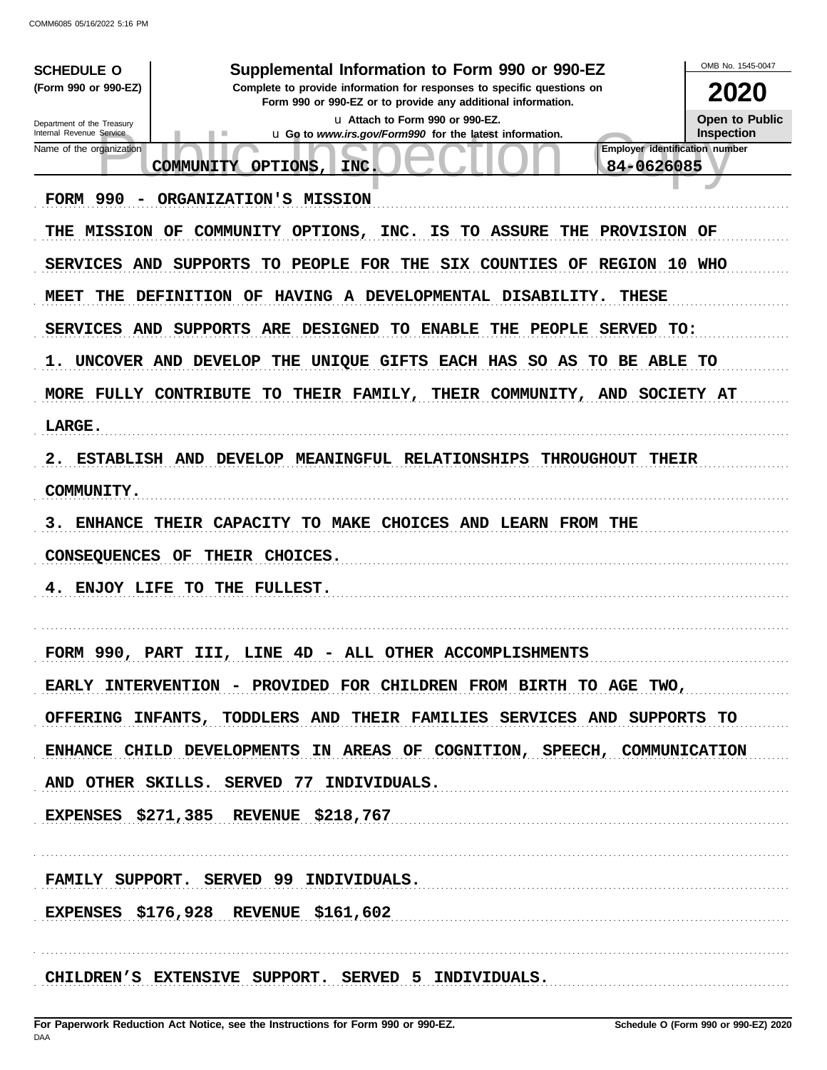| <b>SCHEDULE O</b><br>(Form 990 or 990-EZ)<br>Department of the Treasury<br>Internal Revenue Service<br>Name of the organization | Supplemental Information to Form 990 or 990-EZ<br>Complete to provide information for responses to specific questions on<br>Form 990 or 990-EZ or to provide any additional information.<br>u Attach to Form 990 or 990-EZ.<br>u Go to www.irs.gov/Form990 for the latest information.<br>ш<br>Employer identification number | OMB No. 1545-0047<br>2020<br><b>Open to Public</b><br><b>Inspection</b> |  |  |  |  |  |  |  |  |
|---------------------------------------------------------------------------------------------------------------------------------|-------------------------------------------------------------------------------------------------------------------------------------------------------------------------------------------------------------------------------------------------------------------------------------------------------------------------------|-------------------------------------------------------------------------|--|--|--|--|--|--|--|--|
|                                                                                                                                 | 84-0626085<br>OPTIONS,<br><b>INC</b><br><b>COMMUNITY</b>                                                                                                                                                                                                                                                                      |                                                                         |  |  |  |  |  |  |  |  |
| FORM 990<br>$\overline{\phantom{0}}$                                                                                            | ORGANIZATION'S MISSION                                                                                                                                                                                                                                                                                                        |                                                                         |  |  |  |  |  |  |  |  |
|                                                                                                                                 | THE MISSION OF COMMUNITY OPTIONS, INC. IS TO ASSURE THE PROVISION OF                                                                                                                                                                                                                                                          |                                                                         |  |  |  |  |  |  |  |  |
| SERVICES AND SUPPORTS TO PEOPLE FOR THE SIX COUNTIES OF REGION 10 WHO                                                           |                                                                                                                                                                                                                                                                                                                               |                                                                         |  |  |  |  |  |  |  |  |
| THE<br><b>MEET</b>                                                                                                              | DEFINITION OF HAVING A DEVELOPMENTAL DISABILITY.<br>THESE                                                                                                                                                                                                                                                                     |                                                                         |  |  |  |  |  |  |  |  |
|                                                                                                                                 | SERVICES AND SUPPORTS ARE DESIGNED<br>TO ENABLE<br>THE PEOPLE SERVED TO:                                                                                                                                                                                                                                                      |                                                                         |  |  |  |  |  |  |  |  |
| ı.                                                                                                                              | UNCOVER AND DEVELOP THE UNIQUE GIFTS EACH HAS SO AS TO BE ABLE TO                                                                                                                                                                                                                                                             |                                                                         |  |  |  |  |  |  |  |  |
|                                                                                                                                 | MORE FULLY CONTRIBUTE TO THEIR FAMILY,<br>THEIR COMMUNITY, AND SOCIETY AT                                                                                                                                                                                                                                                     |                                                                         |  |  |  |  |  |  |  |  |
| LARGE.                                                                                                                          |                                                                                                                                                                                                                                                                                                                               |                                                                         |  |  |  |  |  |  |  |  |
| 2.                                                                                                                              | ESTABLISH AND DEVELOP MEANINGFUL RELATIONSHIPS<br><b>THROUGHOUT</b><br>THEIR                                                                                                                                                                                                                                                  |                                                                         |  |  |  |  |  |  |  |  |
| COMMUNITY.                                                                                                                      |                                                                                                                                                                                                                                                                                                                               |                                                                         |  |  |  |  |  |  |  |  |
| з.<br><b>ENHANCE</b>                                                                                                            | THEIR CAPACITY TO MAKE CHOICES AND LEARN FROM THE                                                                                                                                                                                                                                                                             |                                                                         |  |  |  |  |  |  |  |  |
| CONSEQUENCES OF                                                                                                                 | THEIR CHOICES.                                                                                                                                                                                                                                                                                                                |                                                                         |  |  |  |  |  |  |  |  |
| 4.                                                                                                                              | ENJOY LIFE TO THE FULLEST.                                                                                                                                                                                                                                                                                                    |                                                                         |  |  |  |  |  |  |  |  |
|                                                                                                                                 |                                                                                                                                                                                                                                                                                                                               |                                                                         |  |  |  |  |  |  |  |  |
|                                                                                                                                 | FORM 990, PART III, LINE 4D - ALL OTHER ACCOMPLISHMENTS                                                                                                                                                                                                                                                                       |                                                                         |  |  |  |  |  |  |  |  |
|                                                                                                                                 | EARLY INTERVENTION - PROVIDED FOR CHILDREN FROM BIRTH TO AGE TWO,                                                                                                                                                                                                                                                             |                                                                         |  |  |  |  |  |  |  |  |
|                                                                                                                                 | OFFERING INFANTS, TODDLERS AND THEIR FAMILIES SERVICES AND SUPPORTS TO                                                                                                                                                                                                                                                        |                                                                         |  |  |  |  |  |  |  |  |
|                                                                                                                                 | ENHANCE CHILD DEVELOPMENTS IN AREAS OF COGNITION, SPEECH, COMMUNICATION                                                                                                                                                                                                                                                       |                                                                         |  |  |  |  |  |  |  |  |
|                                                                                                                                 | AND OTHER SKILLS. SERVED 77 INDIVIDUALS.                                                                                                                                                                                                                                                                                      |                                                                         |  |  |  |  |  |  |  |  |
|                                                                                                                                 | EXPENSES \$271,385 REVENUE \$218,767                                                                                                                                                                                                                                                                                          |                                                                         |  |  |  |  |  |  |  |  |
|                                                                                                                                 |                                                                                                                                                                                                                                                                                                                               |                                                                         |  |  |  |  |  |  |  |  |
|                                                                                                                                 | FAMILY SUPPORT. SERVED 99 INDIVIDUALS.                                                                                                                                                                                                                                                                                        |                                                                         |  |  |  |  |  |  |  |  |
|                                                                                                                                 | <b>EXPENSES \$176,928 REVENUE \$161,602</b>                                                                                                                                                                                                                                                                                   |                                                                         |  |  |  |  |  |  |  |  |
|                                                                                                                                 |                                                                                                                                                                                                                                                                                                                               |                                                                         |  |  |  |  |  |  |  |  |
|                                                                                                                                 | CHILDREN'S EXTENSIVE SUPPORT. SERVED 5 INDIVIDUALS.                                                                                                                                                                                                                                                                           |                                                                         |  |  |  |  |  |  |  |  |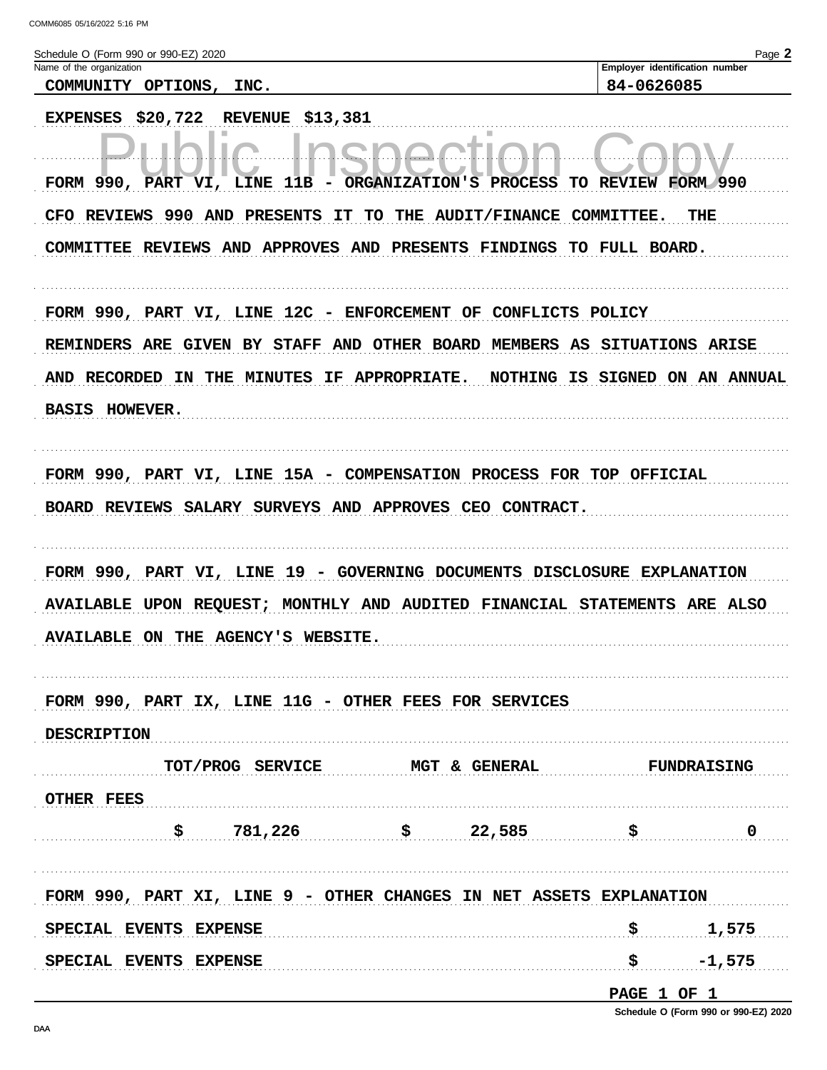Name of the organization

Schedule O (Form 990 or 990-EZ) 2020

Page 2

Employer identification number

| COMMUNITY OPTIONS, INC.     |                                                                            |                        | 84-0626085  |                    |
|-----------------------------|----------------------------------------------------------------------------|------------------------|-------------|--------------------|
| \$20,722<br><b>EXPENSES</b> | <b>REVENUE \$13,381</b>                                                    |                        |             |                    |
|                             | FORM 990, PART VI, LINE 11B - ORGANIZATION'S PROCESS TO REVIEW FORM 990    |                        |             |                    |
|                             | CFO REVIEWS 990 AND PRESENTS IT TO THE AUDIT/FINANCE COMMITTEE.            |                        |             | THE                |
|                             | COMMITTEE REVIEWS AND APPROVES AND PRESENTS FINDINGS TO FULL BOARD.        |                        |             |                    |
|                             | FORM 990, PART VI, LINE 12C - ENFORCEMENT OF CONFLICTS POLICY              |                        |             |                    |
|                             | REMINDERS ARE GIVEN BY STAFF AND OTHER BOARD MEMBERS AS SITUATIONS ARISE   |                        |             |                    |
|                             | AND RECORDED IN THE MINUTES IF APPROPRIATE. NOTHING IS SIGNED ON AN ANNUAL |                        |             |                    |
| <b>BASIS HOWEVER.</b>       |                                                                            |                        |             |                    |
|                             |                                                                            |                        |             |                    |
|                             | FORM 990, PART VI, LINE 15A - COMPENSATION PROCESS FOR TOP OFFICIAL        |                        |             |                    |
|                             | BOARD REVIEWS SALARY SURVEYS AND APPROVES CEO CONTRACT.                    |                        |             |                    |
|                             |                                                                            |                        |             |                    |
|                             | FORM 990, PART VI, LINE 19 - GOVERNING DOCUMENTS DISCLOSURE EXPLANATION    |                        |             |                    |
|                             | AVAILABLE UPON REQUEST; MONTHLY AND AUDITED FINANCIAL STATEMENTS ARE ALSO  |                        |             |                    |
|                             | AVAILABLE ON THE AGENCY'S WEBSITE.                                         |                        |             |                    |
|                             |                                                                            |                        |             |                    |
|                             | FORM 990, PART IX, LINE 11G - OTHER FEES FOR SERVICES                      |                        |             |                    |
| <b>DESCRIPTION</b>          |                                                                            |                        |             |                    |
|                             | TOT/PROG SERVICE MGT & GENERAL                                             |                        |             | <b>FUNDRAISING</b> |
| OTHER FEES                  |                                                                            |                        |             |                    |
|                             | \$781,226                                                                  | $\frac{\$}{\$}$ 22,585 | . <b>\$</b> |                    |
|                             |                                                                            |                        |             |                    |
|                             | FORM 990, PART XI, LINE 9 - OTHER CHANGES IN NET ASSETS EXPLANATION        |                        |             |                    |
| SPECIAL EVENTS EXPENSE      |                                                                            |                        | \$          | 1,575              |
| SPECIAL EVENTS EXPENSE      |                                                                            |                        | \$          | $-1,575$           |
|                             |                                                                            |                        |             |                    |

PAGE 1 OF 1 Schedule O (Form 990 or 990-EZ) 2020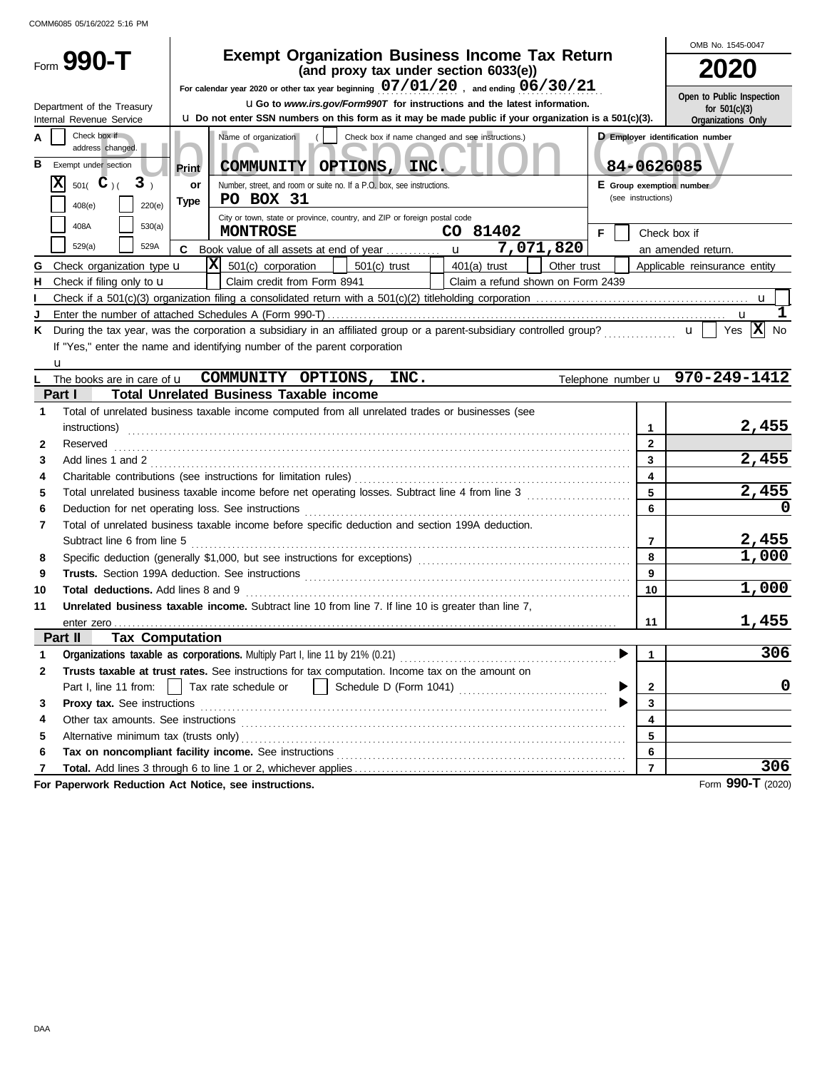|        | OMB No. 1545-0047                                                                                        |                                                                                                                                                                                                                                |                                                |                                              |  |  |  |  |
|--------|----------------------------------------------------------------------------------------------------------|--------------------------------------------------------------------------------------------------------------------------------------------------------------------------------------------------------------------------------|------------------------------------------------|----------------------------------------------|--|--|--|--|
|        | Form $990 - T$                                                                                           | <b>Exempt Organization Business Income Tax Return</b><br>(and proxy tax under section 6033(e))                                                                                                                                 |                                                | <b>2020</b>                                  |  |  |  |  |
|        |                                                                                                          | For calendar year 2020 or other tax year beginning $07/01/20$ , and ending $06/30/21$                                                                                                                                          |                                                |                                              |  |  |  |  |
|        | Department of the Treasury                                                                               | <b>uGo</b> to www.irs.gov/Form990T for instructions and the latest information.                                                                                                                                                |                                                | Open to Public Inspection<br>for $501(c)(3)$ |  |  |  |  |
|        | Internal Revenue Service                                                                                 | $\mu$ Do not enter SSN numbers on this form as it may be made public if your organization is a 501(c)(3).                                                                                                                      |                                                | Organizations Only                           |  |  |  |  |
| в      | Check box if<br>address changed.<br>Exempt under section                                                 | 84-0626085                                                                                                                                                                                                                     | D Employer identification number               |                                              |  |  |  |  |
|        | 3 <sub>1</sub><br>501( $C$ )(                                                                            | COMMUNITY OPTIONS,<br>INC.<br><b>Print</b><br>Number, street, and room or suite no. If a P.O. box, see instructions.<br>or                                                                                                     |                                                |                                              |  |  |  |  |
|        |                                                                                                          | PO BOX 31<br>Type                                                                                                                                                                                                              | E Group exemption number<br>(see instructions) |                                              |  |  |  |  |
|        | 220(e)<br>408(e)                                                                                         | City or town, state or province, country, and ZIP or foreign postal code                                                                                                                                                       |                                                |                                              |  |  |  |  |
|        | 408A<br>530(a)                                                                                           | CO 81402<br><b>MONTROSE</b><br>F.                                                                                                                                                                                              |                                                | Check box if                                 |  |  |  |  |
|        | 529(a)<br>529A                                                                                           | 7,071,820<br>C                                                                                                                                                                                                                 |                                                | an amended return.                           |  |  |  |  |
| G      | Check organization type <b>u</b>                                                                         | $ \mathbf{X} $ 501(c) corporation<br>$501(c)$ trust<br>Other trust<br>$401(a)$ trust                                                                                                                                           |                                                | Applicable reinsurance entity                |  |  |  |  |
| н.     | Check if filing only to <b>u</b>                                                                         | Claim credit from Form 8941<br>Claim a refund shown on Form 2439                                                                                                                                                               |                                                |                                              |  |  |  |  |
|        |                                                                                                          |                                                                                                                                                                                                                                |                                                |                                              |  |  |  |  |
| J      |                                                                                                          |                                                                                                                                                                                                                                |                                                |                                              |  |  |  |  |
| ĸ      |                                                                                                          | During the tax year, was the corporation a subsidiary in an affiliated group or a parent-subsidiary controlled group?<br>$\ u\ $                                                                                               |                                                | Yes $ \mathbf{X} $<br>No                     |  |  |  |  |
|        |                                                                                                          | If "Yes," enter the name and identifying number of the parent corporation                                                                                                                                                      |                                                |                                              |  |  |  |  |
|        | $\mathbf{u}$                                                                                             |                                                                                                                                                                                                                                |                                                |                                              |  |  |  |  |
|        |                                                                                                          | The books are in care of <b>u COMMUNITY OPTIONS</b> , <b>INC.</b>                                                                                                                                                              |                                                | Telephone number u 970-249-1412              |  |  |  |  |
|        | Part I                                                                                                   | <b>Total Unrelated Business Taxable income</b>                                                                                                                                                                                 |                                                |                                              |  |  |  |  |
| 1      |                                                                                                          | Total of unrelated business taxable income computed from all unrelated trades or businesses (see                                                                                                                               |                                                |                                              |  |  |  |  |
|        |                                                                                                          | instructions)                                                                                                                                                                                                                  | $\mathbf{1}$                                   | 2,455                                        |  |  |  |  |
| 2      | Reserved                                                                                                 |                                                                                                                                                                                                                                | $\mathbf{2}$                                   |                                              |  |  |  |  |
| 3      |                                                                                                          | Add lines 1 and 2                                                                                                                                                                                                              | 3                                              | 2,455                                        |  |  |  |  |
| 4      |                                                                                                          |                                                                                                                                                                                                                                | 4                                              |                                              |  |  |  |  |
| 5      |                                                                                                          | Total unrelated business taxable income before net operating losses. Subtract line 4 from line 3                                                                                                                               | 5                                              | 2,455                                        |  |  |  |  |
| 6      |                                                                                                          |                                                                                                                                                                                                                                | 6                                              | $\Omega$                                     |  |  |  |  |
| 7      |                                                                                                          | Total of unrelated business taxable income before specific deduction and section 199A deduction.                                                                                                                               |                                                |                                              |  |  |  |  |
|        | Subtract line 6 from line 5                                                                              |                                                                                                                                                                                                                                | $\overline{7}$                                 | 2,455                                        |  |  |  |  |
| 8      |                                                                                                          |                                                                                                                                                                                                                                | 8                                              | 1,000                                        |  |  |  |  |
| 9      |                                                                                                          |                                                                                                                                                                                                                                | 9                                              |                                              |  |  |  |  |
| 10     | Total deductions. Add lines 8 and 9                                                                      |                                                                                                                                                                                                                                | 10                                             | 1,000                                        |  |  |  |  |
| 11     |                                                                                                          | <b>Unrelated business taxable income.</b> Subtract line 10 from line 7. If line 10 is greater than line 7.                                                                                                                     |                                                |                                              |  |  |  |  |
|        |                                                                                                          |                                                                                                                                                                                                                                | 11                                             | 1,455                                        |  |  |  |  |
|        | Part II<br><b>Tax Computation</b>                                                                        |                                                                                                                                                                                                                                |                                                | 306                                          |  |  |  |  |
| 1      |                                                                                                          | Organizations taxable as corporations. Multiply Part I, line 11 by 21% (0.21) [[[[[[[[[[[[[[[[[[[[[[[[[[[[[[[[                                                                                                                 | 1                                              |                                              |  |  |  |  |
| 2      |                                                                                                          | Trusts taxable at trust rates. See instructions for tax computation. Income tax on the amount on                                                                                                                               |                                                | 0                                            |  |  |  |  |
|        | Part I, line 11 from:                                                                                    | Tax rate schedule or                                                                                                                                                                                                           | 2<br>3                                         |                                              |  |  |  |  |
| 3      | Proxy tax. See instructions                                                                              | Other tax amounts. See instructions entertainment and the intervention of the intervention of the intervention of the intervention of the intervention of the intervention of the intervention of the intervention of the inte | 4                                              |                                              |  |  |  |  |
| 4      |                                                                                                          |                                                                                                                                                                                                                                |                                                |                                              |  |  |  |  |
| 5      | 5<br>Alternative minimum tax (trusts only)<br>Tax on noncompliant facility income. See instructions<br>6 |                                                                                                                                                                                                                                |                                                |                                              |  |  |  |  |
| 6<br>7 |                                                                                                          |                                                                                                                                                                                                                                | $\overline{7}$                                 | 306                                          |  |  |  |  |
|        |                                                                                                          |                                                                                                                                                                                                                                |                                                | 0.00T                                        |  |  |  |  |

**For Paperwork Reduction Act Notice, see instructions.**

Form **990-T** (2020)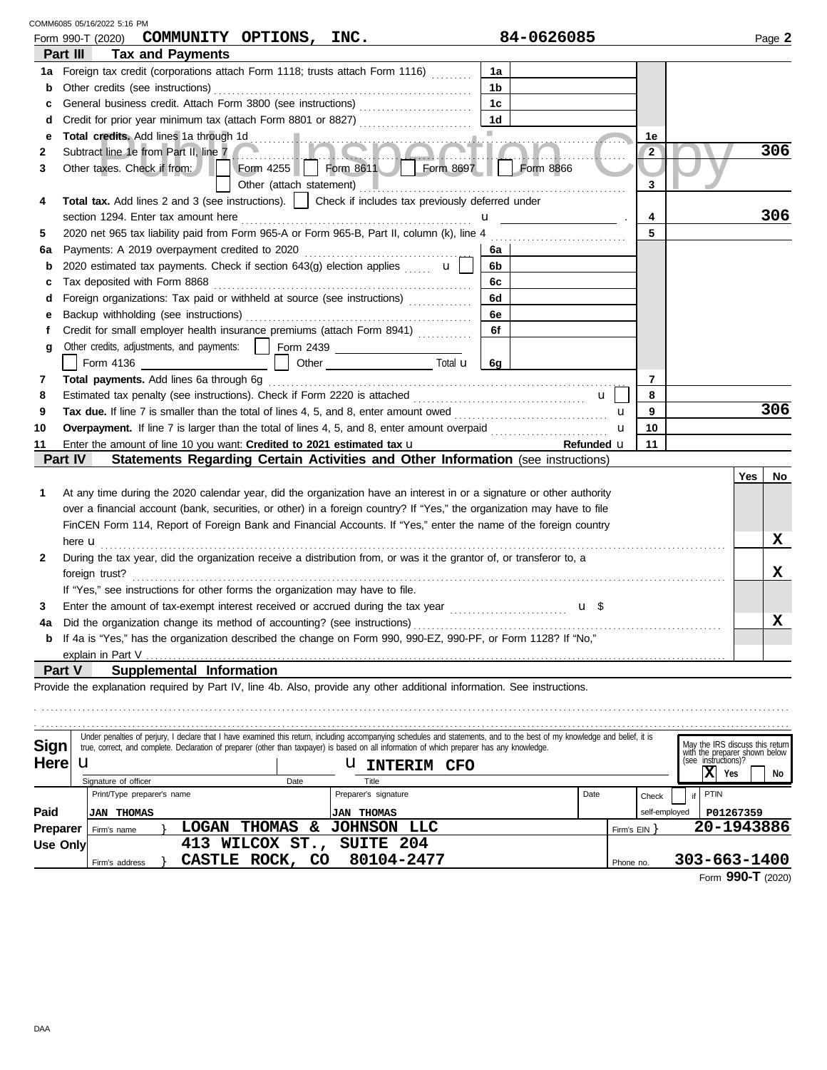peredits. Add lines 1a through 1d<br>axes. Check if from: Form 4255 Form 8611 Form 8697 Form 8866 2.<br>Other (attach statement) May the IRS discuss this return<br>with the preparer shown below **6g Part III Tax and Payments Part IV Statements Regarding Certain Activities and Other Information** (see instructions) **Sign Here 1a** Foreign tax credit (corporations attach Form 1118; trusts attach Form 1116) ......... 1a **b 1b** Other credits (see instructions) . . . . . . . . . . . . . . . . . . . . . . . . . . . . . . . . . . . . . . . . . . . . . . . . . . . . . . . . . **c 1c** General business credit. Attach Form 3800 (see instructions) . . . . . . . . . . . . . . . . . . . . . . . . . **d 1d** Credit for prior year minimum tax (attach Form 8801 or 8827) . . . . . . . . . . . . . . . . . . . . . . . . . **e Total credits.** Add lines 1a through 1d **1e 4** 2 Subtract line 1e from Part II, line  $\mathcal{I}$  ,  $\bigcap_{n=1}^{\infty}$  ,  $\bigcap_{n=1}^{\infty}$  ,  $\bigcap_{n=1}^{\infty}$  ,  $\bigcap_{n=1}^{\infty}$  ,  $\bigcap_{n=1}^{\infty}$  ,  $\bigcap_{n=1}^{\infty}$  ,  $\bigcap_{n=1}^{\infty}$  ,  $\bigcap_{n=1}^{\infty}$  ,  $\bigcap_{n=1}^{\infty}$  ,  $\bigcap_{n=1}^$ **3 Total tax.** Add lines 2 and 3 (see instructions). | | Check if includes tax previously deferred under **4 6 6a** Payments: A 2019 overpayment credited to 2020 . . . . . . . . . . . . . . . . . . . . . . . . . . . . . . . . . . . . . **b** 2020 estimated tax payments. Check if section 643(g) election applies  $\mathbf{u} \cup \mathbf{b}$ **c 6c** Tax deposited with Form 8868 . . . . . . . . . . . . . . . . . . . . . . . . . . . . . . . . . . . . . . . . . . . . . . . . . . . . . . . . . **d** Foreign organizations: Tax paid or withheld at source (see instructions) ................ 6d **e 6e** Backup withholding (see instructions) . . . . . . . . . . . . . . . . . . . . . . . . . . . . . . . . . . . . . . . . . . . . . . . . . . **f 10 Total payments.** Add lines 6a through 6g . . . . . . . . . . . . . . . . . . . . . . . . . . . . . . . . . . . . . . . . . . . . . . . . . . . . . . . . . . . . . . . . . . . . . . . . . . . . . . . **11** Enter the amount of line 10 you want: **Credited to 2021 estimated tax <b>u 11 11 11 Refunded <b>u** | 11 **10 7 Tax due.** If line 7 is smaller than the total of lines 4, 5, and 8, enter amount owed **7 8 Overpayment.** If line 7 is larger than the total of lines 4, 5, and 8, enter amount overpaid . . . . . . . . . . . . . . . . . . . . . . . . . . **8 9 Refunded** u **9 Yes No 1 2 3** Form 990-T (2020) Page **2 COMMUNITY OPTIONS, INC. 84-0626085** Other credits, adjustments, and payments: Form 2439 Estimated tax penalty (see instructions). Check if Form 2220 is attached . . . . . . . . . . . . . . . . . . . . . . . . . . . . . . . . . . . . . . At any time during the 2020 calendar year, did the organization have an interest in or a signature or other authority over a financial account (bank, securities, or other) in a foreign country? If "Yes," the organization may have to file During the tax year, did the organization receive a distribution from, or was it the grantor of, or transferor to, a If "Yes," see instructions for other forms the organization may have to file. Enter the amount of tax-exempt interest received or accrued during the tax year  $\ldots$ . Other taxes. Check if from: Form 4255 Form 8611 Form 8697 Form 8666 Other (attach statement) . . . . . . . . . . . . . . . . . . . . . . . . . . . . . . . . . . . . . . . . . . . . . . . . . . . . . . . . . . . Under penalties of perjury, I declare that I have examined this return, including accompanying schedules and statements, and to the best of my knowledge and belief, it is true, correct, and complete. Declaration of preparer (other than taxpayer) is based on all information of which preparer has any knowledge. (see instructions)? Signature of officer Date Date Title u u u **Yes No** Form 4136 and a set of the U Other Total units of Total units of Total units of Total units of Total units of Total units of Total units of Total units of Total units of Total units of Total units of Total units of Total u here **u g** Credit for small employer health insurance premiums (attach Form 8941) **. . . . . . . . . . . 6f** u u FinCEN Form 114, Report of Foreign Bank and Financial Accounts. If "Yes," enter the name of the foreign country Print/Type preparer's name **interval of the set of the contract of the contract of the contract of the contract of the contract of the contract of the contract of the contract of the contract of the contract of the contrac** Preparer's signature **Date** Check PTIN **5** 2020 net 965 tax liability paid from Form 965-A or Form 965-B, Part II, column (k), line 4 **5 3** section 1294. Enter tax amount here . . . . . . . . . . . . . . . . . . . . . . . . . . . . . . . . . . . . . . . . . . . . . . . . . . . u . **a** foreign trust? . . . . . . . . . . . . . . . . . . . . . . . . . . . . . . . . . . . . . . . . . . . . . . . . . . . . . . . . . . . . . . . . . . . . . . . . . . . . . . . . . . . . . . . . . . . . . . . . . . . . . . . . . . . . . . . . . . . . . . . . . . . . . . . . . . . **a 4** If 4a is "Yes," has the organization described the change on Form 990, 990-EZ, 990-PF, or Form 1128? If "No," Did the organization change its method of accounting? (see instructions) . . . . . . . . . . . . . . . . . . . . . . . . . . . . . . . . . . . . . . . . . . . . . . . . . . . . . . . . . . . . . . . . . . . . **b** explain in Part V **Part V Supplemental Information** Provide the explanation required by Part IV, line 4b. Also, provide any other additional information. See instructions. . . . . . . . . . . . . . . . . . . . . . . . . . . . . . . . . . . . . . . . . . . . . . . . . . . . . . . . . . . . . . . . . . . . . . . . . . . . . . . . . . . . . . . . . . . . . . . . . . . . . . . . . . . . . . . . . . . . . . . . . . . . . . . . . . . . . . . . . . . . . . . . . . . . . . . . . . . . . . . . . . . . . . . . . . . . . . . . . . . . . . . . . . . . . . . . . . . . . . . . . . . . . . . . . . . . . . . . . . . . . . . . . . . . . . . . . . . . . . . . . . . . . . . . . . . . . . . . . . . . . . . . . . . . . . . . . . . . . . . . . . . . . . . . . . . . . . . . . . . . . . . . . . . . . . . . . . . . . . . . . . . . . . . . . . . . . **306 306 306 X X X INTERIM CFO <sup>X</sup>** COMM6085 05/16/2022 5:16 PM

|                 | Print/Type preparer's name |              |  |           | Preparer's signature      |  | Date |            | Check           | $if$ PTIN |              |  |
|-----------------|----------------------------|--------------|--|-----------|---------------------------|--|------|------------|-----------------|-----------|--------------|--|
| Paid            | THOMAS<br>JAN              |              |  |           | <b>JAN THOMAS</b>         |  |      |            | I self-emploved |           | P01267359    |  |
| <b>Preparer</b> | Firm's name                | <b>LOGAN</b> |  |           | THOMAS & JOHNSON LLC      |  |      | Firm's EIN |                 |           | 20-1943886   |  |
| Use Only        |                            |              |  |           | 413 WILCOX ST., SUITE 204 |  |      |            |                 |           |              |  |
|                 | Firm's address             | CASTLE ROCK, |  | <b>CO</b> | 80104-2477                |  |      | Phone no.  |                 |           | 303-663-1400 |  |

Form **990-T** (2020)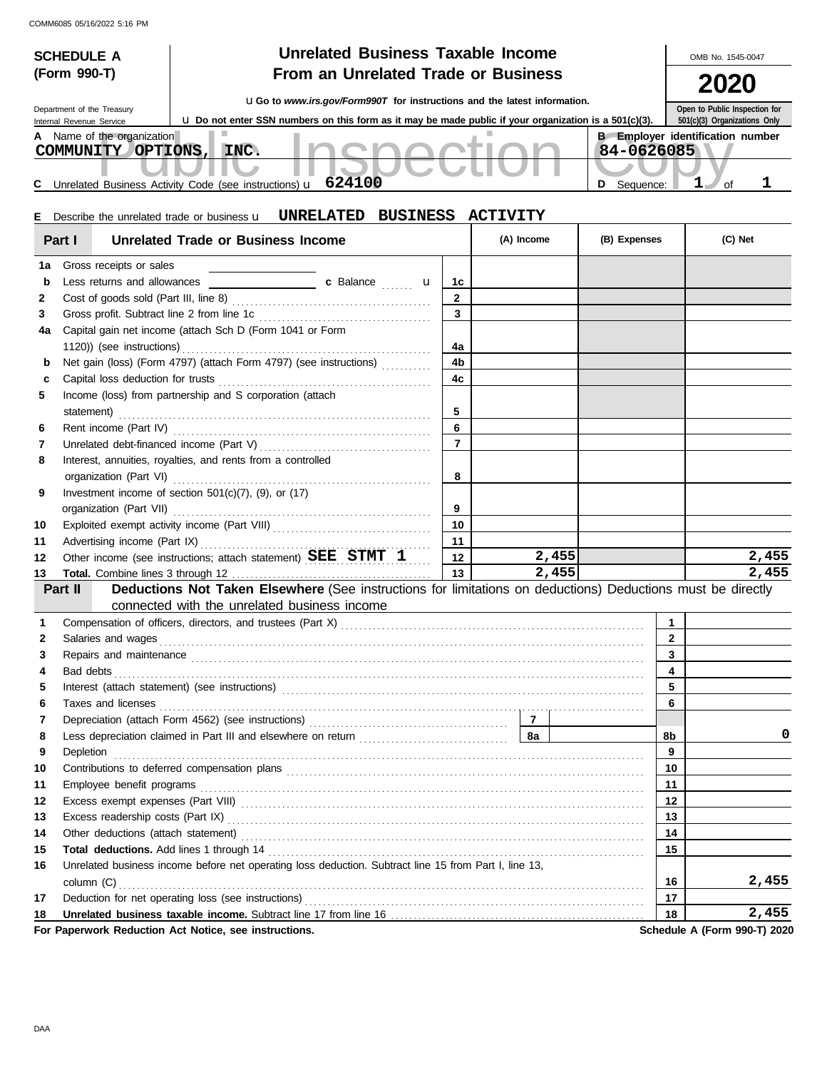| <b>SCHEDULE A</b> | <b>Unrelated Business Taxable Income</b>                                         | OMB No. 1545-0047                         |
|-------------------|----------------------------------------------------------------------------------|-------------------------------------------|
| (Form 990-T)      | From an Unrelated Trade or Business                                              | 2020                                      |
|                   | <b>U.Go to</b> www.irs.gov/Form9907 for instructions and the latest information. | $\sim$ $\sim$ $\sim$ $\sim$ $\sim$ $\sim$ |

**2020**

|          |                                                                                |                                              |  |                                                                                                                                                                                                                                |                |  |                | ZUZU  |              |              |                                         |       |  |
|----------|--------------------------------------------------------------------------------|----------------------------------------------|--|--------------------------------------------------------------------------------------------------------------------------------------------------------------------------------------------------------------------------------|----------------|--|----------------|-------|--------------|--------------|-----------------------------------------|-------|--|
|          | Department of the Treasury                                                     |                                              |  | <b>UGo to www.irs.gov/Form990T for instructions and the latest information.</b>                                                                                                                                                |                |  |                |       |              |              | Open to Public Inspection for           |       |  |
|          | Internal Revenue Service                                                       |                                              |  | <b>u</b> Do not enter SSN numbers on this form as it may be made public if your organization is a 501(c)(3).                                                                                                                   |                |  |                |       |              |              | 501(c)(3) Organizations Only            |       |  |
|          | A Name of the organization                                                     | <b>I</b>                                     |  |                                                                                                                                                                                                                                |                |  |                |       | 84-0626085   |              | <b>B</b> Employer identification number |       |  |
|          | COMMUNITY OPTIONS, INC.                                                        |                                              |  |                                                                                                                                                                                                                                |                |  |                |       |              |              |                                         |       |  |
|          | C Unrelated Business Activity Code (see instructions) u                        |                                              |  | 624100                                                                                                                                                                                                                         |                |  |                |       | D Sequence:  |              | $1 -$<br>of                             | ı     |  |
|          |                                                                                |                                              |  |                                                                                                                                                                                                                                |                |  |                |       |              |              |                                         |       |  |
| E.       |                                                                                |                                              |  | <b>BUSINESS</b>                                                                                                                                                                                                                |                |  |                |       |              |              |                                         |       |  |
|          | Describe the unrelated trade or business <b>u</b> UNRELATED<br><b>ACTIVITY</b> |                                              |  |                                                                                                                                                                                                                                |                |  |                |       |              |              |                                         |       |  |
| Part I   |                                                                                | Unrelated Trade or Business Income           |  |                                                                                                                                                                                                                                |                |  | (A) Income     |       | (B) Expenses |              | (C) Net                                 |       |  |
| 1a       | Gross receipts or sales                                                        |                                              |  |                                                                                                                                                                                                                                |                |  |                |       |              |              |                                         |       |  |
| b        |                                                                                |                                              |  |                                                                                                                                                                                                                                | 1c             |  |                |       |              |              |                                         |       |  |
| 2        |                                                                                |                                              |  |                                                                                                                                                                                                                                | $\mathbf{2}$   |  |                |       |              |              |                                         |       |  |
| 3        |                                                                                |                                              |  |                                                                                                                                                                                                                                | 3              |  |                |       |              |              |                                         |       |  |
| 4a       | Capital gain net income (attach Sch D (Form 1041 or Form                       |                                              |  |                                                                                                                                                                                                                                |                |  |                |       |              |              |                                         |       |  |
|          |                                                                                |                                              |  |                                                                                                                                                                                                                                | 4a             |  |                |       |              |              |                                         |       |  |
| b        |                                                                                |                                              |  | Net gain (loss) (Form 4797) (attach Form 4797) (see instructions)                                                                                                                                                              | 4b             |  |                |       |              |              |                                         |       |  |
| c        |                                                                                |                                              |  |                                                                                                                                                                                                                                | 4c             |  |                |       |              |              |                                         |       |  |
| 5        | Income (loss) from partnership and S corporation (attach                       |                                              |  |                                                                                                                                                                                                                                |                |  |                |       |              |              |                                         |       |  |
|          |                                                                                |                                              |  |                                                                                                                                                                                                                                | 5              |  |                |       |              |              |                                         |       |  |
| 6        |                                                                                |                                              |  |                                                                                                                                                                                                                                | 6              |  |                |       |              |              |                                         |       |  |
| 7        |                                                                                |                                              |  |                                                                                                                                                                                                                                | $\overline{7}$ |  |                |       |              |              |                                         |       |  |
| 8        | Interest, annuities, royalties, and rents from a controlled                    |                                              |  |                                                                                                                                                                                                                                |                |  |                |       |              |              |                                         |       |  |
|          | organization (Part VI)                                                         |                                              |  |                                                                                                                                                                                                                                | 8              |  |                |       |              |              |                                         |       |  |
| 9        | Investment income of section $501(c)(7)$ , (9), or (17)                        |                                              |  |                                                                                                                                                                                                                                |                |  |                |       |              |              |                                         |       |  |
|          | organization (Part VII)                                                        |                                              |  |                                                                                                                                                                                                                                | 9<br>10        |  |                |       |              |              |                                         |       |  |
| 10       |                                                                                |                                              |  |                                                                                                                                                                                                                                | 11             |  |                |       |              |              |                                         |       |  |
| 11<br>12 | Advertising income (Part IX)                                                   |                                              |  | Other income (see instructions; attach statement) <b>SEE STMT 1</b>                                                                                                                                                            | 12             |  |                | 2,455 |              |              |                                         | 2,455 |  |
| 13       |                                                                                |                                              |  |                                                                                                                                                                                                                                | 13             |  |                | 2,455 |              |              |                                         | 2,455 |  |
| Part II  |                                                                                |                                              |  | Deductions Not Taken Elsewhere (See instructions for limitations on deductions) Deductions must be directly                                                                                                                    |                |  |                |       |              |              |                                         |       |  |
|          |                                                                                | connected with the unrelated business income |  |                                                                                                                                                                                                                                |                |  |                |       |              |              |                                         |       |  |
| 1        |                                                                                |                                              |  | Compensation of officers, directors, and trustees (Part X) Materian Compensation of order and trustees (Part X)                                                                                                                |                |  |                |       |              | $\mathbf{1}$ |                                         |       |  |
| 2        | Salaries and wages                                                             |                                              |  |                                                                                                                                                                                                                                |                |  |                |       |              | $\mathbf{2}$ |                                         |       |  |
| 3        |                                                                                |                                              |  | Repairs and maintenance communications are all the contract of the contract of the contract of the contract of                                                                                                                 |                |  |                |       |              | 3            |                                         |       |  |
|          | Bad debts                                                                      |                                              |  |                                                                                                                                                                                                                                |                |  |                |       |              | 4            |                                         |       |  |
|          | Interest (attach statement) (see instructions)                                 |                                              |  |                                                                                                                                                                                                                                |                |  |                |       |              | 5            |                                         |       |  |
| 6        |                                                                                |                                              |  |                                                                                                                                                                                                                                |                |  |                |       |              | 6            |                                         |       |  |
| 7        |                                                                                |                                              |  |                                                                                                                                                                                                                                |                |  | $\overline{7}$ |       |              |              |                                         |       |  |
| 8        |                                                                                |                                              |  |                                                                                                                                                                                                                                |                |  |                |       |              | 8b           |                                         | 0     |  |
| 9        | Depletion                                                                      |                                              |  |                                                                                                                                                                                                                                |                |  |                |       |              | 9            |                                         |       |  |
| 10       |                                                                                |                                              |  | Contributions to deferred compensation plans [11] contracts are contracted as the contributions to deferred compensation plans                                                                                                 |                |  |                |       |              | 10           |                                         |       |  |
| 11       |                                                                                |                                              |  |                                                                                                                                                                                                                                |                |  |                |       |              | 11           |                                         |       |  |
| 12       |                                                                                |                                              |  |                                                                                                                                                                                                                                |                |  |                |       |              | 12           |                                         |       |  |
| 13       |                                                                                |                                              |  | Excess readership costs (Part IX) Mathematical Contract Contract Contract Contract Contract Contract Contract Contract Contract Contract Contract Contract Contract Contract Contract Contract Contract Contract Contract Cont |                |  |                |       |              | 13           |                                         |       |  |
| 14       |                                                                                |                                              |  |                                                                                                                                                                                                                                |                |  |                |       |              | 14           |                                         |       |  |
| 15       |                                                                                |                                              |  |                                                                                                                                                                                                                                |                |  |                |       |              | 15           |                                         |       |  |
| 16       |                                                                                |                                              |  | Unrelated business income before net operating loss deduction. Subtract line 15 from Part I, line 13,                                                                                                                          |                |  |                |       |              |              |                                         |       |  |
|          |                                                                                |                                              |  | $\text{column } (C)$                                                                                                                                                                                                           |                |  |                |       |              | 16           |                                         | 2,455 |  |
| 17       |                                                                                |                                              |  |                                                                                                                                                                                                                                |                |  |                |       |              | 17           |                                         |       |  |
| 18       |                                                                                |                                              |  |                                                                                                                                                                                                                                |                |  |                |       |              | 18           |                                         | 2,455 |  |

**For Paperwork Reduction Act Notice, see instructions.** *Schedule A (Form 990-T) 2020*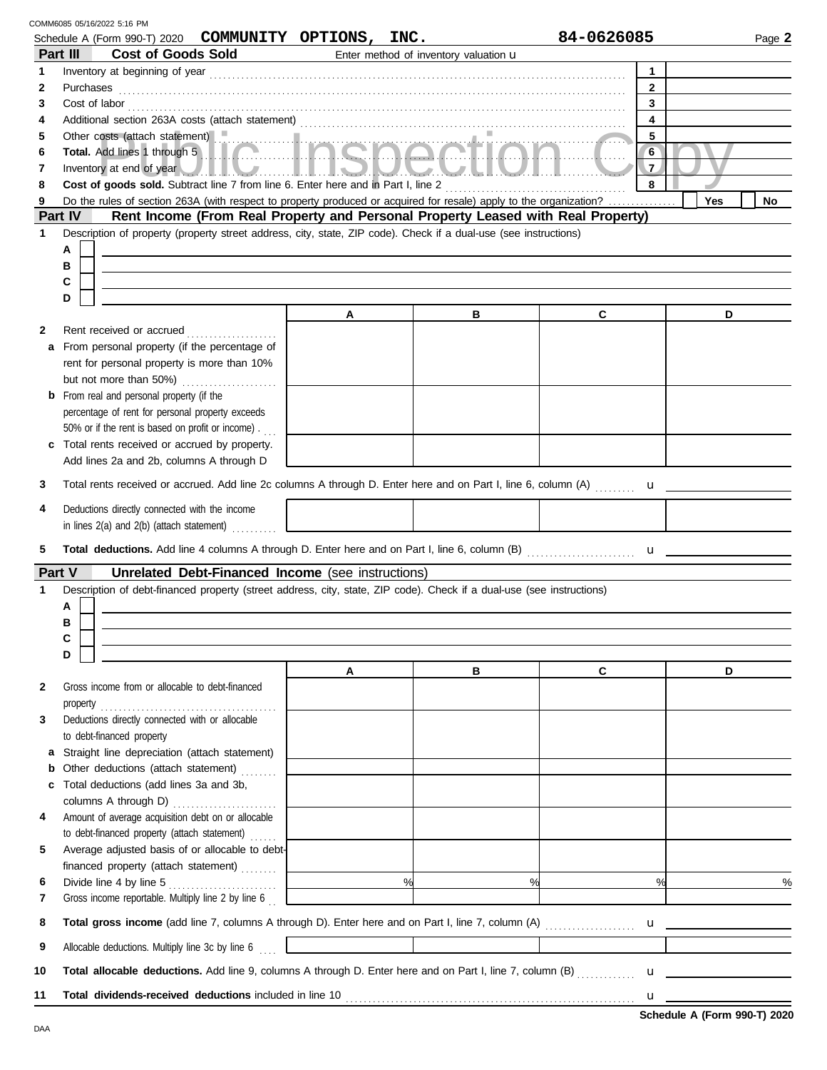|              | Schedule A (Form 990-T) 2020 COMMUNITY OPTIONS, INC.                                                                                                                                                              |              |                                       | 84-0626085              | Page 2                                                                                                                                                                                                                                  |
|--------------|-------------------------------------------------------------------------------------------------------------------------------------------------------------------------------------------------------------------|--------------|---------------------------------------|-------------------------|-----------------------------------------------------------------------------------------------------------------------------------------------------------------------------------------------------------------------------------------|
| $\mathbf{1}$ | <b>Cost of Goods Sold</b><br>Part III                                                                                                                                                                             |              | Enter method of inventory valuation u | $\mathbf{1}$            |                                                                                                                                                                                                                                         |
| 2            | Purchases                                                                                                                                                                                                         |              |                                       | $\overline{2}$          |                                                                                                                                                                                                                                         |
| 3            | Cost of labor                                                                                                                                                                                                     |              |                                       | $\mathbf{3}$            |                                                                                                                                                                                                                                         |
| 4            |                                                                                                                                                                                                                   |              |                                       | $\overline{\mathbf{4}}$ |                                                                                                                                                                                                                                         |
| 5            |                                                                                                                                                                                                                   |              |                                       | 5                       |                                                                                                                                                                                                                                         |
| 6            | Other costs (attach statement)<br>Total. Add lines 1 through 5                                                                                                                                                    |              |                                       | 6                       |                                                                                                                                                                                                                                         |
| 7            | Inventory at end of year <b>And Indian Bill of Line and Security And Indian Property Report of the Andrew Property And Indian Property And Indian Property at end of year <b>Andre</b></b>                        |              |                                       | $\overline{7}$          |                                                                                                                                                                                                                                         |
| 8            | Cost of goods sold. Subtract line 7 from line 6. Enter here and in Part I, line 2                                                                                                                                 |              |                                       | 8                       |                                                                                                                                                                                                                                         |
| 9            | Do the rules of section 263A (with respect to property produced or acquired for resale) apply to the organization?<br>Part IV<br>Rent Income (From Real Property and Personal Property Leased with Real Property) |              |                                       |                         | Yes<br><b>No</b>                                                                                                                                                                                                                        |
| 1            | Description of property (property street address, city, state, ZIP code). Check if a dual-use (see instructions)                                                                                                  |              |                                       |                         |                                                                                                                                                                                                                                         |
|              | Α                                                                                                                                                                                                                 |              |                                       |                         |                                                                                                                                                                                                                                         |
|              | в                                                                                                                                                                                                                 |              |                                       |                         |                                                                                                                                                                                                                                         |
|              | С                                                                                                                                                                                                                 |              |                                       |                         |                                                                                                                                                                                                                                         |
|              | D                                                                                                                                                                                                                 |              |                                       |                         |                                                                                                                                                                                                                                         |
|              |                                                                                                                                                                                                                   | A            | в                                     | C                       | D                                                                                                                                                                                                                                       |
| 2            | Rent received or accrued<br>.                                                                                                                                                                                     |              |                                       |                         |                                                                                                                                                                                                                                         |
|              | a From personal property (if the percentage of<br>rent for personal property is more than 10%                                                                                                                     |              |                                       |                         |                                                                                                                                                                                                                                         |
|              | but not more than 50%)                                                                                                                                                                                            |              |                                       |                         |                                                                                                                                                                                                                                         |
|              | .<br><b>b</b> From real and personal property (if the                                                                                                                                                             |              |                                       |                         |                                                                                                                                                                                                                                         |
|              | percentage of rent for personal property exceeds                                                                                                                                                                  |              |                                       |                         |                                                                                                                                                                                                                                         |
|              | 50% or if the rent is based on profit or income).                                                                                                                                                                 |              |                                       |                         |                                                                                                                                                                                                                                         |
|              | c Total rents received or accrued by property.                                                                                                                                                                    |              |                                       |                         |                                                                                                                                                                                                                                         |
|              | Add lines 2a and 2b, columns A through D                                                                                                                                                                          |              |                                       |                         |                                                                                                                                                                                                                                         |
| 3            | Total rents received or accrued. Add line 2c columns A through D. Enter here and on Part I, line 6, column (A)  u                                                                                                 |              |                                       |                         |                                                                                                                                                                                                                                         |
| 4            | Deductions directly connected with the income                                                                                                                                                                     |              |                                       |                         |                                                                                                                                                                                                                                         |
|              | in lines 2(a) and 2(b) (attach statement)                                                                                                                                                                         |              |                                       |                         |                                                                                                                                                                                                                                         |
|              |                                                                                                                                                                                                                   |              |                                       |                         |                                                                                                                                                                                                                                         |
| 5            |                                                                                                                                                                                                                   |              |                                       |                         |                                                                                                                                                                                                                                         |
|              | Part V<br><b>Unrelated Debt-Financed Income</b> (see instructions)                                                                                                                                                |              |                                       |                         |                                                                                                                                                                                                                                         |
| 1            | Description of debt-financed property (street address, city, state, ZIP code). Check if a dual-use (see instructions)                                                                                             |              |                                       |                         |                                                                                                                                                                                                                                         |
|              | A<br>В                                                                                                                                                                                                            |              |                                       |                         |                                                                                                                                                                                                                                         |
|              | С                                                                                                                                                                                                                 |              |                                       |                         |                                                                                                                                                                                                                                         |
|              | D                                                                                                                                                                                                                 |              |                                       |                         |                                                                                                                                                                                                                                         |
|              |                                                                                                                                                                                                                   | $\mathsf{A}$ | в                                     | C                       | D                                                                                                                                                                                                                                       |
| 2            | Gross income from or allocable to debt-financed                                                                                                                                                                   |              |                                       |                         |                                                                                                                                                                                                                                         |
|              |                                                                                                                                                                                                                   |              |                                       |                         |                                                                                                                                                                                                                                         |
| 3            | Deductions directly connected with or allocable                                                                                                                                                                   |              |                                       |                         |                                                                                                                                                                                                                                         |
|              | to debt-financed property                                                                                                                                                                                         |              |                                       |                         |                                                                                                                                                                                                                                         |
|              | a Straight line depreciation (attach statement)<br><b>b</b> Other deductions (attach statement)                                                                                                                   |              |                                       |                         |                                                                                                                                                                                                                                         |
| c            | Total deductions (add lines 3a and 3b,                                                                                                                                                                            |              |                                       |                         |                                                                                                                                                                                                                                         |
|              | columns A through D)                                                                                                                                                                                              |              |                                       |                         |                                                                                                                                                                                                                                         |
| 4            | Amount of average acquisition debt on or allocable                                                                                                                                                                |              |                                       |                         |                                                                                                                                                                                                                                         |
|              | to debt-financed property (attach statement)                                                                                                                                                                      |              |                                       |                         |                                                                                                                                                                                                                                         |
| 5            | Average adjusted basis of or allocable to debt-                                                                                                                                                                   |              |                                       |                         |                                                                                                                                                                                                                                         |
|              | financed property (attach statement)                                                                                                                                                                              |              |                                       |                         |                                                                                                                                                                                                                                         |
| 6            |                                                                                                                                                                                                                   |              | $\frac{9}{6}$<br>$\%$                 | %                       | $\frac{0}{0}$                                                                                                                                                                                                                           |
| 7            | Gross income reportable. Multiply line 2 by line 6                                                                                                                                                                |              |                                       |                         |                                                                                                                                                                                                                                         |
| 8            |                                                                                                                                                                                                                   |              |                                       |                         |                                                                                                                                                                                                                                         |
| 9            |                                                                                                                                                                                                                   |              |                                       |                         |                                                                                                                                                                                                                                         |
|              |                                                                                                                                                                                                                   |              |                                       |                         |                                                                                                                                                                                                                                         |
| 10           | Total allocable deductions. Add line 9, columns A through D. Enter here and on Part I, line 7, column (B)                                                                                                         |              |                                       |                         | $\mathbf{u}$ <u>and the set of the set of the set of the set of the set of the set of the set of the set of the set of the set of the set of the set of the set of the set of the set of the set of the set of the set of the set o</u> |
| 11           |                                                                                                                                                                                                                   |              |                                       |                         |                                                                                                                                                                                                                                         |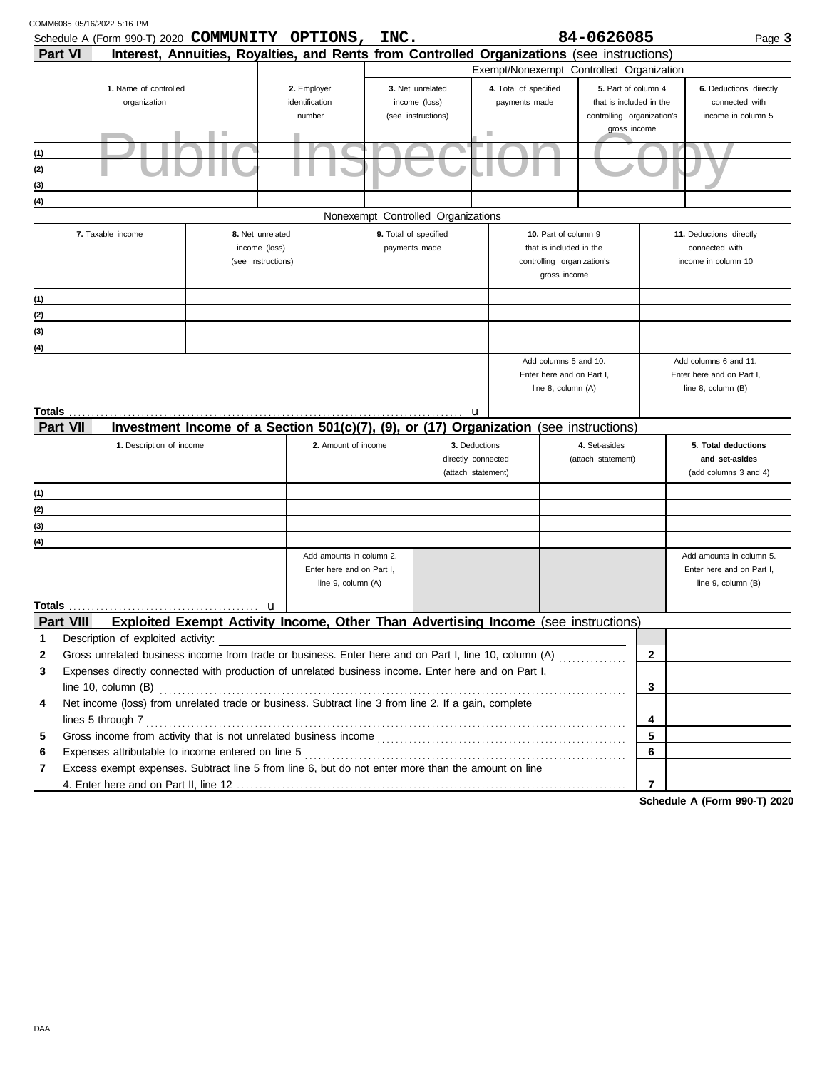| COMM6085 05/16/2022 5:16 PM |                                                                                                       |                               |                           |  |                                    |                                          |                                                    |                                                |                     |                                                    |  |
|-----------------------------|-------------------------------------------------------------------------------------------------------|-------------------------------|---------------------------|--|------------------------------------|------------------------------------------|----------------------------------------------------|------------------------------------------------|---------------------|----------------------------------------------------|--|
|                             | Schedule A (Form 990-T) 2020 COMMUNITY OPTIONS, INC.                                                  |                               |                           |  |                                    |                                          |                                                    | 84-0626085                                     |                     | Page 3                                             |  |
| <b>Part VI</b>              | Interest, Annuities, Royalties, and Rents from Controlled Organizations (see instructions)            |                               |                           |  |                                    | Exempt/Nonexempt Controlled Organization |                                                    |                                                |                     |                                                    |  |
|                             |                                                                                                       |                               |                           |  |                                    |                                          |                                                    |                                                |                     |                                                    |  |
|                             | 1. Name of controlled<br>organization                                                                 | 2. Employer<br>identification |                           |  | 3. Net unrelated<br>income (loss)  | 4. Total of specified<br>payments made   |                                                    | 5. Part of column 4<br>that is included in the |                     | 6. Deductions directly<br>connected with           |  |
|                             |                                                                                                       | number                        |                           |  | (see instructions)                 |                                          |                                                    | controlling organization's                     |                     | income in column 5                                 |  |
|                             |                                                                                                       |                               |                           |  |                                    | Ш                                        |                                                    | gross income                                   |                     |                                                    |  |
| (1)                         |                                                                                                       |                               |                           |  |                                    |                                          |                                                    |                                                |                     |                                                    |  |
| (2)                         |                                                                                                       |                               |                           |  |                                    |                                          |                                                    |                                                |                     |                                                    |  |
| (3)                         |                                                                                                       |                               |                           |  |                                    |                                          |                                                    |                                                |                     |                                                    |  |
| (4)                         |                                                                                                       |                               |                           |  |                                    |                                          |                                                    |                                                |                     |                                                    |  |
|                             |                                                                                                       |                               |                           |  | Nonexempt Controlled Organizations |                                          |                                                    |                                                |                     |                                                    |  |
|                             | 7. Taxable income                                                                                     | 8. Net unrelated              |                           |  | 9. Total of specified              |                                          | 10. Part of column 9                               |                                                |                     | 11. Deductions directly                            |  |
|                             |                                                                                                       | income (loss)                 |                           |  | payments made                      |                                          | that is included in the                            |                                                |                     | connected with                                     |  |
|                             |                                                                                                       | (see instructions)            |                           |  |                                    |                                          | controlling organization's                         |                                                | income in column 10 |                                                    |  |
|                             |                                                                                                       |                               |                           |  |                                    |                                          | gross income                                       |                                                |                     |                                                    |  |
| (1)                         |                                                                                                       |                               |                           |  |                                    |                                          |                                                    |                                                |                     |                                                    |  |
| (2)                         |                                                                                                       |                               |                           |  |                                    |                                          |                                                    |                                                |                     |                                                    |  |
| (3)                         |                                                                                                       |                               |                           |  |                                    |                                          |                                                    |                                                |                     |                                                    |  |
| (4)                         |                                                                                                       |                               |                           |  |                                    |                                          |                                                    |                                                |                     |                                                    |  |
|                             |                                                                                                       |                               |                           |  |                                    |                                          | Add columns 5 and 10.<br>Enter here and on Part I, |                                                |                     | Add columns 6 and 11.<br>Enter here and on Part I, |  |
|                             |                                                                                                       |                               |                           |  |                                    |                                          | line 8, column (A)                                 |                                                |                     | line 8, column (B)                                 |  |
|                             |                                                                                                       |                               |                           |  |                                    |                                          |                                                    |                                                |                     |                                                    |  |
| Totals<br><b>Part VII</b>   | Investment Income of a Section 501(c)(7), (9), or (17) Organization (see instructions)                |                               |                           |  |                                    | u                                        |                                                    |                                                |                     |                                                    |  |
|                             |                                                                                                       |                               |                           |  |                                    |                                          |                                                    |                                                |                     |                                                    |  |
|                             | 1. Description of income                                                                              |                               | 2. Amount of income       |  |                                    | 3. Deductions<br>directly connected      |                                                    | 4. Set-asides<br>(attach statement)            |                     | 5. Total deductions<br>and set-asides              |  |
|                             |                                                                                                       |                               |                           |  |                                    | (attach statement)                       |                                                    |                                                |                     | (add columns 3 and 4)                              |  |
| (1)                         |                                                                                                       |                               |                           |  |                                    |                                          |                                                    |                                                |                     |                                                    |  |
| (2)                         |                                                                                                       |                               |                           |  |                                    |                                          |                                                    |                                                |                     |                                                    |  |
| (3)                         |                                                                                                       |                               |                           |  |                                    |                                          |                                                    |                                                |                     |                                                    |  |
| (4)                         |                                                                                                       |                               |                           |  |                                    |                                          |                                                    |                                                |                     |                                                    |  |
|                             |                                                                                                       |                               | Add amounts in column 2.  |  |                                    |                                          |                                                    |                                                |                     | Add amounts in column 5.                           |  |
|                             |                                                                                                       |                               | Enter here and on Part I, |  |                                    |                                          |                                                    |                                                |                     | Enter here and on Part I,                          |  |
|                             |                                                                                                       |                               | line 9, column (A)        |  |                                    |                                          |                                                    |                                                |                     | line 9, column (B)                                 |  |
| Totals                      |                                                                                                       | u                             |                           |  |                                    |                                          |                                                    |                                                |                     |                                                    |  |
| Part VIII                   | Exploited Exempt Activity Income, Other Than Advertising Income (see instructions)                    |                               |                           |  |                                    |                                          |                                                    |                                                |                     |                                                    |  |
| 1                           | Description of exploited activity:                                                                    |                               |                           |  |                                    |                                          |                                                    |                                                |                     |                                                    |  |
| 2                           | Gross unrelated business income from trade or business. Enter here and on Part I, line 10, column (A) |                               |                           |  |                                    |                                          |                                                    |                                                | $\mathbf{2}$        |                                                    |  |
| 3                           | Expenses directly connected with production of unrelated business income. Enter here and on Part I,   |                               |                           |  |                                    |                                          |                                                    |                                                |                     |                                                    |  |
|                             |                                                                                                       |                               |                           |  |                                    |                                          |                                                    |                                                | 3                   |                                                    |  |
| 4                           | Net income (loss) from unrelated trade or business. Subtract line 3 from line 2. If a gain, complete  |                               |                           |  |                                    |                                          |                                                    |                                                |                     |                                                    |  |
|                             | lines 5 through 7                                                                                     |                               |                           |  |                                    |                                          |                                                    |                                                | 4                   |                                                    |  |
| 5                           |                                                                                                       |                               |                           |  |                                    |                                          |                                                    |                                                | 5                   |                                                    |  |
| 6                           |                                                                                                       |                               |                           |  |                                    |                                          |                                                    |                                                | 6                   |                                                    |  |
| 7                           | Excess exempt expenses. Subtract line 5 from line 6, but do not enter more than the amount on line    |                               |                           |  |                                    |                                          |                                                    |                                                | $\overline{7}$      |                                                    |  |
|                             |                                                                                                       |                               |                           |  |                                    |                                          |                                                    |                                                |                     | Cahadule A (Farm 000 T) 2020                       |  |

**Schedule A (Form 990-T) 2020**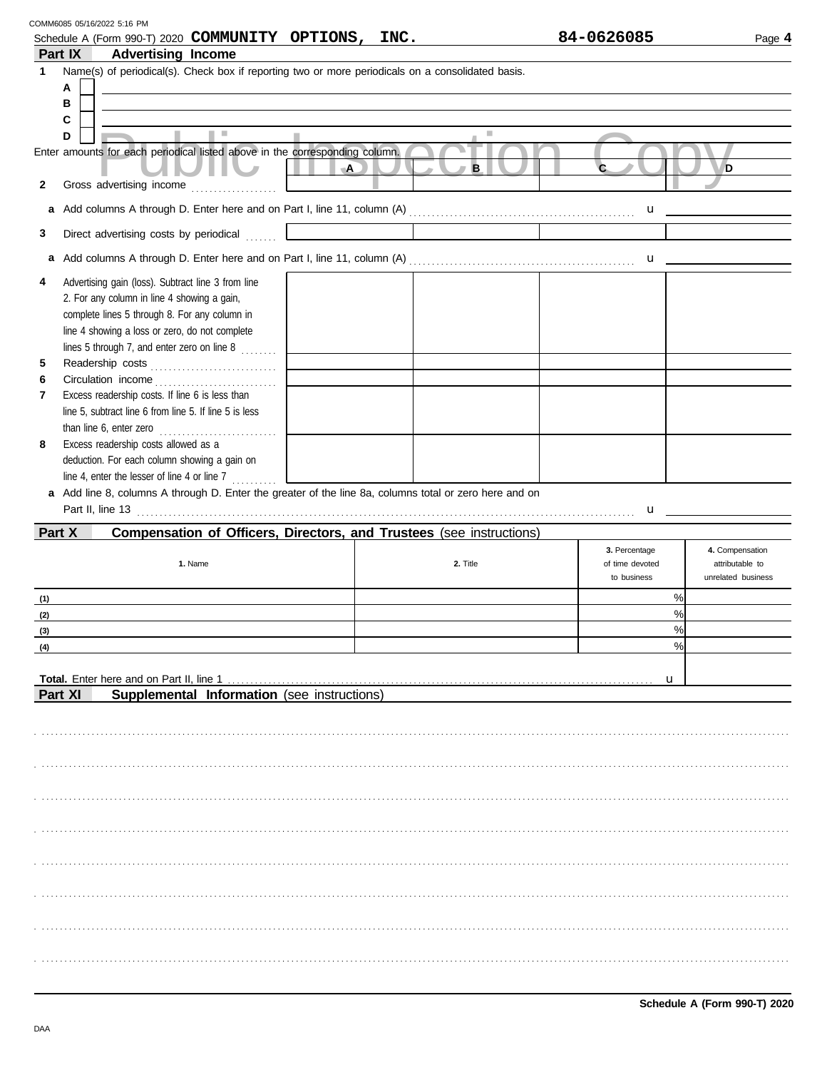| Schedule A (Form 990-T) 2020 COMMUNITY OPTIONS, INC.<br>Part IX<br><b>Advertising Income</b>           |                              | 84-0626085      | Page 4                                                                                                                                                                                                                                                                                                                          |
|--------------------------------------------------------------------------------------------------------|------------------------------|-----------------|---------------------------------------------------------------------------------------------------------------------------------------------------------------------------------------------------------------------------------------------------------------------------------------------------------------------------------|
| Name(s) of periodical(s). Check box if reporting two or more periodicals on a consolidated basis.      |                              |                 |                                                                                                                                                                                                                                                                                                                                 |
| A                                                                                                      |                              |                 |                                                                                                                                                                                                                                                                                                                                 |
| в                                                                                                      |                              |                 |                                                                                                                                                                                                                                                                                                                                 |
| C                                                                                                      |                              |                 |                                                                                                                                                                                                                                                                                                                                 |
| ηn,<br>D                                                                                               | L.                           |                 |                                                                                                                                                                                                                                                                                                                                 |
| Enter amounts for each periodical listed above in the corresponding column.                            |                              |                 |                                                                                                                                                                                                                                                                                                                                 |
|                                                                                                        | $\blacksquare$ B<br>$\Delta$ | C               | D                                                                                                                                                                                                                                                                                                                               |
| Gross advertising income                                                                               |                              |                 |                                                                                                                                                                                                                                                                                                                                 |
| a                                                                                                      |                              |                 | $\mathbf u$ and $\mathbf u$ and $\mathbf u$ and $\mathbf u$ and $\mathbf u$ and $\mathbf u$ and $\mathbf u$ and $\mathbf u$ and $\mathbf u$ and $\mathbf u$ and $\mathbf u$ and $\mathbf u$ and $\mathbf u$ and $\mathbf u$ and $\mathbf u$ and $\mathbf u$ and $\mathbf u$ and $\mathbf u$ and $\mathbf u$ and $\mathbf u$ and |
| Direct advertising costs by periodical                                                                 |                              |                 |                                                                                                                                                                                                                                                                                                                                 |
| a                                                                                                      |                              |                 | $\mathbf u$ and $\mathbf u$ and $\mathbf u$ and $\mathbf u$ and $\mathbf u$ and $\mathbf u$                                                                                                                                                                                                                                     |
| Advertising gain (loss). Subtract line 3 from line                                                     |                              |                 |                                                                                                                                                                                                                                                                                                                                 |
| 2. For any column in line 4 showing a gain,                                                            |                              |                 |                                                                                                                                                                                                                                                                                                                                 |
| complete lines 5 through 8. For any column in                                                          |                              |                 |                                                                                                                                                                                                                                                                                                                                 |
| line 4 showing a loss or zero, do not complete                                                         |                              |                 |                                                                                                                                                                                                                                                                                                                                 |
| lines 5 through 7, and enter zero on line 8 $\ldots$                                                   |                              |                 |                                                                                                                                                                                                                                                                                                                                 |
|                                                                                                        |                              |                 |                                                                                                                                                                                                                                                                                                                                 |
|                                                                                                        |                              |                 |                                                                                                                                                                                                                                                                                                                                 |
| Excess readership costs. If line 6 is less than                                                        |                              |                 |                                                                                                                                                                                                                                                                                                                                 |
| line 5, subtract line 6 from line 5. If line 5 is less                                                 |                              |                 |                                                                                                                                                                                                                                                                                                                                 |
| than line $6$ , enter zero $\ldots$                                                                    |                              |                 |                                                                                                                                                                                                                                                                                                                                 |
| Excess readership costs allowed as a                                                                   |                              |                 |                                                                                                                                                                                                                                                                                                                                 |
| deduction. For each column showing a gain on                                                           |                              |                 |                                                                                                                                                                                                                                                                                                                                 |
| line 4, enter the lesser of line 4 or line 7 $\ldots$                                                  |                              |                 |                                                                                                                                                                                                                                                                                                                                 |
| a Add line 8, columns A through D. Enter the greater of the line 8a, columns total or zero here and on |                              |                 |                                                                                                                                                                                                                                                                                                                                 |
| Part II, line 13 <b>Part II</b> , line 13                                                              |                              | $\mathbf{u}$    |                                                                                                                                                                                                                                                                                                                                 |
| Compensation of Officers, Directors, and Trustees (see instructions)<br>Part X                         |                              |                 |                                                                                                                                                                                                                                                                                                                                 |
|                                                                                                        |                              | 3. Percentage   | 4. Compensation                                                                                                                                                                                                                                                                                                                 |
| 1. Name                                                                                                | 2. Title                     | of time devoted | attributable to                                                                                                                                                                                                                                                                                                                 |
|                                                                                                        |                              | to business     | unrelated business                                                                                                                                                                                                                                                                                                              |
|                                                                                                        |                              | %               |                                                                                                                                                                                                                                                                                                                                 |
|                                                                                                        |                              | %               |                                                                                                                                                                                                                                                                                                                                 |
|                                                                                                        |                              | %               |                                                                                                                                                                                                                                                                                                                                 |
|                                                                                                        |                              | %               |                                                                                                                                                                                                                                                                                                                                 |
| Total. Enter here and on Part II, line 1                                                               |                              | u               |                                                                                                                                                                                                                                                                                                                                 |
| Supplemental Information (see instructions)<br>Part XI                                                 |                              |                 |                                                                                                                                                                                                                                                                                                                                 |
|                                                                                                        |                              |                 |                                                                                                                                                                                                                                                                                                                                 |
|                                                                                                        |                              |                 |                                                                                                                                                                                                                                                                                                                                 |
|                                                                                                        |                              |                 |                                                                                                                                                                                                                                                                                                                                 |
|                                                                                                        |                              |                 |                                                                                                                                                                                                                                                                                                                                 |

. . . . . . . . . . . . . . . . . . . . . . . . . . . . . . . . . . . . . . . . . . . . . . . . . . . . . . . . . . . . . . . . . . . . . . . . . . . . . . . . . . . . . . . . . . . . . . . . . . . . . . . . . . . . . . . . . . . . . . . . . . . . . . . . . . . . . . . . . . . . . . . . . . . . . . . . . . . . . . . . . . . . . .

. . . . . . . . . . . . . . . . . . . . . . . . . . . . . . . . . . . . . . . . . . . . . . . . . . . . . . . . . . . . . . . . . . . . . . . . . . . . . . . . . . . . . . . . . . . . . . . . . . . . . . . . . . . . . . . . . . . . . . . . . . . . . . . . . . . . . . . . . . . . . . . . . . . . . . . . . . . . . . . . . . . . . .

. . . . . . . . . . . . . . . . . . . . . . . . . . . . . . . . . . . . . . . . . . . . . . . . . . . . . . . . . . . . . . . . . . . . . . . . . . . . . . . . . . . . . . . . . . . . . . . . . . . . . . . . . . . . . . . . . . . . . . . . . . . . . . . . . . . . . . . . . . . . . . . . . . . . . . . . . . . . . . . . . . . . . .

. . . . . . . . . . . . . . . . . . . . . . . . . . . . . . . . . . . . . . . . . . . . . . . . . . . . . . . . . . . . . . . . . . . . . . . . . . . . . . . . . . . . . . . . . . . . . . . . . . . . . . . . . . . . . . . . . . . . . . . . . . . . . . . . . . . . . . . . . . . . . . . . . . . . . . . . . . . . . . . . . . . . . .

. . . . . . . . . . . . . . . . . . . . . . . . . . . . . . . . . . . . . . . . . . . . . . . . . . . . . . . . . . . . . . . . . . . . . . . . . . . . . . . . . . . . . . . . . . . . . . . . . . . . . . . . . . . . . . . . . . . . . . . . . . . . . . . . . . . . . . . . . . . . . . . . . . . . . . . . . . . . . . . . . . . . . .